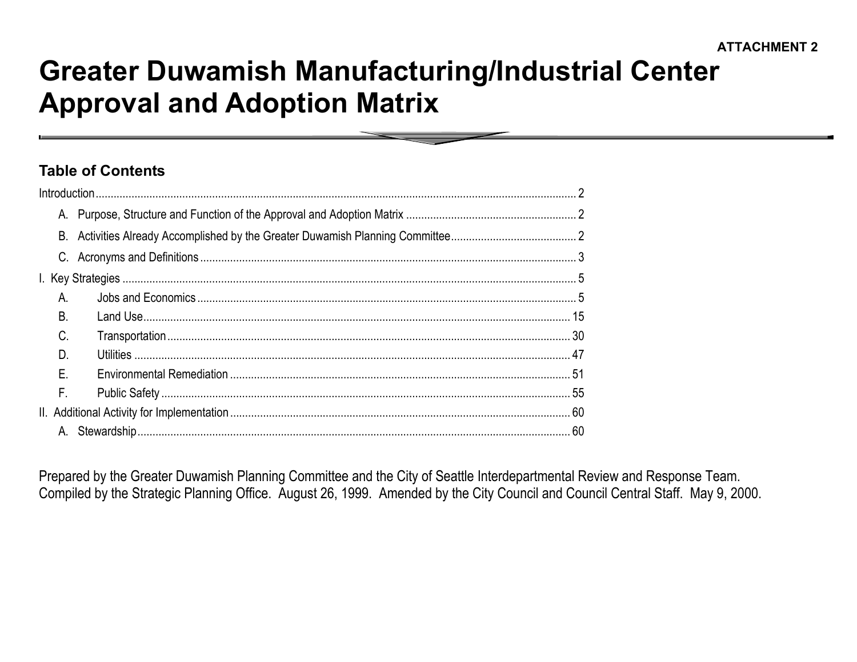# **Greater Duwamish Manufacturing/Industrial Center Approval and Adoption Matrix**

### **Table of Contents**

| A.           |  |
|--------------|--|
| <b>B.</b>    |  |
| C.           |  |
| D.           |  |
| Ε.           |  |
| $F_{\rm{H}}$ |  |
|              |  |
|              |  |

Prepared by the Greater Duwamish Planning Committee and the City of Seattle Interdepartmental Review and Response Team. Compiled by the Strategic Planning Office. August 26, 1999. Amended by the City Council and Council Central Staff. May 9, 2000.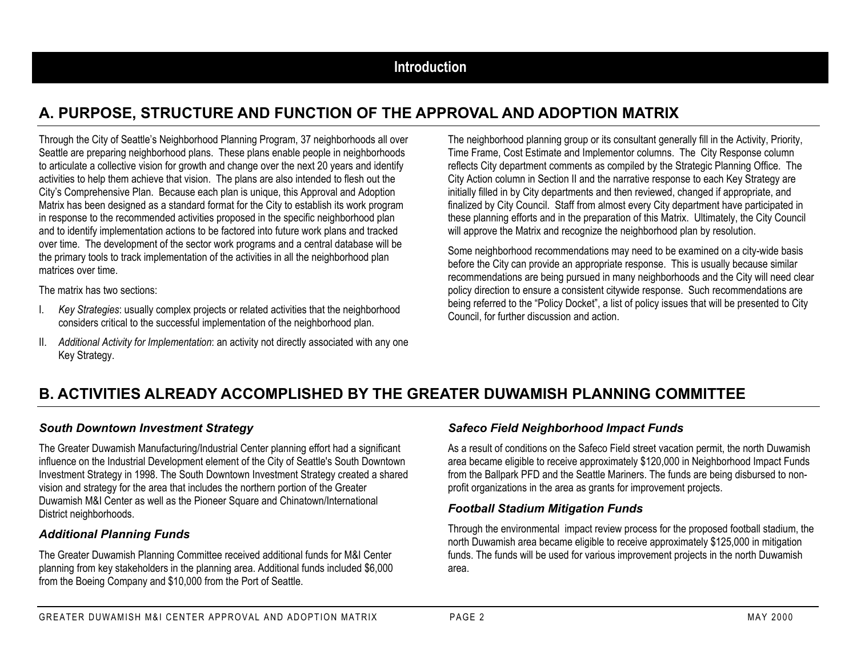# **A. PURPOSE, STRUCTURE AND FUNCTION OF THE APPROVAL AND ADOPTION MATRIX**

Through the City of Seattle's Neighborhood Planning Program, 37 neighborhoods all over Seattle are preparing neighborhood plans. These plans enable people in neighborhoods to articulate a collective vision for growth and change over the next 20 years and identify activities to help them achieve that vision. The plans are also intended to flesh out the City's Comprehensive Plan. Because each plan is unique, this Approval and Adoption Matrix has been designed as a standard format for the City to establish its work program in response to the recommended activities proposed in the specific neighborhood plan and to identify implementation actions to be factored into future work plans and tracked over time. The development of the sector work programs and a central database will be the primary tools to track implementation of the activities in all the neighborhood plan matrices over time.

The matrix has two sections:

- I. *Key Strategies*: usually complex projects or related activities that the neighborhood considers critical to the successful implementation of the neighborhood plan.
- II. *Additional Activity for Implementation*: an activity not directly associated with any one Key Strategy.

The neighborhood planning group or its consultant generally fill in the Activity, Priority, Time Frame, Cost Estimate and Implementor columns. The City Response column reflects City department comments as compiled by the Strategic Planning Office. The City Action column in Section II and the narrative response to each Key Strategy are initially filled in by City departments and then reviewed, changed if appropriate, and finalized by City Council. Staff from almost every City department have participated in these planning efforts and in the preparation of this Matrix. Ultimately, the City Council will approve the Matrix and recognize the neighborhood plan by resolution.

Some neighborhood recommendations may need to be examined on a city-wide basis before the City can provide an appropriate response. This is usually because similar recommendations are being pursued in many neighborhoods and the City will need clear policy direction to ensure a consistent citywide response. Such recommendations are being referred to the "Policy Docket", a list of policy issues that will be presented to City Council, for further discussion and action.

# **B. ACTIVITIES ALREADY ACCOMPLISHED BY THE GREATER DUWAMISH PLANNING COMMITTEE**

#### *South Downtown Investment Strategy*

The Greater Duwamish Manufacturing/Industrial Center planning effort had a significant influence on the Industrial Development element of the City of Seattle's South Downtown Investment Strategy in 1998. The South Downtown Investment Strategy created a shared vision and strategy for the area that includes the northern portion of the Greater Duwamish M&I Center as well as the Pioneer Square and Chinatown/International District neighborhoods.

#### *Additional Planning Funds*

The Greater Duwamish Planning Committee received additional funds for M&I Center planning from key stakeholders in the planning area. Additional funds included \$6,000 from the Boeing Company and \$10,000 from the Port of Seattle.

#### *Safeco Field Neighborhood Impact Funds*

As a result of conditions on the Safeco Field street vacation permit, the north Duwamish area became eligible to receive approximately \$120,000 in Neighborhood Impact Funds from the Ballpark PFD and the Seattle Mariners. The funds are being disbursed to nonprofit organizations in the area as grants for improvement projects.

#### *Football Stadium Mitigation Funds*

Through the environmental impact review process for the proposed football stadium, the north Duwamish area became eligible to receive approximately \$125,000 in mitigation funds. The funds will be used for various improvement projects in the north Duwamish area.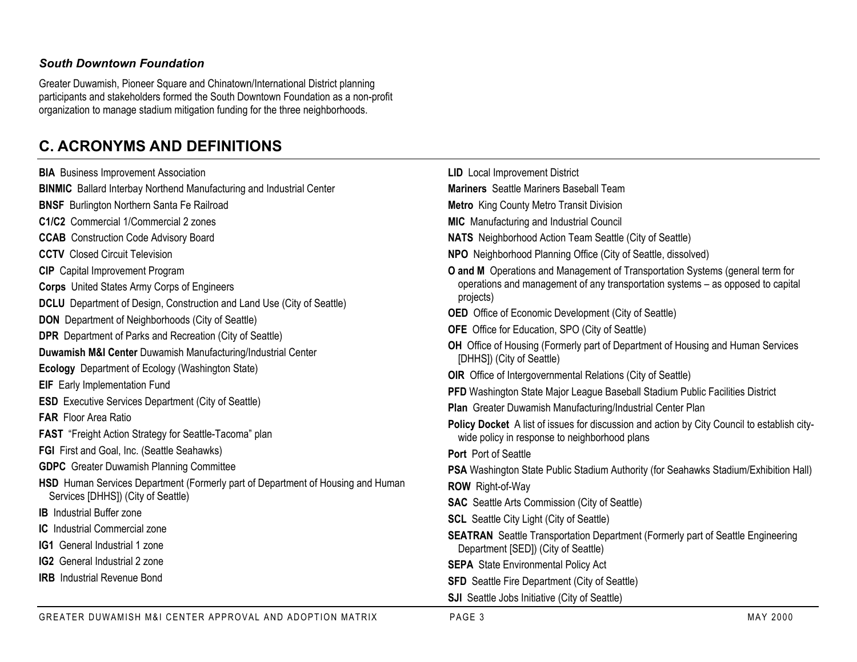#### *South Downtown Foundation*

Greater Duwamish, Pioneer Square and Chinatown/International District planning participants and stakeholders formed the South Downtown Foundation as a non-profit organization to manage stadium mitigation funding for the three neighborhoods.

### **C. ACRONYMS AND DEFINITIONS**

| <b>BIA</b> Business Improvement Association                                                                                     | <b>LID</b> Local Improvement District                                                                                                        |
|---------------------------------------------------------------------------------------------------------------------------------|----------------------------------------------------------------------------------------------------------------------------------------------|
| <b>BINMIC</b> Ballard Interbay Northend Manufacturing and Industrial Center                                                     | <b>Mariners</b> Seattle Mariners Baseball Team                                                                                               |
| <b>BNSF</b> Burlington Northern Santa Fe Railroad                                                                               | <b>Metro</b> King County Metro Transit Division                                                                                              |
| C1/C2 Commercial 1/Commercial 2 zones                                                                                           | <b>MIC</b> Manufacturing and Industrial Council                                                                                              |
| <b>CCAB</b> Construction Code Advisory Board                                                                                    | <b>NATS</b> Neighborhood Action Team Seattle (City of Seattle)                                                                               |
| <b>CCTV</b> Closed Circuit Television                                                                                           | NPO Neighborhood Planning Office (City of Seattle, dissolved)                                                                                |
| <b>CIP</b> Capital Improvement Program                                                                                          | O and M Operations and Management of Transportation Systems (general term for                                                                |
| <b>Corps</b> United States Army Corps of Engineers                                                                              | operations and management of any transportation systems - as opposed to capital<br>projects)                                                 |
| <b>DCLU</b> Department of Design, Construction and Land Use (City of Seattle)                                                   | <b>OED</b> Office of Economic Development (City of Seattle)                                                                                  |
| <b>DON</b> Department of Neighborhoods (City of Seattle)                                                                        | <b>OFE</b> Office for Education, SPO (City of Seattle)                                                                                       |
| <b>DPR</b> Department of Parks and Recreation (City of Seattle)<br>Duwamish M&I Center Duwamish Manufacturing/Industrial Center | OH Office of Housing (Formerly part of Department of Housing and Human Services<br>[DHHS]) (City of Seattle)                                 |
| <b>Ecology</b> Department of Ecology (Washington State)                                                                         | <b>OIR</b> Office of Intergovernmental Relations (City of Seattle)                                                                           |
| <b>EIF</b> Early Implementation Fund                                                                                            | PFD Washington State Major League Baseball Stadium Public Facilities District                                                                |
| <b>ESD</b> Executive Services Department (City of Seattle)                                                                      | Plan Greater Duwamish Manufacturing/Industrial Center Plan                                                                                   |
| <b>FAR Floor Area Ratio</b><br><b>FAST</b> "Freight Action Strategy for Seattle-Tacoma" plan                                    | Policy Docket A list of issues for discussion and action by City Council to establish city-<br>wide policy in response to neighborhood plans |
| <b>FGI</b> First and Goal, Inc. (Seattle Seahawks)                                                                              | Port Port of Seattle                                                                                                                         |
| <b>GDPC</b> Greater Duwamish Planning Committee                                                                                 | PSA Washington State Public Stadium Authority (for Seahawks Stadium/Exhibition Hall)                                                         |
| HSD Human Services Department (Formerly part of Department of Housing and Human<br>Services [DHHS]) (City of Seattle)           | <b>ROW</b> Right-of-Way                                                                                                                      |
| <b>IB</b> Industrial Buffer zone                                                                                                | <b>SAC</b> Seattle Arts Commission (City of Seattle)                                                                                         |
| <b>IC</b> Industrial Commercial zone                                                                                            | <b>SCL</b> Seattle City Light (City of Seattle)                                                                                              |
| <b>IG1</b> General Industrial 1 zone                                                                                            | <b>SEATRAN</b> Seattle Transportation Department (Formerly part of Seattle Engineering<br>Department [SED]) (City of Seattle)                |
| <b>IG2</b> General Industrial 2 zone                                                                                            | <b>SEPA</b> State Environmental Policy Act                                                                                                   |
| <b>IRB</b> Industrial Revenue Bond                                                                                              | <b>SFD</b> Seattle Fire Department (City of Seattle)                                                                                         |
|                                                                                                                                 | <b>SJI</b> Seattle Jobs Initiative (City of Seattle)                                                                                         |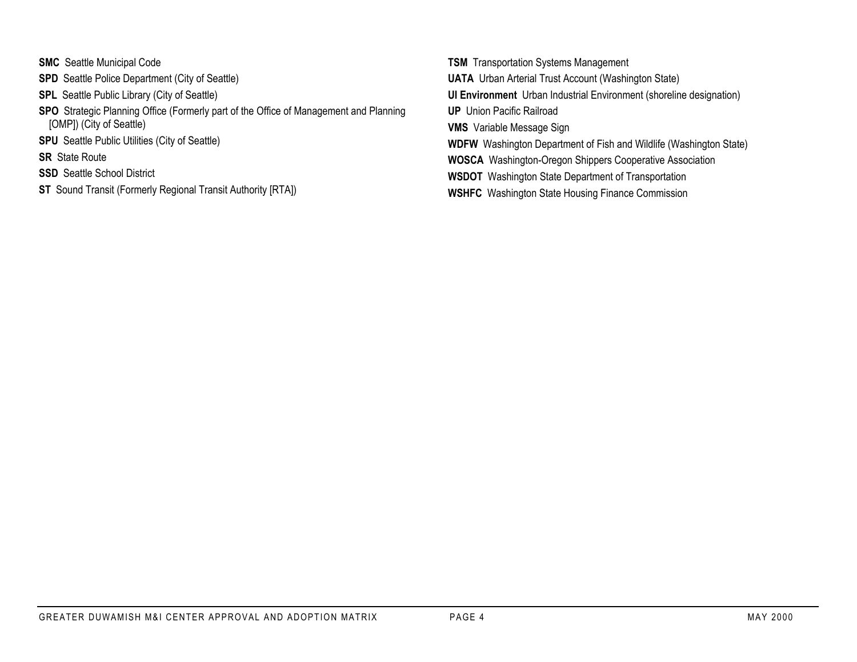**SMC** Seattle Municipal Code **SPD** Seattle Police Department (City of Seattle) **SPL** Seattle Public Library (City of Seattle) **SPO** Strategic Planning Office (Formerly part of the Office of Management and Planning [OMP]) (City of Seattle) **SPU** Seattle Public Utilities (City of Seattle) **SR** State Route**SSD** Seattle School District **ST** Sound Transit (Formerly Regional Transit Authority [RTA])

**TSM** Transportation Systems Management **UATA** Urban Arterial Trust Account (Washington State) **UI Environment** Urban Industrial Environment (shoreline designation) **UP** Union Pacific Railroad**VMS** Variable Message Sign **WDFW** Washington Department of Fish and Wildlife (Washington State) **WOSCA** Washington-Oregon Shippers Cooperative Association **WSDOT** Washington State Department of Transportation **WSHFC** Washington State Housing Finance Commission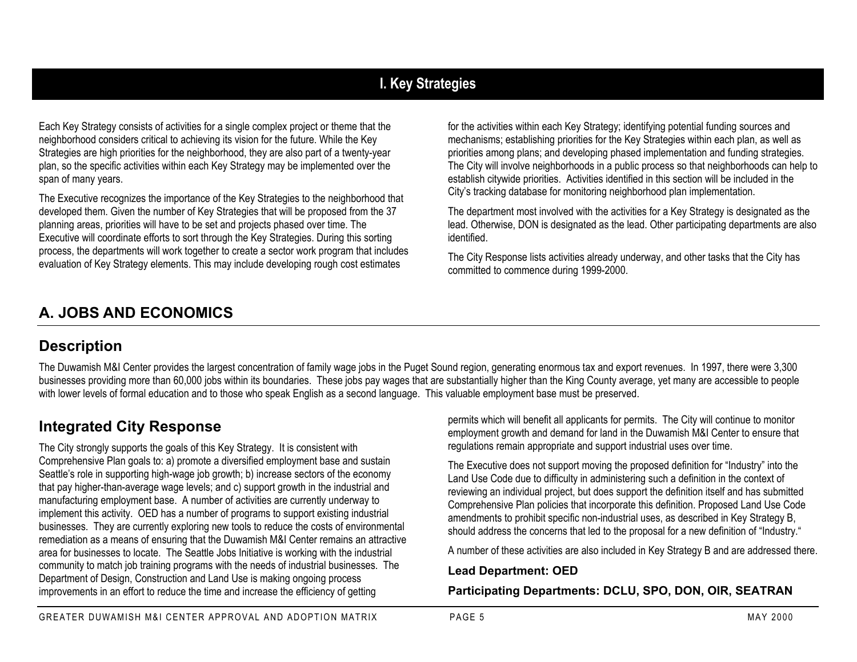# **I. Key Strategies**

Each Key Strategy consists of activities for a single complex project or theme that the neighborhood considers critical to achieving its vision for the future. While the Key Strategies are high priorities for the neighborhood, they are also part of a twenty-year plan, so the specific activities within each Key Strategy may be implemented over the span of many years.

The Executive recognizes the importance of the Key Strategies to the neighborhood that developed them. Given the number of Key Strategies that will be proposed from the 37 planning areas, priorities will have to be set and projects phased over time. The Executive will coordinate efforts to sort through the Key Strategies. During this sorting process, the departments will work together to create a sector work program that includes evaluation of Key Strategy elements. This may include developing rough cost estimates

for the activities within each Key Strategy; identifying potential funding sources and mechanisms; establishing priorities for the Key Strategies within each plan, as well as priorities among plans; and developing phased implementation and funding strategies. The City will involve neighborhoods in a public process so that neighborhoods can help to establish citywide priorities. Activities identified in this section will be included in the City's tracking database for monitoring neighborhood plan implementation.

The department most involved with the activities for a Key Strategy is designated as the lead. Otherwise, DON is designated as the lead. Other participating departments are also identified.

The City Response lists activities already underway, and other tasks that the City has committed to commence during 1999-2000.

# **A. JOBS AND ECONOMICS**

# **Description**

The Duwamish M&I Center provides the largest concentration of family wage jobs in the Puget Sound region, generating enormous tax and export revenues. In 1997, there were 3,300 businesses providing more than 60,000 jobs within its boundaries. These jobs pay wages that are substantially higher than the King County average, yet many are accessible to people with lower levels of formal education and to those who speak English as a second language. This valuable employment base must be preserved.

# **Integrated City Response**

The City strongly supports the goals of this Key Strategy. It is consistent with Comprehensive Plan goals to: a) promote a diversified employment base and sustain Seattle's role in supporting high-wage job growth; b) increase sectors of the economy that pay higher-than-average wage levels; and c) support growth in the industrial and manufacturing employment base. A number of activities are currently underway to implement this activity. OED has a number of programs to support existing industrial businesses. They are currently exploring new tools to reduce the costs of environmental remediation as a means of ensuring that the Duwamish M&I Center remains an attractive area for businesses to locate. The Seattle Jobs Initiative is working with the industrial community to match job training programs with the needs of industrial businesses. The Department of Design, Construction and Land Use is making ongoing process improvements in an effort to reduce the time and increase the efficiency of getting

permits which will benefit all applicants for permits. The City will continue to monitor employment growth and demand for land in the Duwamish M&I Center to ensure that regulations remain appropriate and support industrial uses over time.

The Executive does not support moving the proposed definition for "Industry" into the Land Use Code due to difficulty in administering such a definition in the context of reviewing an individual project, but does support the definition itself and has submitted Comprehensive Plan policies that incorporate this definition. Proposed Land Use Code amendments to prohibit specific non-industrial uses, as described in Key Strategy B, should address the concerns that led to the proposal for a new definition of "Industry."

A number of these activities are also included in Key Strategy B and are addressed there.

#### **Lead Department: OED**

**Participating Departments: DCLU, SPO, DON, OIR, SEATRAN**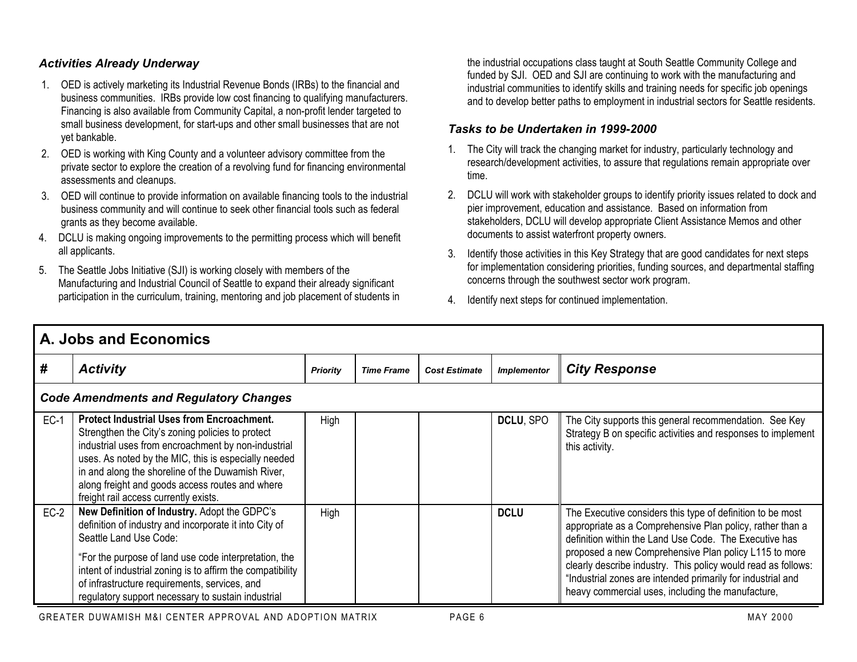#### *Activities Already Underway*

- 1. OED is actively marketing its Industrial Revenue Bonds (IRBs) to the financial and business communities. IRBs provide low cost financing to qualifying manufacturers. Financing is also available from Community Capital, a non-profit lender targeted to small business development, for start-ups and other small businesses that are not yet bankable.
- 2. OED is working with King County and a volunteer advisory committee from the private sector to explore the creation of a revolving fund for financing environmental assessments and cleanups.
- 3. OED will continue to provide information on available financing tools to the industrial business community and will continue to seek other financial tools such as federal grants as they become available.
- 4. DCLU is making ongoing improvements to the permitting process which will benefit all applicants.
- 5. The Seattle Jobs Initiative (SJI) is working closely with members of the Manufacturing and Industrial Council of Seattle to expand their already significant participation in the curriculum, training, mentoring and job placement of students in

the industrial occupations class taught at South Seattle Community College and funded by SJI. OED and SJI are continuing to work with the manufacturing and industrial communities to identify skills and training needs for specific job openings and to develop better paths to employment in industrial sectors for Seattle residents.

#### *Tasks to be Undertaken in 1999-2000*

- 1. The City will track the changing market for industry, particularly technology and research/development activities, to assure that regulations remain appropriate over time.
- 2. DCLU will work with stakeholder groups to identify priority issues related to dock and pier improvement, education and assistance. Based on information from stakeholders, DCLU will develop appropriate Client Assistance Memos and other documents to assist waterfront property owners.
- 3. Identify those activities in this Key Strategy that are good candidates for next steps for implementation considering priorities, funding sources, and departmental staffing concerns through the southwest sector work program.
- 4. Identify next steps for continued implementation.

|        | A. Jobs and Economics                                                                                                                                                                                                                                                                                                                                                 |                 |                   |                      |                    |                                                                                                                                                                                                                                                                                                                                                                                                                                 |  |  |  |
|--------|-----------------------------------------------------------------------------------------------------------------------------------------------------------------------------------------------------------------------------------------------------------------------------------------------------------------------------------------------------------------------|-----------------|-------------------|----------------------|--------------------|---------------------------------------------------------------------------------------------------------------------------------------------------------------------------------------------------------------------------------------------------------------------------------------------------------------------------------------------------------------------------------------------------------------------------------|--|--|--|
| #      | <b>Activity</b>                                                                                                                                                                                                                                                                                                                                                       | <b>Priority</b> | <b>Time Frame</b> | <b>Cost Estimate</b> | <b>Implementor</b> | <b>City Response</b>                                                                                                                                                                                                                                                                                                                                                                                                            |  |  |  |
|        | <b>Code Amendments and Regulatory Changes</b>                                                                                                                                                                                                                                                                                                                         |                 |                   |                      |                    |                                                                                                                                                                                                                                                                                                                                                                                                                                 |  |  |  |
| $EC-1$ | <b>Protect Industrial Uses from Encroachment.</b><br>Strengthen the City's zoning policies to protect<br>industrial uses from encroachment by non-industrial<br>uses. As noted by the MIC, this is especially needed<br>in and along the shoreline of the Duwamish River,<br>along freight and goods access routes and where<br>freight rail access currently exists. | High            |                   |                      | DCLU, SPO          | The City supports this general recommendation. See Key<br>Strategy B on specific activities and responses to implement<br>this activity.                                                                                                                                                                                                                                                                                        |  |  |  |
| $EC-2$ | New Definition of Industry. Adopt the GDPC's<br>definition of industry and incorporate it into City of<br>Seattle Land Use Code:<br>"For the purpose of land use code interpretation, the<br>intent of industrial zoning is to affirm the compatibility<br>of infrastructure requirements, services, and<br>regulatory support necessary to sustain industrial        | High            |                   |                      | <b>DCLU</b>        | The Executive considers this type of definition to be most<br>appropriate as a Comprehensive Plan policy, rather than a<br>definition within the Land Use Code. The Executive has<br>proposed a new Comprehensive Plan policy L115 to more<br>clearly describe industry. This policy would read as follows:<br>"Industrial zones are intended primarily for industrial and<br>heavy commercial uses, including the manufacture, |  |  |  |

GREATER DUWAMISH M&I CENTER APPROVAL AND ADOPTION MATRIX PAGE 6 PAGE 6 MAY 2000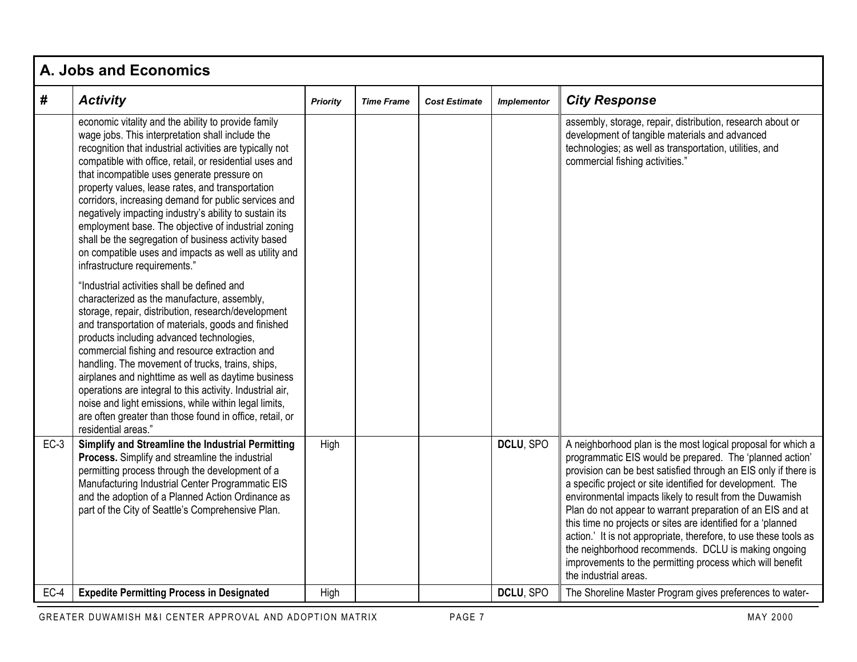|        | A. Jobs and Economics                                                                                                                                                                                                                                                                                                                                                                                                                                                                                                                                                                                                                                       |                 |                   |                      |                    |                                                                                                                                                                                                                                                                                                                                                                                                                                                                                                                                                                                                                                                                      |  |  |
|--------|-------------------------------------------------------------------------------------------------------------------------------------------------------------------------------------------------------------------------------------------------------------------------------------------------------------------------------------------------------------------------------------------------------------------------------------------------------------------------------------------------------------------------------------------------------------------------------------------------------------------------------------------------------------|-----------------|-------------------|----------------------|--------------------|----------------------------------------------------------------------------------------------------------------------------------------------------------------------------------------------------------------------------------------------------------------------------------------------------------------------------------------------------------------------------------------------------------------------------------------------------------------------------------------------------------------------------------------------------------------------------------------------------------------------------------------------------------------------|--|--|
| #      | <b>Activity</b>                                                                                                                                                                                                                                                                                                                                                                                                                                                                                                                                                                                                                                             | <b>Priority</b> | <b>Time Frame</b> | <b>Cost Estimate</b> | <b>Implementor</b> | <b>City Response</b>                                                                                                                                                                                                                                                                                                                                                                                                                                                                                                                                                                                                                                                 |  |  |
|        | economic vitality and the ability to provide family<br>wage jobs. This interpretation shall include the<br>recognition that industrial activities are typically not<br>compatible with office, retail, or residential uses and<br>that incompatible uses generate pressure on<br>property values, lease rates, and transportation<br>corridors, increasing demand for public services and<br>negatively impacting industry's ability to sustain its<br>employment base. The objective of industrial zoning<br>shall be the segregation of business activity based<br>on compatible uses and impacts as well as utility and<br>infrastructure requirements." |                 |                   |                      |                    | assembly, storage, repair, distribution, research about or<br>development of tangible materials and advanced<br>technologies; as well as transportation, utilities, and<br>commercial fishing activities."                                                                                                                                                                                                                                                                                                                                                                                                                                                           |  |  |
|        | "Industrial activities shall be defined and<br>characterized as the manufacture, assembly,<br>storage, repair, distribution, research/development<br>and transportation of materials, goods and finished<br>products including advanced technologies,<br>commercial fishing and resource extraction and<br>handling. The movement of trucks, trains, ships,<br>airplanes and nighttime as well as daytime business<br>operations are integral to this activity. Industrial air,<br>noise and light emissions, while within legal limits,<br>are often greater than those found in office, retail, or<br>residential areas."                                 |                 |                   |                      |                    |                                                                                                                                                                                                                                                                                                                                                                                                                                                                                                                                                                                                                                                                      |  |  |
| $EC-3$ | Simplify and Streamline the Industrial Permitting<br>Process. Simplify and streamline the industrial<br>permitting process through the development of a<br>Manufacturing Industrial Center Programmatic EIS<br>and the adoption of a Planned Action Ordinance as<br>part of the City of Seattle's Comprehensive Plan.                                                                                                                                                                                                                                                                                                                                       | High            |                   |                      | DCLU, SPO          | A neighborhood plan is the most logical proposal for which a<br>programmatic EIS would be prepared. The 'planned action'<br>provision can be best satisfied through an EIS only if there is<br>a specific project or site identified for development. The<br>environmental impacts likely to result from the Duwamish<br>Plan do not appear to warrant preparation of an EIS and at<br>this time no projects or sites are identified for a 'planned<br>action.' It is not appropriate, therefore, to use these tools as<br>the neighborhood recommends. DCLU is making ongoing<br>improvements to the permitting process which will benefit<br>the industrial areas. |  |  |
| $EC-4$ | <b>Expedite Permitting Process in Designated</b>                                                                                                                                                                                                                                                                                                                                                                                                                                                                                                                                                                                                            | High            |                   |                      | DCLU, SPO          | The Shoreline Master Program gives preferences to water-                                                                                                                                                                                                                                                                                                                                                                                                                                                                                                                                                                                                             |  |  |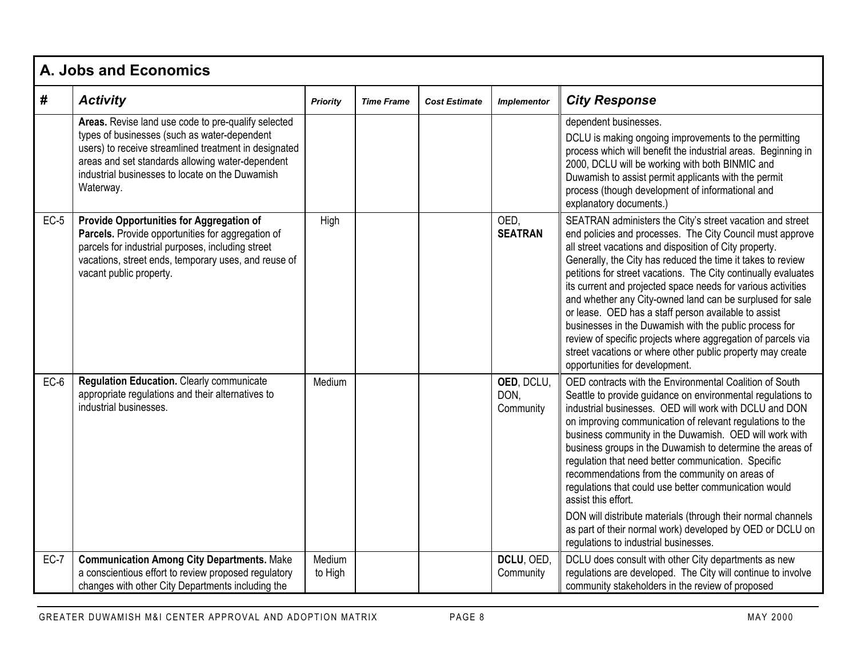|        | A. Jobs and Economics                                                                                                                                                                                                                                                            |                   |                   |                      |                                 |                                                                                                                                                                                                                                                                                                                                                                                                                                                                                                                                                                                                                                                                                                                                     |  |  |
|--------|----------------------------------------------------------------------------------------------------------------------------------------------------------------------------------------------------------------------------------------------------------------------------------|-------------------|-------------------|----------------------|---------------------------------|-------------------------------------------------------------------------------------------------------------------------------------------------------------------------------------------------------------------------------------------------------------------------------------------------------------------------------------------------------------------------------------------------------------------------------------------------------------------------------------------------------------------------------------------------------------------------------------------------------------------------------------------------------------------------------------------------------------------------------------|--|--|
| #      | <b>Activity</b>                                                                                                                                                                                                                                                                  | Priority          | <b>Time Frame</b> | <b>Cost Estimate</b> | <b>Implementor</b>              | <b>City Response</b>                                                                                                                                                                                                                                                                                                                                                                                                                                                                                                                                                                                                                                                                                                                |  |  |
|        | Areas. Revise land use code to pre-qualify selected<br>types of businesses (such as water-dependent<br>users) to receive streamlined treatment in designated<br>areas and set standards allowing water-dependent<br>industrial businesses to locate on the Duwamish<br>Waterway. |                   |                   |                      |                                 | dependent businesses.<br>DCLU is making ongoing improvements to the permitting<br>process which will benefit the industrial areas. Beginning in<br>2000, DCLU will be working with both BINMIC and<br>Duwamish to assist permit applicants with the permit<br>process (though development of informational and<br>explanatory documents.)                                                                                                                                                                                                                                                                                                                                                                                           |  |  |
| $EC-5$ | Provide Opportunities for Aggregation of<br>Parcels. Provide opportunities for aggregation of<br>parcels for industrial purposes, including street<br>vacations, street ends, temporary uses, and reuse of<br>vacant public property.                                            | High              |                   |                      | OED.<br><b>SEATRAN</b>          | SEATRAN administers the City's street vacation and street<br>end policies and processes. The City Council must approve<br>all street vacations and disposition of City property.<br>Generally, the City has reduced the time it takes to review<br>petitions for street vacations. The City continually evaluates<br>its current and projected space needs for various activities<br>and whether any City-owned land can be surplused for sale<br>or lease. OED has a staff person available to assist<br>businesses in the Duwamish with the public process for<br>review of specific projects where aggregation of parcels via<br>street vacations or where other public property may create<br>opportunities for development.    |  |  |
| $EC-6$ | <b>Regulation Education.</b> Clearly communicate<br>appropriate regulations and their alternatives to<br>industrial businesses.                                                                                                                                                  | Medium            |                   |                      | OED, DCLU,<br>DON,<br>Community | OED contracts with the Environmental Coalition of South<br>Seattle to provide guidance on environmental regulations to<br>industrial businesses. OED will work with DCLU and DON<br>on improving communication of relevant regulations to the<br>business community in the Duwamish. OED will work with<br>business groups in the Duwamish to determine the areas of<br>regulation that need better communication. Specific<br>recommendations from the community on areas of<br>regulations that could use better communication would<br>assist this effort.<br>DON will distribute materials (through their normal channels<br>as part of their normal work) developed by OED or DCLU on<br>regulations to industrial businesses. |  |  |
| $EC-7$ | <b>Communication Among City Departments. Make</b><br>a conscientious effort to review proposed regulatory<br>changes with other City Departments including the                                                                                                                   | Medium<br>to High |                   |                      | DCLU, OED,<br>Community         | DCLU does consult with other City departments as new<br>regulations are developed. The City will continue to involve<br>community stakeholders in the review of proposed                                                                                                                                                                                                                                                                                                                                                                                                                                                                                                                                                            |  |  |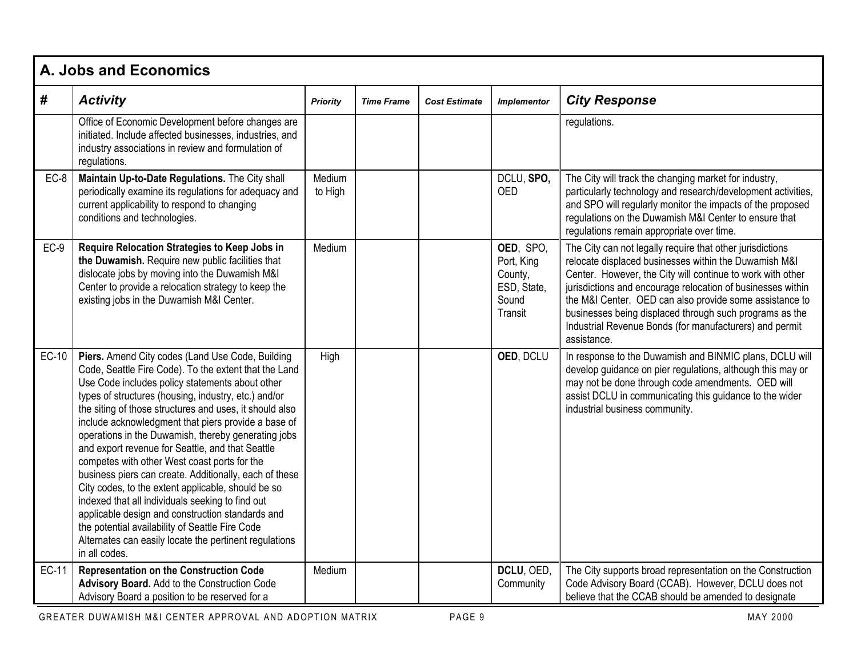|        | A. Jobs and Economics                                                                                                                                                                                                                                                                                                                                                                                                                                                                                                                                                                                                                                                                                                                                                                                                                                   |                   |                   |                      |                                                                       |                                                                                                                                                                                                                                                                                                                                                                                                                                                 |  |  |  |
|--------|---------------------------------------------------------------------------------------------------------------------------------------------------------------------------------------------------------------------------------------------------------------------------------------------------------------------------------------------------------------------------------------------------------------------------------------------------------------------------------------------------------------------------------------------------------------------------------------------------------------------------------------------------------------------------------------------------------------------------------------------------------------------------------------------------------------------------------------------------------|-------------------|-------------------|----------------------|-----------------------------------------------------------------------|-------------------------------------------------------------------------------------------------------------------------------------------------------------------------------------------------------------------------------------------------------------------------------------------------------------------------------------------------------------------------------------------------------------------------------------------------|--|--|--|
| #      | <b>Activity</b>                                                                                                                                                                                                                                                                                                                                                                                                                                                                                                                                                                                                                                                                                                                                                                                                                                         | <b>Priority</b>   | <b>Time Frame</b> | <b>Cost Estimate</b> | <b>Implementor</b>                                                    | <b>City Response</b>                                                                                                                                                                                                                                                                                                                                                                                                                            |  |  |  |
|        | Office of Economic Development before changes are<br>initiated. Include affected businesses, industries, and<br>industry associations in review and formulation of<br>regulations.                                                                                                                                                                                                                                                                                                                                                                                                                                                                                                                                                                                                                                                                      |                   |                   |                      |                                                                       | regulations.                                                                                                                                                                                                                                                                                                                                                                                                                                    |  |  |  |
| $EC-8$ | Maintain Up-to-Date Regulations. The City shall<br>periodically examine its regulations for adequacy and<br>current applicability to respond to changing<br>conditions and technologies.                                                                                                                                                                                                                                                                                                                                                                                                                                                                                                                                                                                                                                                                | Medium<br>to High |                   |                      | DCLU, SPO,<br><b>OED</b>                                              | The City will track the changing market for industry,<br>particularly technology and research/development activities,<br>and SPO will regularly monitor the impacts of the proposed<br>regulations on the Duwamish M&I Center to ensure that<br>regulations remain appropriate over time.                                                                                                                                                       |  |  |  |
| $EC-9$ | Require Relocation Strategies to Keep Jobs in<br>the Duwamish. Require new public facilities that<br>dislocate jobs by moving into the Duwamish M&I<br>Center to provide a relocation strategy to keep the<br>existing jobs in the Duwamish M&I Center.                                                                                                                                                                                                                                                                                                                                                                                                                                                                                                                                                                                                 | Medium            |                   |                      | OED, SPO,<br>Port, King<br>County,<br>ESD, State,<br>Sound<br>Transit | The City can not legally require that other jurisdictions<br>relocate displaced businesses within the Duwamish M&I<br>Center. However, the City will continue to work with other<br>jurisdictions and encourage relocation of businesses within<br>the M&I Center. OED can also provide some assistance to<br>businesses being displaced through such programs as the<br>Industrial Revenue Bonds (for manufacturers) and permit<br>assistance. |  |  |  |
| EC-10  | Piers. Amend City codes (Land Use Code, Building<br>Code, Seattle Fire Code). To the extent that the Land<br>Use Code includes policy statements about other<br>types of structures (housing, industry, etc.) and/or<br>the siting of those structures and uses, it should also<br>include acknowledgment that piers provide a base of<br>operations in the Duwamish, thereby generating jobs<br>and export revenue for Seattle, and that Seattle<br>competes with other West coast ports for the<br>business piers can create. Additionally, each of these<br>City codes, to the extent applicable, should be so<br>indexed that all individuals seeking to find out<br>applicable design and construction standards and<br>the potential availability of Seattle Fire Code<br>Alternates can easily locate the pertinent regulations<br>in all codes. | High              |                   |                      | OED, DCLU                                                             | In response to the Duwamish and BINMIC plans, DCLU will<br>develop guidance on pier regulations, although this may or<br>may not be done through code amendments. OED will<br>assist DCLU in communicating this guidance to the wider<br>industrial business community.                                                                                                                                                                         |  |  |  |
| EC-11  | <b>Representation on the Construction Code</b><br>Advisory Board. Add to the Construction Code<br>Advisory Board a position to be reserved for a                                                                                                                                                                                                                                                                                                                                                                                                                                                                                                                                                                                                                                                                                                        | Medium            |                   |                      | DCLU, OED,<br>Community                                               | The City supports broad representation on the Construction<br>Code Advisory Board (CCAB). However, DCLU does not<br>believe that the CCAB should be amended to designate                                                                                                                                                                                                                                                                        |  |  |  |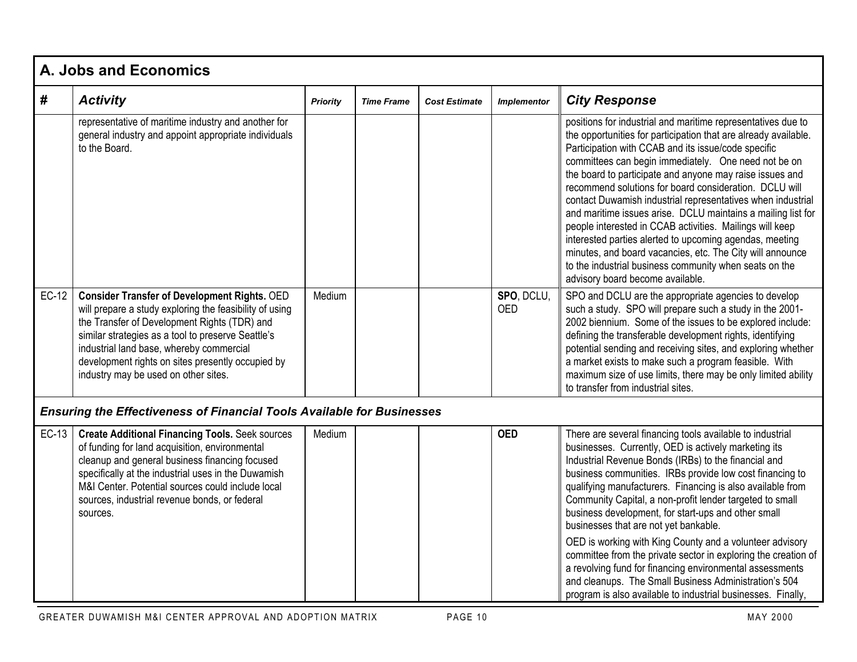| #     | <b>Activity</b>                                                                                                                                                                                                                                                                                                                                               | <b>Priority</b> | <b>Time Frame</b> | <b>Cost Estimate</b> | <b>Implementor</b>       | <b>City Response</b>                                                                                                                                                                                                                                                                                                                                                                                                                                                                                                                                                                                                                                                                                                                                                                  |
|-------|---------------------------------------------------------------------------------------------------------------------------------------------------------------------------------------------------------------------------------------------------------------------------------------------------------------------------------------------------------------|-----------------|-------------------|----------------------|--------------------------|---------------------------------------------------------------------------------------------------------------------------------------------------------------------------------------------------------------------------------------------------------------------------------------------------------------------------------------------------------------------------------------------------------------------------------------------------------------------------------------------------------------------------------------------------------------------------------------------------------------------------------------------------------------------------------------------------------------------------------------------------------------------------------------|
|       | representative of maritime industry and another for<br>general industry and appoint appropriate individuals<br>to the Board.                                                                                                                                                                                                                                  |                 |                   |                      |                          | positions for industrial and maritime representatives due to<br>the opportunities for participation that are already available.<br>Participation with CCAB and its issue/code specific<br>committees can begin immediately. One need not be on<br>the board to participate and anyone may raise issues and<br>recommend solutions for board consideration. DCLU will<br>contact Duwamish industrial representatives when industrial<br>and maritime issues arise. DCLU maintains a mailing list for<br>people interested in CCAB activities. Mailings will keep<br>interested parties alerted to upcoming agendas, meeting<br>minutes, and board vacancies, etc. The City will announce<br>to the industrial business community when seats on the<br>advisory board become available. |
| EC-12 | <b>Consider Transfer of Development Rights. OED</b><br>will prepare a study exploring the feasibility of using<br>the Transfer of Development Rights (TDR) and<br>similar strategies as a tool to preserve Seattle's<br>industrial land base, whereby commercial<br>development rights on sites presently occupied by<br>industry may be used on other sites. | Medium          |                   |                      | SPO, DCLU,<br><b>OED</b> | SPO and DCLU are the appropriate agencies to develop<br>such a study. SPO will prepare such a study in the 2001-<br>2002 biennium. Some of the issues to be explored include:<br>defining the transferable development rights, identifying<br>potential sending and receiving sites, and exploring whether<br>a market exists to make such a program feasible. With<br>maximum size of use limits, there may be only limited ability<br>to transfer from industrial sites.                                                                                                                                                                                                                                                                                                            |
|       | <b>Ensuring the Effectiveness of Financial Tools Available for Businesses</b>                                                                                                                                                                                                                                                                                 |                 |                   |                      |                          |                                                                                                                                                                                                                                                                                                                                                                                                                                                                                                                                                                                                                                                                                                                                                                                       |
| EC-13 | <b>Create Additional Financing Tools. Seek sources</b><br>of funding for land acquisition, environmental<br>cleanup and general business financing focused<br>specifically at the industrial uses in the Duwamish<br>M&I Center. Potential sources could include local<br>sources, industrial revenue bonds, or federal<br>sources.                           | Medium          |                   |                      | <b>OED</b>               | There are several financing tools available to industrial<br>businesses. Currently, OED is actively marketing its<br>Industrial Revenue Bonds (IRBs) to the financial and<br>business communities. IRBs provide low cost financing to<br>qualifying manufacturers. Financing is also available from<br>Community Capital, a non-profit lender targeted to small<br>business development, for start-ups and other small<br>businesses that are not yet bankable.<br>OED is working with King County and a volunteer advisory<br>committee from the private sector in exploring the creation of<br>a revolving fund for financing environmental assessments<br>and cleanups. The Small Business Administration's 504<br>program is also available to industrial businesses. Finally,    |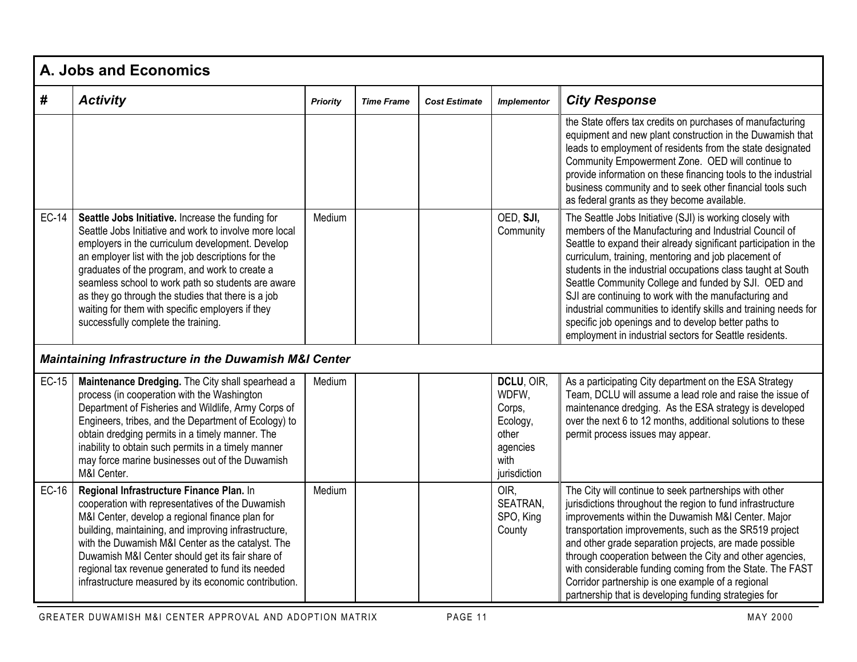|              | A. Jobs and Economics                                                                                                                                                                                                                                                                                                                                                                                                                                                          |                 |                   |                      |                                                                                        |                                                                                                                                                                                                                                                                                                                                                                                                                                                                                                                                                                                                                         |  |  |
|--------------|--------------------------------------------------------------------------------------------------------------------------------------------------------------------------------------------------------------------------------------------------------------------------------------------------------------------------------------------------------------------------------------------------------------------------------------------------------------------------------|-----------------|-------------------|----------------------|----------------------------------------------------------------------------------------|-------------------------------------------------------------------------------------------------------------------------------------------------------------------------------------------------------------------------------------------------------------------------------------------------------------------------------------------------------------------------------------------------------------------------------------------------------------------------------------------------------------------------------------------------------------------------------------------------------------------------|--|--|
| #            | <b>Activity</b>                                                                                                                                                                                                                                                                                                                                                                                                                                                                | <b>Priority</b> | <b>Time Frame</b> | <b>Cost Estimate</b> | <b>Implementor</b>                                                                     | <b>City Response</b>                                                                                                                                                                                                                                                                                                                                                                                                                                                                                                                                                                                                    |  |  |
|              |                                                                                                                                                                                                                                                                                                                                                                                                                                                                                |                 |                   |                      |                                                                                        | the State offers tax credits on purchases of manufacturing<br>equipment and new plant construction in the Duwamish that<br>leads to employment of residents from the state designated<br>Community Empowerment Zone. OED will continue to<br>provide information on these financing tools to the industrial<br>business community and to seek other financial tools such<br>as federal grants as they become available.                                                                                                                                                                                                 |  |  |
| <b>EC-14</b> | Seattle Jobs Initiative. Increase the funding for<br>Seattle Jobs Initiative and work to involve more local<br>employers in the curriculum development. Develop<br>an employer list with the job descriptions for the<br>graduates of the program, and work to create a<br>seamless school to work path so students are aware<br>as they go through the studies that there is a job<br>waiting for them with specific employers if they<br>successfully complete the training. | Medium          |                   |                      | OED, SJI,<br>Community                                                                 | The Seattle Jobs Initiative (SJI) is working closely with<br>members of the Manufacturing and Industrial Council of<br>Seattle to expand their already significant participation in the<br>curriculum, training, mentoring and job placement of<br>students in the industrial occupations class taught at South<br>Seattle Community College and funded by SJI. OED and<br>SJI are continuing to work with the manufacturing and<br>industrial communities to identify skills and training needs for<br>specific job openings and to develop better paths to<br>employment in industrial sectors for Seattle residents. |  |  |
|              | Maintaining Infrastructure in the Duwamish M&I Center                                                                                                                                                                                                                                                                                                                                                                                                                          |                 |                   |                      |                                                                                        |                                                                                                                                                                                                                                                                                                                                                                                                                                                                                                                                                                                                                         |  |  |
| <b>EC-15</b> | Maintenance Dredging. The City shall spearhead a<br>process (in cooperation with the Washington<br>Department of Fisheries and Wildlife, Army Corps of<br>Engineers, tribes, and the Department of Ecology) to<br>obtain dredging permits in a timely manner. The<br>inability to obtain such permits in a timely manner<br>may force marine businesses out of the Duwamish<br>M&I Center.                                                                                     | Medium          |                   |                      | DCLU, OIR,<br>WDFW,<br>Corps,<br>Ecology,<br>other<br>agencies<br>with<br>jurisdiction | As a participating City department on the ESA Strategy<br>Team, DCLU will assume a lead role and raise the issue of<br>maintenance dredging. As the ESA strategy is developed<br>over the next 6 to 12 months, additional solutions to these<br>permit process issues may appear.                                                                                                                                                                                                                                                                                                                                       |  |  |
| EC-16        | Regional Infrastructure Finance Plan. In<br>cooperation with representatives of the Duwamish<br>M&I Center, develop a regional finance plan for<br>building, maintaining, and improving infrastructure,<br>with the Duwamish M&I Center as the catalyst. The<br>Duwamish M&I Center should get its fair share of<br>regional tax revenue generated to fund its needed<br>infrastructure measured by its economic contribution.                                                 | Medium          |                   |                      | OIR,<br>SEATRAN,<br>SPO, King<br>County                                                | The City will continue to seek partnerships with other<br>jurisdictions throughout the region to fund infrastructure<br>improvements within the Duwamish M&I Center. Major<br>transportation improvements, such as the SR519 project<br>and other grade separation projects, are made possible<br>through cooperation between the City and other agencies,<br>with considerable funding coming from the State. The FAST<br>Corridor partnership is one example of a regional<br>partnership that is developing funding strategies for                                                                                   |  |  |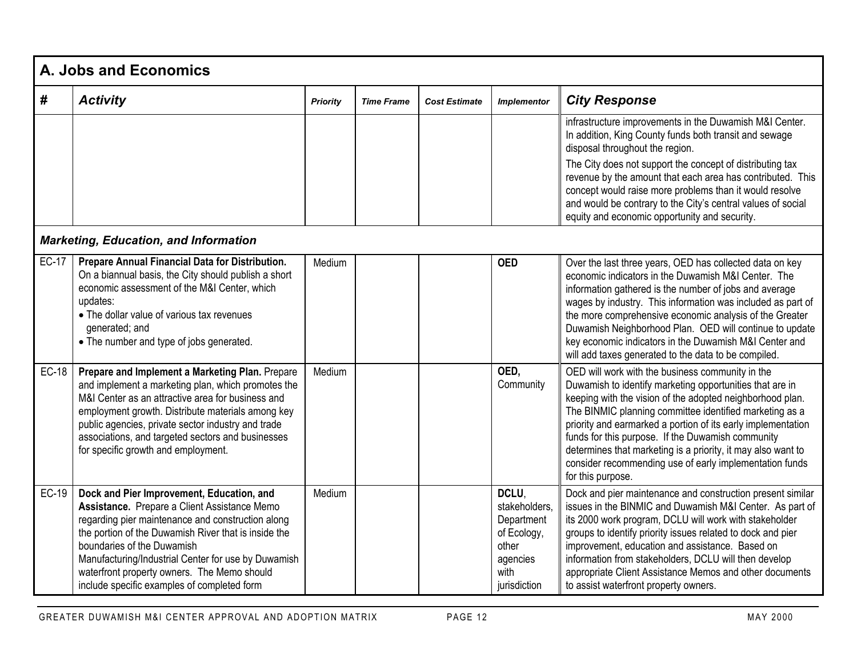|              | A. Jobs and Economics                                                                                                                                                                                                                                                                                                                                                                     |                 |                   |                      |                                                                                                  |                                                                                                                                                                                                                                                                                                                                                                                                                                                                                                           |  |  |
|--------------|-------------------------------------------------------------------------------------------------------------------------------------------------------------------------------------------------------------------------------------------------------------------------------------------------------------------------------------------------------------------------------------------|-----------------|-------------------|----------------------|--------------------------------------------------------------------------------------------------|-----------------------------------------------------------------------------------------------------------------------------------------------------------------------------------------------------------------------------------------------------------------------------------------------------------------------------------------------------------------------------------------------------------------------------------------------------------------------------------------------------------|--|--|
| #            | <b>Activity</b>                                                                                                                                                                                                                                                                                                                                                                           | <b>Priority</b> | <b>Time Frame</b> | <b>Cost Estimate</b> | <b>Implementor</b>                                                                               | <b>City Response</b>                                                                                                                                                                                                                                                                                                                                                                                                                                                                                      |  |  |
|              |                                                                                                                                                                                                                                                                                                                                                                                           |                 |                   |                      |                                                                                                  | infrastructure improvements in the Duwamish M&I Center.<br>In addition, King County funds both transit and sewage<br>disposal throughout the region.<br>The City does not support the concept of distributing tax<br>revenue by the amount that each area has contributed. This<br>concept would raise more problems than it would resolve<br>and would be contrary to the City's central values of social<br>equity and economic opportunity and security.                                               |  |  |
|              | <b>Marketing, Education, and Information</b>                                                                                                                                                                                                                                                                                                                                              |                 |                   |                      |                                                                                                  |                                                                                                                                                                                                                                                                                                                                                                                                                                                                                                           |  |  |
| <b>EC-17</b> | Prepare Annual Financial Data for Distribution.<br>On a biannual basis, the City should publish a short<br>economic assessment of the M&I Center, which<br>updates:<br>• The dollar value of various tax revenues<br>generated; and<br>• The number and type of jobs generated.                                                                                                           | Medium          |                   |                      | <b>OED</b>                                                                                       | Over the last three years, OED has collected data on key<br>economic indicators in the Duwamish M&I Center. The<br>information gathered is the number of jobs and average<br>wages by industry. This information was included as part of<br>the more comprehensive economic analysis of the Greater<br>Duwamish Neighborhood Plan. OED will continue to update<br>key economic indicators in the Duwamish M&I Center and<br>will add taxes generated to the data to be compiled.                          |  |  |
| <b>EC-18</b> | Prepare and Implement a Marketing Plan. Prepare<br>and implement a marketing plan, which promotes the<br>M&I Center as an attractive area for business and<br>employment growth. Distribute materials among key<br>public agencies, private sector industry and trade<br>associations, and targeted sectors and businesses<br>for specific growth and employment.                         | Medium          |                   |                      | OED,<br>Community                                                                                | OED will work with the business community in the<br>Duwamish to identify marketing opportunities that are in<br>keeping with the vision of the adopted neighborhood plan.<br>The BINMIC planning committee identified marketing as a<br>priority and earmarked a portion of its early implementation<br>funds for this purpose. If the Duwamish community<br>determines that marketing is a priority, it may also want to<br>consider recommending use of early implementation funds<br>for this purpose. |  |  |
| EC-19        | Dock and Pier Improvement, Education, and<br>Assistance. Prepare a Client Assistance Memo<br>regarding pier maintenance and construction along<br>the portion of the Duwamish River that is inside the<br>boundaries of the Duwamish<br>Manufacturing/Industrial Center for use by Duwamish<br>waterfront property owners. The Memo should<br>include specific examples of completed form | Medium          |                   |                      | DCLU.<br>stakeholders.<br>Department<br>of Ecology,<br>other<br>agencies<br>with<br>jurisdiction | Dock and pier maintenance and construction present similar<br>issues in the BINMIC and Duwamish M&I Center. As part of<br>its 2000 work program, DCLU will work with stakeholder<br>groups to identify priority issues related to dock and pier<br>improvement, education and assistance. Based on<br>information from stakeholders, DCLU will then develop<br>appropriate Client Assistance Memos and other documents<br>to assist waterfront property owners.                                           |  |  |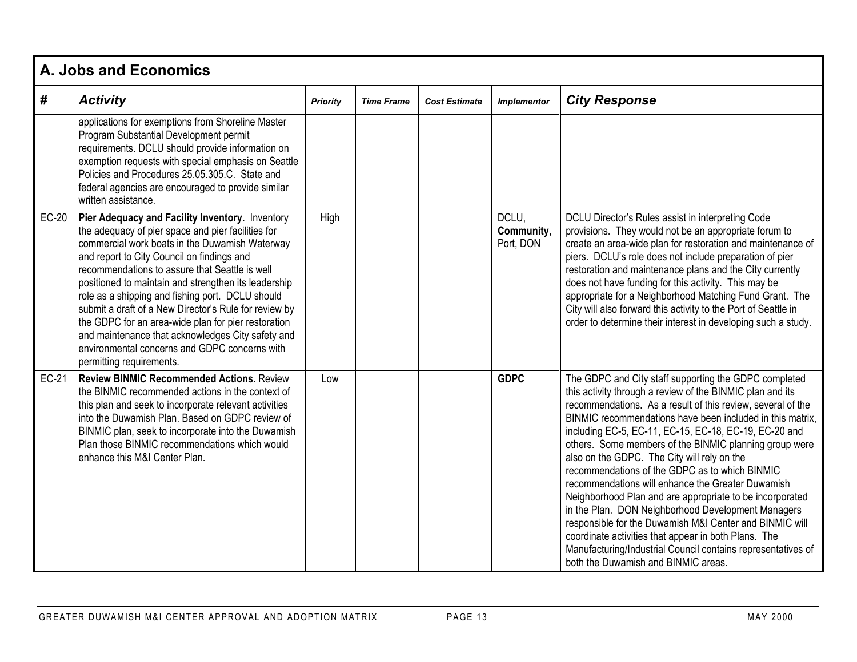|       | A. Jobs and Economics                                                                                                                                                                                                                                                                                                                                                                                                                                                                                                                                                                                                 |                 |                   |                      |                                  |                                                                                                                                                                                                                                                                                                                                                                                                                                                                                                                                                                                                                                                                                                                                                                                                                                                                     |  |  |
|-------|-----------------------------------------------------------------------------------------------------------------------------------------------------------------------------------------------------------------------------------------------------------------------------------------------------------------------------------------------------------------------------------------------------------------------------------------------------------------------------------------------------------------------------------------------------------------------------------------------------------------------|-----------------|-------------------|----------------------|----------------------------------|---------------------------------------------------------------------------------------------------------------------------------------------------------------------------------------------------------------------------------------------------------------------------------------------------------------------------------------------------------------------------------------------------------------------------------------------------------------------------------------------------------------------------------------------------------------------------------------------------------------------------------------------------------------------------------------------------------------------------------------------------------------------------------------------------------------------------------------------------------------------|--|--|
| #     | <b>Activity</b>                                                                                                                                                                                                                                                                                                                                                                                                                                                                                                                                                                                                       | <b>Priority</b> | <b>Time Frame</b> | <b>Cost Estimate</b> | <b>Implementor</b>               | <b>City Response</b>                                                                                                                                                                                                                                                                                                                                                                                                                                                                                                                                                                                                                                                                                                                                                                                                                                                |  |  |
|       | applications for exemptions from Shoreline Master<br>Program Substantial Development permit<br>requirements. DCLU should provide information on<br>exemption requests with special emphasis on Seattle<br>Policies and Procedures 25.05.305.C. State and<br>federal agencies are encouraged to provide similar<br>written assistance.                                                                                                                                                                                                                                                                                 |                 |                   |                      |                                  |                                                                                                                                                                                                                                                                                                                                                                                                                                                                                                                                                                                                                                                                                                                                                                                                                                                                     |  |  |
| EC-20 | Pier Adequacy and Facility Inventory. Inventory<br>the adequacy of pier space and pier facilities for<br>commercial work boats in the Duwamish Waterway<br>and report to City Council on findings and<br>recommendations to assure that Seattle is well<br>positioned to maintain and strengthen its leadership<br>role as a shipping and fishing port. DCLU should<br>submit a draft of a New Director's Rule for review by<br>the GDPC for an area-wide plan for pier restoration<br>and maintenance that acknowledges City safety and<br>environmental concerns and GDPC concerns with<br>permitting requirements. | High            |                   |                      | DCLU.<br>Community,<br>Port, DON | DCLU Director's Rules assist in interpreting Code<br>provisions. They would not be an appropriate forum to<br>create an area-wide plan for restoration and maintenance of<br>piers. DCLU's role does not include preparation of pier<br>restoration and maintenance plans and the City currently<br>does not have funding for this activity. This may be<br>appropriate for a Neighborhood Matching Fund Grant. The<br>City will also forward this activity to the Port of Seattle in<br>order to determine their interest in developing such a study.                                                                                                                                                                                                                                                                                                              |  |  |
| EC-21 | <b>Review BINMIC Recommended Actions. Review</b><br>the BINMIC recommended actions in the context of<br>this plan and seek to incorporate relevant activities<br>into the Duwamish Plan. Based on GDPC review of<br>BINMIC plan, seek to incorporate into the Duwamish<br>Plan those BINMIC recommendations which would<br>enhance this M&I Center Plan.                                                                                                                                                                                                                                                              | Low             |                   |                      | <b>GDPC</b>                      | The GDPC and City staff supporting the GDPC completed<br>this activity through a review of the BINMIC plan and its<br>recommendations. As a result of this review, several of the<br>BINMIC recommendations have been included in this matrix,<br>including EC-5, EC-11, EC-15, EC-18, EC-19, EC-20 and<br>others. Some members of the BINMIC planning group were<br>also on the GDPC. The City will rely on the<br>recommendations of the GDPC as to which BINMIC<br>recommendations will enhance the Greater Duwamish<br>Neighborhood Plan and are appropriate to be incorporated<br>in the Plan. DON Neighborhood Development Managers<br>responsible for the Duwamish M&I Center and BINMIC will<br>coordinate activities that appear in both Plans. The<br>Manufacturing/Industrial Council contains representatives of<br>both the Duwamish and BINMIC areas. |  |  |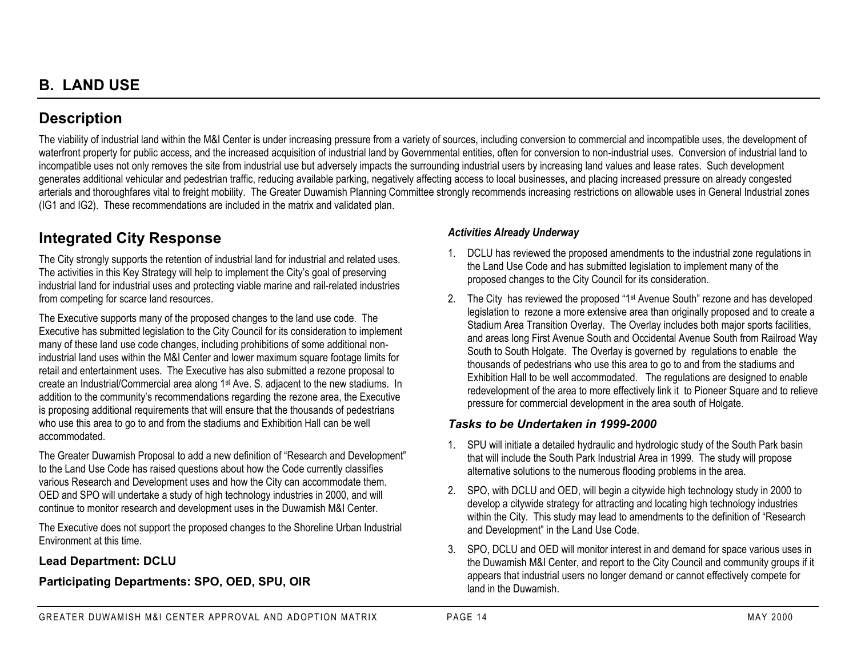# **B. LAND USE**

### **Description**

The viability of industrial land within the M&I Center is under increasing pressure from a variety of sources, including conversion to commercial and incompatible uses, the development of waterfront property for public access, and the increased acquisition of industrial land by Governmental entities, often for conversion to non-industrial uses. Conversion of industrial land to incompatible uses not only removes the site from industrial use but adversely impacts the surrounding industrial users by increasing land values and lease rates. Such development generates additional vehicular and pedestrian traffic, reducing available parking, negatively affecting access to local businesses, and placing increased pressure on already congested arterials and thoroughfares vital to freight mobility. The Greater Duwamish Planning Committee strongly recommends increasing restrictions on allowable uses in General Industrial zones (IG1 and IG2). These recommendations are included in the matrix and validated plan.

### **Integrated City Response**

The City strongly supports the retention of industrial land for industrial and related uses. The activities in this Key Strategy will help to implement the City's goal of preserving industrial land for industrial uses and protecting viable marine and rail-related industries from competing for scarce land resources.

The Executive supports many of the proposed changes to the land use code. The Executive has submitted legislation to the City Council for its consideration to implement many of these land use code changes, including prohibitions of some additional nonindustrial land uses within the M&I Center and lower maximum square footage limits for retail and entertainment uses. The Executive has also submitted a rezone proposal to create an Industrial/Commercial area along 1st Ave. S. adjacent to the new stadiums. In addition to the community's recommendations regarding the rezone area, the Executive is proposing additional requirements that will ensure that the thousands of pedestrians who use this area to go to and from the stadiums and Exhibition Hall can be well accommodated.

The Greater Duwamish Proposal to add a new definition of "Research and Development" to the Land Use Code has raised questions about how the Code currently classifies various Research and Development uses and how the City can accommodate them. OED and SPO will undertake a study of high technology industries in 2000, and will continue to monitor research and development uses in the Duwamish M&I Center.

The Executive does not support the proposed changes to the Shoreline Urban Industrial Environment at this time.

#### **Lead Department: DCLU**

#### **Participating Departments: SPO, OED, SPU, OIR**

#### *Activities Already Underway*

- 1. DCLU has reviewed the proposed amendments to the industrial zone regulations in the Land Use Code and has submitted legislation to implement many of the proposed changes to the City Council for its consideration.
- 2. The City has reviewed the proposed "1st Avenue South" rezone and has developed legislation to rezone a more extensive area than originally proposed and to create a Stadium Area Transition Overlay. The Overlay includes both major sports facilities, and areas long First Avenue South and Occidental Avenue South from Railroad Way South to South Holgate. The Overlay is governed by regulations to enable the thousands of pedestrians who use this area to go to and from the stadiums and Exhibition Hall to be well accommodated. The regulations are designed to enable redevelopment of the area to more effectively link it to Pioneer Square and to relieve pressure for commercial development in the area south of Holgate.

#### *Tasks to be Undertaken in 1999-2000*

- 1. SPU will initiate a detailed hydraulic and hydrologic study of the South Park basin that will include the South Park Industrial Area in 1999. The study will propose alternative solutions to the numerous flooding problems in the area.
- 2. SPO, with DCLU and OED, will begin a citywide high technology study in 2000 to develop a citywide strategy for attracting and locating high technology industries within the City. This study may lead to amendments to the definition of "Research" and Development" in the Land Use Code.
- 3. SPO, DCLU and OED will monitor interest in and demand for space various uses in the Duwamish M&I Center, and report to the City Council and community groups if it appears that industrial users no longer demand or cannot effectively compete for land in the Duwamish.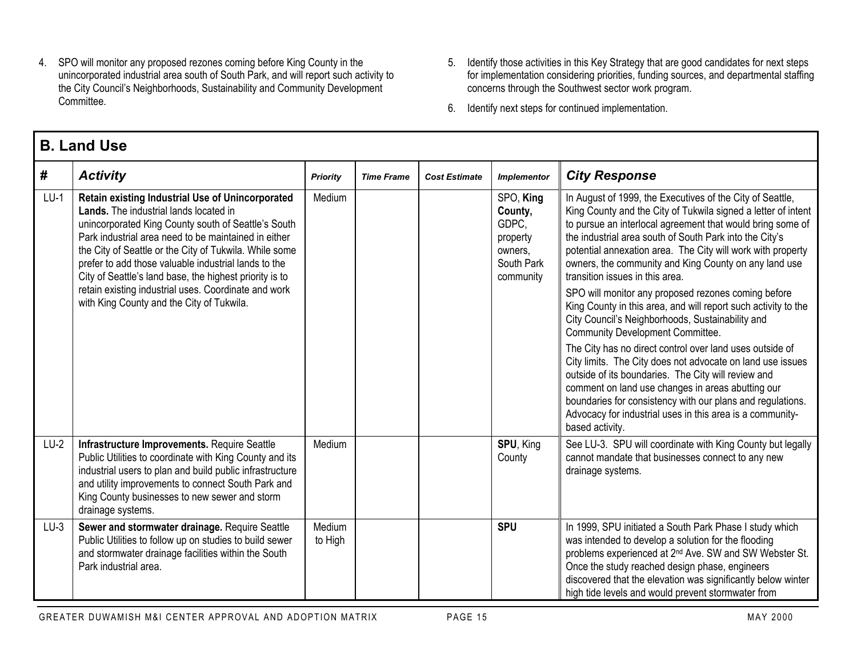- 4. SPO will monitor any proposed rezones coming before King County in the unincorporated industrial area south of South Park, and will report such activity to the City Council's Neighborhoods, Sustainability and Community Development Committee.
- 5. Identify those activities in this Key Strategy that are good candidates for next steps for implementation considering priorities, funding sources, and departmental staffing concerns through the Southwest sector work program.
- 6. Identify next steps for continued implementation.

|        | B. Lang Use                                                                                                                                                                                                                                                                                                                                                                                                                                                                                 |                   |                   |                      |                                                                                 |                                                                                                                                                                                                                                                                                                                                                                                                                                                                                                                                                                                                                                                                                                                                                                                                                                                                                                                                                                                                                            |  |  |  |
|--------|---------------------------------------------------------------------------------------------------------------------------------------------------------------------------------------------------------------------------------------------------------------------------------------------------------------------------------------------------------------------------------------------------------------------------------------------------------------------------------------------|-------------------|-------------------|----------------------|---------------------------------------------------------------------------------|----------------------------------------------------------------------------------------------------------------------------------------------------------------------------------------------------------------------------------------------------------------------------------------------------------------------------------------------------------------------------------------------------------------------------------------------------------------------------------------------------------------------------------------------------------------------------------------------------------------------------------------------------------------------------------------------------------------------------------------------------------------------------------------------------------------------------------------------------------------------------------------------------------------------------------------------------------------------------------------------------------------------------|--|--|--|
| #      | <b>Activity</b>                                                                                                                                                                                                                                                                                                                                                                                                                                                                             | Priority          | <b>Time Frame</b> | <b>Cost Estimate</b> | <b>Implementor</b>                                                              | <b>City Response</b>                                                                                                                                                                                                                                                                                                                                                                                                                                                                                                                                                                                                                                                                                                                                                                                                                                                                                                                                                                                                       |  |  |  |
| $LU-1$ | Retain existing Industrial Use of Unincorporated<br>Lands. The industrial lands located in<br>unincorporated King County south of Seattle's South<br>Park industrial area need to be maintained in either<br>the City of Seattle or the City of Tukwila. While some<br>prefer to add those valuable industrial lands to the<br>City of Seattle's land base, the highest priority is to<br>retain existing industrial uses. Coordinate and work<br>with King County and the City of Tukwila. | Medium            |                   |                      | SPO, King<br>County,<br>GDPC.<br>property<br>owners.<br>South Park<br>community | In August of 1999, the Executives of the City of Seattle,<br>King County and the City of Tukwila signed a letter of intent<br>to pursue an interlocal agreement that would bring some of<br>the industrial area south of South Park into the City's<br>potential annexation area. The City will work with property<br>owners, the community and King County on any land use<br>transition issues in this area.<br>SPO will monitor any proposed rezones coming before<br>King County in this area, and will report such activity to the<br>City Council's Neighborhoods, Sustainability and<br><b>Community Development Committee.</b><br>The City has no direct control over land uses outside of<br>City limits. The City does not advocate on land use issues<br>outside of its boundaries. The City will review and<br>comment on land use changes in areas abutting our<br>boundaries for consistency with our plans and regulations.<br>Advocacy for industrial uses in this area is a community-<br>based activity. |  |  |  |
| $LU-2$ | Infrastructure Improvements. Require Seattle<br>Public Utilities to coordinate with King County and its<br>industrial users to plan and build public infrastructure<br>and utility improvements to connect South Park and<br>King County businesses to new sewer and storm<br>drainage systems.                                                                                                                                                                                             | Medium            |                   |                      | SPU, King<br>County                                                             | See LU-3. SPU will coordinate with King County but legally<br>cannot mandate that businesses connect to any new<br>drainage systems.                                                                                                                                                                                                                                                                                                                                                                                                                                                                                                                                                                                                                                                                                                                                                                                                                                                                                       |  |  |  |
| $LU-3$ | Sewer and stormwater drainage. Require Seattle<br>Public Utilities to follow up on studies to build sewer<br>and stormwater drainage facilities within the South<br>Park industrial area.                                                                                                                                                                                                                                                                                                   | Medium<br>to High |                   |                      | <b>SPU</b>                                                                      | In 1999, SPU initiated a South Park Phase I study which<br>was intended to develop a solution for the flooding<br>problems experienced at 2 <sup>nd</sup> Ave. SW and SW Webster St.<br>Once the study reached design phase, engineers<br>discovered that the elevation was significantly below winter<br>high tide levels and would prevent stormwater from                                                                                                                                                                                                                                                                                                                                                                                                                                                                                                                                                                                                                                                               |  |  |  |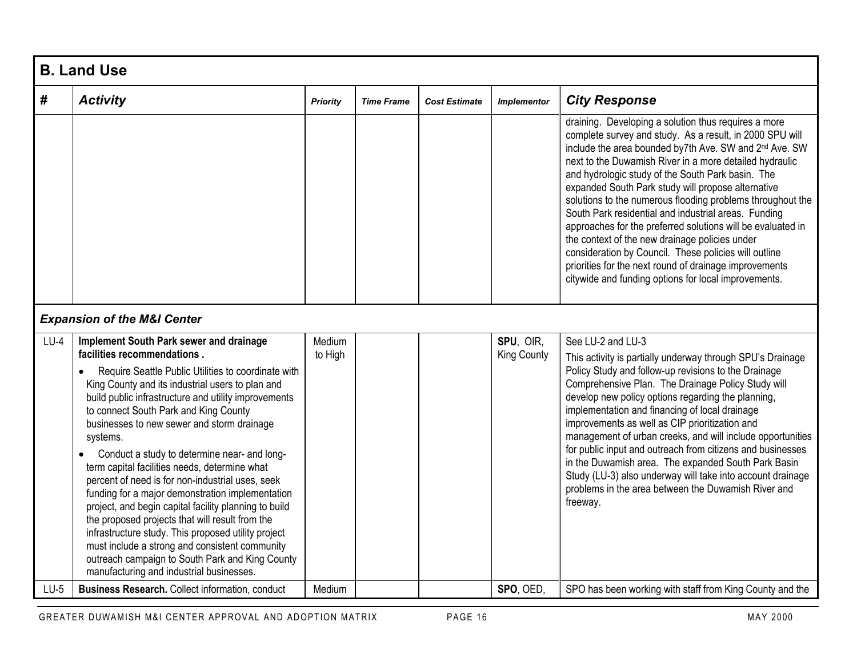|        | <b>B. Land Use</b>                                                                                                                                                                                                                                                                                                                                                                                                                                                                                                                                                                                                                                                                                                                                                                                                                                                        |                   |                   |                      |                          |                                                                                                                                                                                                                                                                                                                                                                                                                                                                                                                                                                                                                                                                                                                                                                    |  |  |
|--------|---------------------------------------------------------------------------------------------------------------------------------------------------------------------------------------------------------------------------------------------------------------------------------------------------------------------------------------------------------------------------------------------------------------------------------------------------------------------------------------------------------------------------------------------------------------------------------------------------------------------------------------------------------------------------------------------------------------------------------------------------------------------------------------------------------------------------------------------------------------------------|-------------------|-------------------|----------------------|--------------------------|--------------------------------------------------------------------------------------------------------------------------------------------------------------------------------------------------------------------------------------------------------------------------------------------------------------------------------------------------------------------------------------------------------------------------------------------------------------------------------------------------------------------------------------------------------------------------------------------------------------------------------------------------------------------------------------------------------------------------------------------------------------------|--|--|
| #      | <b>Activity</b>                                                                                                                                                                                                                                                                                                                                                                                                                                                                                                                                                                                                                                                                                                                                                                                                                                                           | <b>Priority</b>   | <b>Time Frame</b> | <b>Cost Estimate</b> | <b>Implementor</b>       | <b>City Response</b>                                                                                                                                                                                                                                                                                                                                                                                                                                                                                                                                                                                                                                                                                                                                               |  |  |
|        |                                                                                                                                                                                                                                                                                                                                                                                                                                                                                                                                                                                                                                                                                                                                                                                                                                                                           |                   |                   |                      |                          | draining. Developing a solution thus requires a more<br>complete survey and study. As a result, in 2000 SPU will<br>include the area bounded by7th Ave. SW and 2nd Ave. SW<br>next to the Duwamish River in a more detailed hydraulic<br>and hydrologic study of the South Park basin. The<br>expanded South Park study will propose alternative<br>solutions to the numerous flooding problems throughout the<br>South Park residential and industrial areas. Funding<br>approaches for the preferred solutions will be evaluated in<br>the context of the new drainage policies under<br>consideration by Council. These policies will outline<br>priorities for the next round of drainage improvements<br>citywide and funding options for local improvements. |  |  |
|        | <b>Expansion of the M&amp;I Center</b>                                                                                                                                                                                                                                                                                                                                                                                                                                                                                                                                                                                                                                                                                                                                                                                                                                    |                   |                   |                      |                          |                                                                                                                                                                                                                                                                                                                                                                                                                                                                                                                                                                                                                                                                                                                                                                    |  |  |
| $LU-4$ | Implement South Park sewer and drainage<br>facilities recommendations.<br>Require Seattle Public Utilities to coordinate with<br>King County and its industrial users to plan and<br>build public infrastructure and utility improvements<br>to connect South Park and King County<br>businesses to new sewer and storm drainage<br>systems.<br>Conduct a study to determine near- and long-<br>term capital facilities needs, determine what<br>percent of need is for non-industrial uses, seek<br>funding for a major demonstration implementation<br>project, and begin capital facility planning to build<br>the proposed projects that will result from the<br>infrastructure study. This proposed utility project<br>must include a strong and consistent community<br>outreach campaign to South Park and King County<br>manufacturing and industrial businesses. | Medium<br>to High |                   |                      | SPU, OIR,<br>King County | See LU-2 and LU-3<br>This activity is partially underway through SPU's Drainage<br>Policy Study and follow-up revisions to the Drainage<br>Comprehensive Plan. The Drainage Policy Study will<br>develop new policy options regarding the planning,<br>implementation and financing of local drainage<br>improvements as well as CIP prioritization and<br>management of urban creeks, and will include opportunities<br>for public input and outreach from citizens and businesses<br>in the Duwamish area. The expanded South Park Basin<br>Study (LU-3) also underway will take into account drainage<br>problems in the area between the Duwamish River and<br>freeway.                                                                                        |  |  |
| $LU-5$ | <b>Business Research.</b> Collect information, conduct                                                                                                                                                                                                                                                                                                                                                                                                                                                                                                                                                                                                                                                                                                                                                                                                                    | Medium            |                   |                      | SPO, OED,                | SPO has been working with staff from King County and the                                                                                                                                                                                                                                                                                                                                                                                                                                                                                                                                                                                                                                                                                                           |  |  |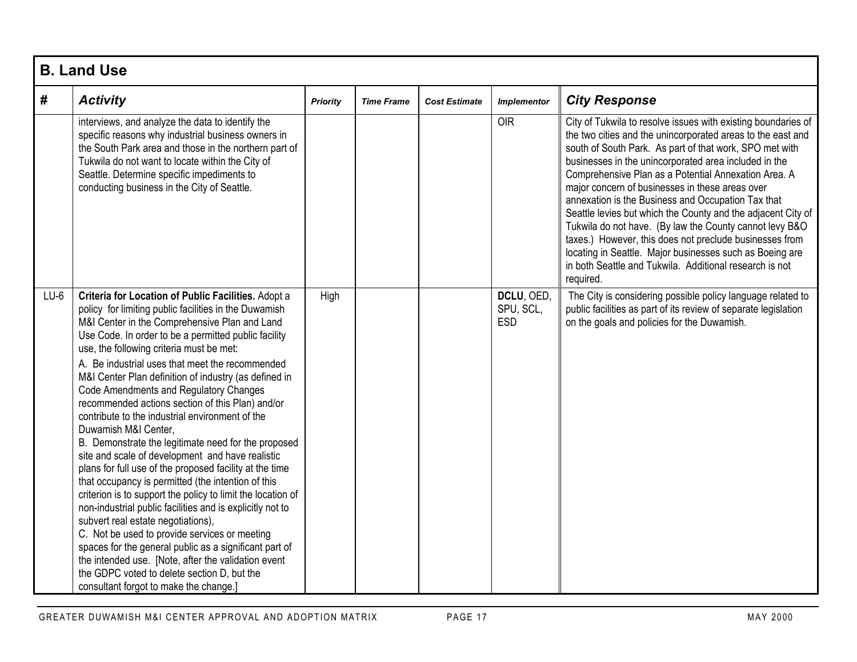|        | <b>B. Land Use</b>                                                                                                                                                                                                                                                                                                                                                                                                                                                                                                                                                                                                                                                                                                                                                                                                                                                                                                                                                                                                                                                                                                                                                                                              |                 |                   |                      |                                       |                                                                                                                                                                                                                                                                                                                                                                                                                                                                                                                                                                                                                                                                                                                                             |  |  |  |
|--------|-----------------------------------------------------------------------------------------------------------------------------------------------------------------------------------------------------------------------------------------------------------------------------------------------------------------------------------------------------------------------------------------------------------------------------------------------------------------------------------------------------------------------------------------------------------------------------------------------------------------------------------------------------------------------------------------------------------------------------------------------------------------------------------------------------------------------------------------------------------------------------------------------------------------------------------------------------------------------------------------------------------------------------------------------------------------------------------------------------------------------------------------------------------------------------------------------------------------|-----------------|-------------------|----------------------|---------------------------------------|---------------------------------------------------------------------------------------------------------------------------------------------------------------------------------------------------------------------------------------------------------------------------------------------------------------------------------------------------------------------------------------------------------------------------------------------------------------------------------------------------------------------------------------------------------------------------------------------------------------------------------------------------------------------------------------------------------------------------------------------|--|--|--|
| #      | <b>Activity</b>                                                                                                                                                                                                                                                                                                                                                                                                                                                                                                                                                                                                                                                                                                                                                                                                                                                                                                                                                                                                                                                                                                                                                                                                 | <b>Priority</b> | <b>Time Frame</b> | <b>Cost Estimate</b> | <b>Implementor</b>                    | <b>City Response</b>                                                                                                                                                                                                                                                                                                                                                                                                                                                                                                                                                                                                                                                                                                                        |  |  |  |
|        | interviews, and analyze the data to identify the<br>specific reasons why industrial business owners in<br>the South Park area and those in the northern part of<br>Tukwila do not want to locate within the City of<br>Seattle. Determine specific impediments to<br>conducting business in the City of Seattle.                                                                                                                                                                                                                                                                                                                                                                                                                                                                                                                                                                                                                                                                                                                                                                                                                                                                                                |                 |                   |                      | <b>OIR</b>                            | City of Tukwila to resolve issues with existing boundaries of<br>the two cities and the unincorporated areas to the east and<br>south of South Park. As part of that work, SPO met with<br>businesses in the unincorporated area included in the<br>Comprehensive Plan as a Potential Annexation Area. A<br>major concern of businesses in these areas over<br>annexation is the Business and Occupation Tax that<br>Seattle levies but which the County and the adjacent City of<br>Tukwila do not have. (By law the County cannot levy B&O<br>taxes.) However, this does not preclude businesses from<br>locating in Seattle. Major businesses such as Boeing are<br>in both Seattle and Tukwila. Additional research is not<br>required. |  |  |  |
| $LU-6$ | Criteria for Location of Public Facilities. Adopt a<br>policy for limiting public facilities in the Duwamish<br>M&I Center in the Comprehensive Plan and Land<br>Use Code. In order to be a permitted public facility<br>use, the following criteria must be met:<br>A. Be industrial uses that meet the recommended<br>M&I Center Plan definition of industry (as defined in<br>Code Amendments and Regulatory Changes<br>recommended actions section of this Plan) and/or<br>contribute to the industrial environment of the<br>Duwamish M&I Center,<br>B. Demonstrate the legitimate need for the proposed<br>site and scale of development and have realistic<br>plans for full use of the proposed facility at the time<br>that occupancy is permitted (the intention of this<br>criterion is to support the policy to limit the location of<br>non-industrial public facilities and is explicitly not to<br>subvert real estate negotiations),<br>C. Not be used to provide services or meeting<br>spaces for the general public as a significant part of<br>the intended use. [Note, after the validation event<br>the GDPC voted to delete section D, but the<br>consultant forgot to make the change.] | High            |                   |                      | DCLU, OED,<br>SPU, SCL,<br><b>ESD</b> | The City is considering possible policy language related to<br>public facilities as part of its review of separate legislation<br>on the goals and policies for the Duwamish.                                                                                                                                                                                                                                                                                                                                                                                                                                                                                                                                                               |  |  |  |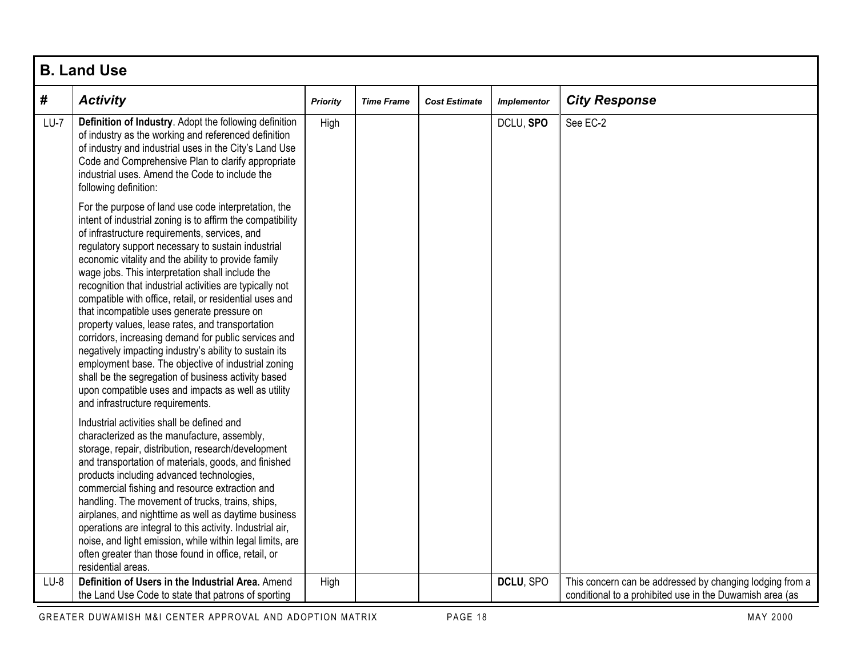|        | <b>B. Land Use</b>                                                                                                                                                                                                                                                                                                                                                                                                                                                                                                                                                                                                                                                                                                                                                                                                                                                                        |          |                   |                      |                    |                                                                                                                      |  |  |  |
|--------|-------------------------------------------------------------------------------------------------------------------------------------------------------------------------------------------------------------------------------------------------------------------------------------------------------------------------------------------------------------------------------------------------------------------------------------------------------------------------------------------------------------------------------------------------------------------------------------------------------------------------------------------------------------------------------------------------------------------------------------------------------------------------------------------------------------------------------------------------------------------------------------------|----------|-------------------|----------------------|--------------------|----------------------------------------------------------------------------------------------------------------------|--|--|--|
| #      | <b>Activity</b>                                                                                                                                                                                                                                                                                                                                                                                                                                                                                                                                                                                                                                                                                                                                                                                                                                                                           | Priority | <b>Time Frame</b> | <b>Cost Estimate</b> | <b>Implementor</b> | <b>City Response</b>                                                                                                 |  |  |  |
| $LU-7$ | Definition of Industry. Adopt the following definition<br>of industry as the working and referenced definition<br>of industry and industrial uses in the City's Land Use<br>Code and Comprehensive Plan to clarify appropriate<br>industrial uses. Amend the Code to include the<br>following definition:                                                                                                                                                                                                                                                                                                                                                                                                                                                                                                                                                                                 | High     |                   |                      | DCLU, SPO          | See EC-2                                                                                                             |  |  |  |
|        | For the purpose of land use code interpretation, the<br>intent of industrial zoning is to affirm the compatibility<br>of infrastructure requirements, services, and<br>regulatory support necessary to sustain industrial<br>economic vitality and the ability to provide family<br>wage jobs. This interpretation shall include the<br>recognition that industrial activities are typically not<br>compatible with office, retail, or residential uses and<br>that incompatible uses generate pressure on<br>property values, lease rates, and transportation<br>corridors, increasing demand for public services and<br>negatively impacting industry's ability to sustain its<br>employment base. The objective of industrial zoning<br>shall be the segregation of business activity based<br>upon compatible uses and impacts as well as utility<br>and infrastructure requirements. |          |                   |                      |                    |                                                                                                                      |  |  |  |
|        | Industrial activities shall be defined and<br>characterized as the manufacture, assembly,<br>storage, repair, distribution, research/development<br>and transportation of materials, goods, and finished<br>products including advanced technologies,<br>commercial fishing and resource extraction and<br>handling. The movement of trucks, trains, ships,<br>airplanes, and nighttime as well as daytime business<br>operations are integral to this activity. Industrial air,<br>noise, and light emission, while within legal limits, are<br>often greater than those found in office, retail, or<br>residential areas.                                                                                                                                                                                                                                                               |          |                   |                      |                    |                                                                                                                      |  |  |  |
| $LU-8$ | Definition of Users in the Industrial Area. Amend<br>the Land Use Code to state that patrons of sporting                                                                                                                                                                                                                                                                                                                                                                                                                                                                                                                                                                                                                                                                                                                                                                                  | High     |                   |                      | DCLU, SPO          | This concern can be addressed by changing lodging from a<br>conditional to a prohibited use in the Duwamish area (as |  |  |  |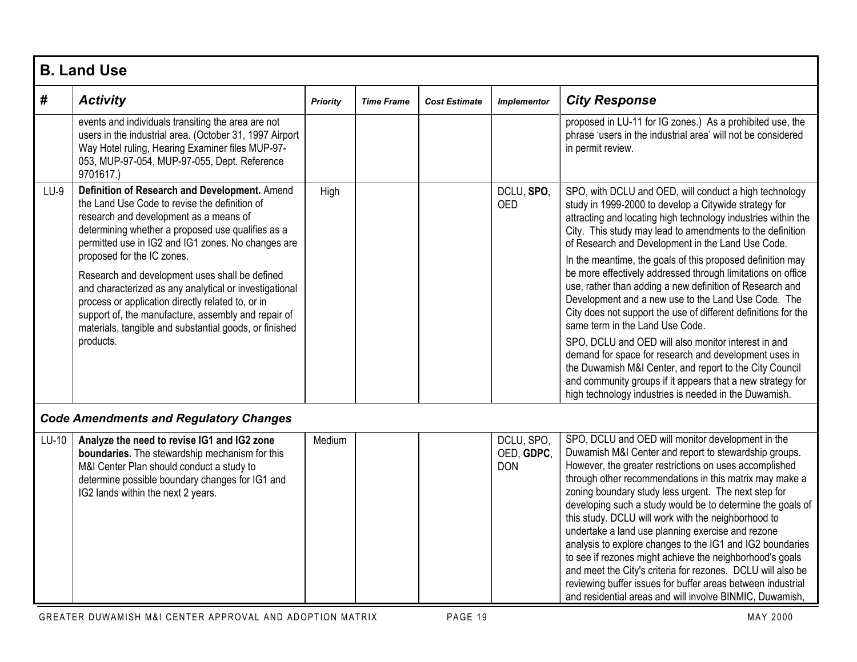|         | <b>B. Land Use</b>                                                                                                                                                                                                                                                                |                 |                   |                      |                                        |                                                                                                                                                                                                                                                                                                                                                                                                                                                                                                                                                                                                                                                                                                                                                                                      |
|---------|-----------------------------------------------------------------------------------------------------------------------------------------------------------------------------------------------------------------------------------------------------------------------------------|-----------------|-------------------|----------------------|----------------------------------------|--------------------------------------------------------------------------------------------------------------------------------------------------------------------------------------------------------------------------------------------------------------------------------------------------------------------------------------------------------------------------------------------------------------------------------------------------------------------------------------------------------------------------------------------------------------------------------------------------------------------------------------------------------------------------------------------------------------------------------------------------------------------------------------|
| #       | <b>Activity</b>                                                                                                                                                                                                                                                                   | <b>Priority</b> | <b>Time Frame</b> | <b>Cost Estimate</b> | <b>Implementor</b>                     | <b>City Response</b>                                                                                                                                                                                                                                                                                                                                                                                                                                                                                                                                                                                                                                                                                                                                                                 |
|         | events and individuals transiting the area are not<br>users in the industrial area. (October 31, 1997 Airport<br>Way Hotel ruling, Hearing Examiner files MUP-97-<br>053, MUP-97-054, MUP-97-055, Dept. Reference<br>9701617.)                                                    |                 |                   |                      |                                        | proposed in LU-11 for IG zones.) As a prohibited use, the<br>phrase 'users in the industrial area' will not be considered<br>in permit review.                                                                                                                                                                                                                                                                                                                                                                                                                                                                                                                                                                                                                                       |
| $LU-9$  | Definition of Research and Development. Amend<br>the Land Use Code to revise the definition of<br>research and development as a means of<br>determining whether a proposed use qualifies as a<br>permitted use in IG2 and IG1 zones. No changes are<br>proposed for the IC zones. | High            |                   |                      | DCLU, SPO,<br><b>OED</b>               | SPO, with DCLU and OED, will conduct a high technology<br>study in 1999-2000 to develop a Citywide strategy for<br>attracting and locating high technology industries within the<br>City. This study may lead to amendments to the definition<br>of Research and Development in the Land Use Code.                                                                                                                                                                                                                                                                                                                                                                                                                                                                                   |
|         | Research and development uses shall be defined<br>and characterized as any analytical or investigational<br>process or application directly related to, or in<br>support of, the manufacture, assembly and repair of<br>materials, tangible and substantial goods, or finished    |                 |                   |                      |                                        | In the meantime, the goals of this proposed definition may<br>be more effectively addressed through limitations on office<br>use, rather than adding a new definition of Research and<br>Development and a new use to the Land Use Code. The<br>City does not support the use of different definitions for the<br>same term in the Land Use Code.                                                                                                                                                                                                                                                                                                                                                                                                                                    |
|         | products.                                                                                                                                                                                                                                                                         |                 |                   |                      |                                        | SPO, DCLU and OED will also monitor interest in and<br>demand for space for research and development uses in<br>the Duwamish M&I Center, and report to the City Council<br>and community groups if it appears that a new strategy for<br>high technology industries is needed in the Duwamish.                                                                                                                                                                                                                                                                                                                                                                                                                                                                                       |
|         | <b>Code Amendments and Regulatory Changes</b>                                                                                                                                                                                                                                     |                 |                   |                      |                                        |                                                                                                                                                                                                                                                                                                                                                                                                                                                                                                                                                                                                                                                                                                                                                                                      |
| $LU-10$ | Analyze the need to revise IG1 and IG2 zone<br>boundaries. The stewardship mechanism for this<br>M&I Center Plan should conduct a study to<br>determine possible boundary changes for IG1 and<br>IG2 lands within the next 2 years.                                               | Medium          |                   |                      | DCLU, SPO,<br>OED, GDPC,<br><b>DON</b> | SPO, DCLU and OED will monitor development in the<br>Duwamish M&I Center and report to stewardship groups.<br>However, the greater restrictions on uses accomplished<br>through other recommendations in this matrix may make a<br>zoning boundary study less urgent. The next step for<br>developing such a study would be to determine the goals of<br>this study. DCLU will work with the neighborhood to<br>undertake a land use planning exercise and rezone<br>analysis to explore changes to the IG1 and IG2 boundaries<br>to see if rezones might achieve the neighborhood's goals<br>and meet the City's criteria for rezones. DCLU will also be<br>reviewing buffer issues for buffer areas between industrial<br>and residential areas and will involve BINMIC, Duwamish, |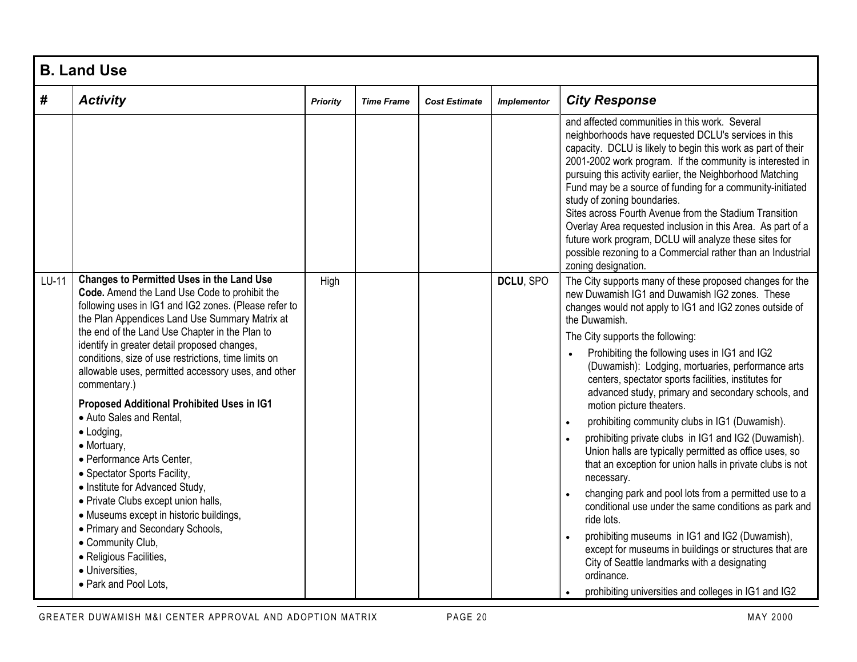|       | <b>B. Land Use</b>                                                                                                                                                                                                                                                                                                                                                                                                                                                                                                                                                                                                                                                                                                                                                                                                                                                              |                 |                   |                      |                    |                                                                                                                                                                                                                                                                                                                                                                                                                                                                                                                                                                                                                                                                                                                                                                                                                                                                                                                                                                                                                                                                                             |  |  |  |
|-------|---------------------------------------------------------------------------------------------------------------------------------------------------------------------------------------------------------------------------------------------------------------------------------------------------------------------------------------------------------------------------------------------------------------------------------------------------------------------------------------------------------------------------------------------------------------------------------------------------------------------------------------------------------------------------------------------------------------------------------------------------------------------------------------------------------------------------------------------------------------------------------|-----------------|-------------------|----------------------|--------------------|---------------------------------------------------------------------------------------------------------------------------------------------------------------------------------------------------------------------------------------------------------------------------------------------------------------------------------------------------------------------------------------------------------------------------------------------------------------------------------------------------------------------------------------------------------------------------------------------------------------------------------------------------------------------------------------------------------------------------------------------------------------------------------------------------------------------------------------------------------------------------------------------------------------------------------------------------------------------------------------------------------------------------------------------------------------------------------------------|--|--|--|
| #     | <b>Activity</b>                                                                                                                                                                                                                                                                                                                                                                                                                                                                                                                                                                                                                                                                                                                                                                                                                                                                 | <b>Priority</b> | <b>Time Frame</b> | <b>Cost Estimate</b> | <b>Implementor</b> | <b>City Response</b>                                                                                                                                                                                                                                                                                                                                                                                                                                                                                                                                                                                                                                                                                                                                                                                                                                                                                                                                                                                                                                                                        |  |  |  |
|       |                                                                                                                                                                                                                                                                                                                                                                                                                                                                                                                                                                                                                                                                                                                                                                                                                                                                                 |                 |                   |                      |                    | and affected communities in this work. Several<br>neighborhoods have requested DCLU's services in this<br>capacity. DCLU is likely to begin this work as part of their<br>2001-2002 work program. If the community is interested in<br>pursuing this activity earlier, the Neighborhood Matching<br>Fund may be a source of funding for a community-initiated<br>study of zoning boundaries.<br>Sites across Fourth Avenue from the Stadium Transition<br>Overlay Area requested inclusion in this Area. As part of a<br>future work program, DCLU will analyze these sites for<br>possible rezoning to a Commercial rather than an Industrial<br>zoning designation.                                                                                                                                                                                                                                                                                                                                                                                                                       |  |  |  |
| LU-11 | <b>Changes to Permitted Uses in the Land Use</b><br>Code. Amend the Land Use Code to prohibit the<br>following uses in IG1 and IG2 zones. (Please refer to<br>the Plan Appendices Land Use Summary Matrix at<br>the end of the Land Use Chapter in the Plan to<br>identify in greater detail proposed changes,<br>conditions, size of use restrictions, time limits on<br>allowable uses, permitted accessory uses, and other<br>commentary.)<br>Proposed Additional Prohibited Uses in IG1<br>• Auto Sales and Rental,<br>$\bullet$ Lodging,<br>• Mortuary,<br>• Performance Arts Center,<br>• Spectator Sports Facility,<br>• Institute for Advanced Study,<br>· Private Clubs except union halls,<br>• Museums except in historic buildings,<br>• Primary and Secondary Schools,<br>• Community Club,<br>· Religious Facilities,<br>· Universities,<br>· Park and Pool Lots, | High            |                   |                      | DCLU, SPO          | The City supports many of these proposed changes for the<br>new Duwamish IG1 and Duwamish IG2 zones. These<br>changes would not apply to IG1 and IG2 zones outside of<br>the Duwamish.<br>The City supports the following:<br>Prohibiting the following uses in IG1 and IG2<br>(Duwamish): Lodging, mortuaries, performance arts<br>centers, spectator sports facilities, institutes for<br>advanced study, primary and secondary schools, and<br>motion picture theaters.<br>prohibiting community clubs in IG1 (Duwamish).<br>prohibiting private clubs in IG1 and IG2 (Duwamish).<br>Union halls are typically permitted as office uses, so<br>that an exception for union halls in private clubs is not<br>necessary.<br>changing park and pool lots from a permitted use to a<br>conditional use under the same conditions as park and<br>ride lots.<br>prohibiting museums in IG1 and IG2 (Duwamish),<br>except for museums in buildings or structures that are<br>City of Seattle landmarks with a designating<br>ordinance.<br>prohibiting universities and colleges in IG1 and IG2 |  |  |  |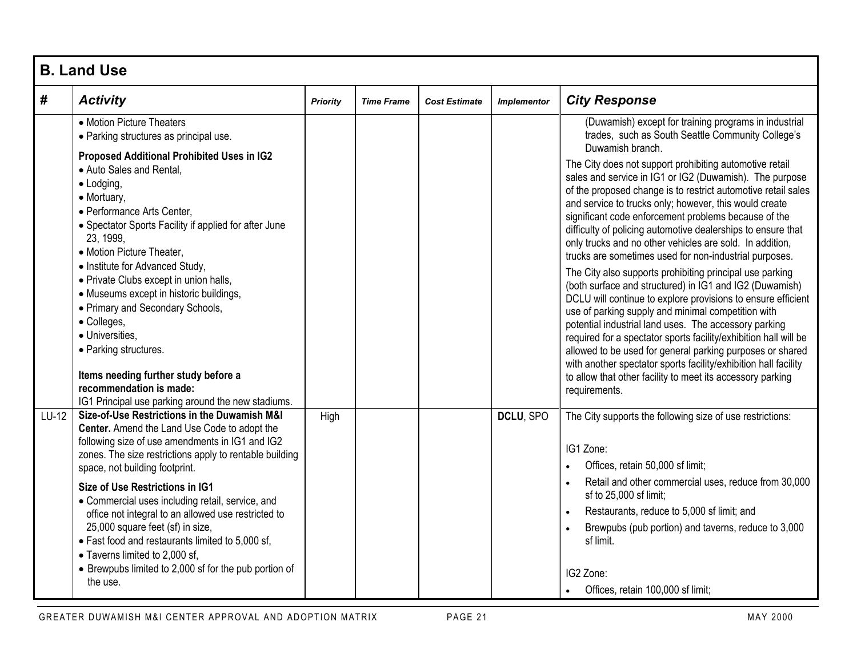|       | <b>B. Land Use</b>                                                                                                                                                                                                                                                                                                                                                                                                                                          |                 |                   |                      |                    |                                                                                                                                                                                                                                                                                                                                                                                                                                                                                                                                                                                                                                                                                                                                                                                                                                                                                                                                    |  |  |  |
|-------|-------------------------------------------------------------------------------------------------------------------------------------------------------------------------------------------------------------------------------------------------------------------------------------------------------------------------------------------------------------------------------------------------------------------------------------------------------------|-----------------|-------------------|----------------------|--------------------|------------------------------------------------------------------------------------------------------------------------------------------------------------------------------------------------------------------------------------------------------------------------------------------------------------------------------------------------------------------------------------------------------------------------------------------------------------------------------------------------------------------------------------------------------------------------------------------------------------------------------------------------------------------------------------------------------------------------------------------------------------------------------------------------------------------------------------------------------------------------------------------------------------------------------------|--|--|--|
| #     | <b>Activity</b>                                                                                                                                                                                                                                                                                                                                                                                                                                             | <b>Priority</b> | <b>Time Frame</b> | <b>Cost Estimate</b> | <b>Implementor</b> | <b>City Response</b>                                                                                                                                                                                                                                                                                                                                                                                                                                                                                                                                                                                                                                                                                                                                                                                                                                                                                                               |  |  |  |
|       | • Motion Picture Theaters<br>· Parking structures as principal use.                                                                                                                                                                                                                                                                                                                                                                                         |                 |                   |                      |                    | (Duwamish) except for training programs in industrial<br>trades, such as South Seattle Community College's<br>Duwamish branch.                                                                                                                                                                                                                                                                                                                                                                                                                                                                                                                                                                                                                                                                                                                                                                                                     |  |  |  |
|       | Proposed Additional Prohibited Uses in IG2<br>• Auto Sales and Rental,<br>• Lodging,<br>• Mortuary,<br>· Performance Arts Center,<br>• Spectator Sports Facility if applied for after June<br>23, 1999,<br>• Motion Picture Theater,<br>• Institute for Advanced Study,<br>· Private Clubs except in union halls,<br>• Museums except in historic buildings,<br>• Primary and Secondary Schools,<br>• Colleges,<br>· Universities,<br>• Parking structures. |                 |                   |                      |                    | The City does not support prohibiting automotive retail<br>sales and service in IG1 or IG2 (Duwamish). The purpose<br>of the proposed change is to restrict automotive retail sales<br>and service to trucks only; however, this would create<br>significant code enforcement problems because of the<br>difficulty of policing automotive dealerships to ensure that<br>only trucks and no other vehicles are sold. In addition,<br>trucks are sometimes used for non-industrial purposes.<br>The City also supports prohibiting principal use parking<br>(both surface and structured) in IG1 and IG2 (Duwamish)<br>DCLU will continue to explore provisions to ensure efficient<br>use of parking supply and minimal competition with<br>potential industrial land uses. The accessory parking<br>required for a spectator sports facility/exhibition hall will be<br>allowed to be used for general parking purposes or shared |  |  |  |
|       | Items needing further study before a<br>recommendation is made:<br>IG1 Principal use parking around the new stadiums.                                                                                                                                                                                                                                                                                                                                       |                 |                   |                      |                    | with another spectator sports facility/exhibition hall facility<br>to allow that other facility to meet its accessory parking<br>requirements.                                                                                                                                                                                                                                                                                                                                                                                                                                                                                                                                                                                                                                                                                                                                                                                     |  |  |  |
| LU-12 | Size-of-Use Restrictions in the Duwamish M&I<br>Center. Amend the Land Use Code to adopt the<br>following size of use amendments in IG1 and IG2<br>zones. The size restrictions apply to rentable building<br>space, not building footprint.<br>Size of Use Restrictions in IG1                                                                                                                                                                             | High            |                   |                      | DCLU, SPO          | The City supports the following size of use restrictions:<br>IG1 Zone:<br>Offices, retain 50,000 sf limit;<br>Retail and other commercial uses, reduce from 30,000                                                                                                                                                                                                                                                                                                                                                                                                                                                                                                                                                                                                                                                                                                                                                                 |  |  |  |
|       | • Commercial uses including retail, service, and<br>office not integral to an allowed use restricted to<br>25,000 square feet (sf) in size,<br>• Fast food and restaurants limited to 5,000 sf,<br>• Taverns limited to 2,000 sf,<br>• Brewpubs limited to 2,000 sf for the pub portion of<br>the use.                                                                                                                                                      |                 |                   |                      |                    | sf to 25,000 sf limit;<br>Restaurants, reduce to 5,000 sf limit; and<br>Brewpubs (pub portion) and taverns, reduce to 3,000<br>sf limit.<br>IG2 Zone:<br>Offices, retain 100,000 sf limit;                                                                                                                                                                                                                                                                                                                                                                                                                                                                                                                                                                                                                                                                                                                                         |  |  |  |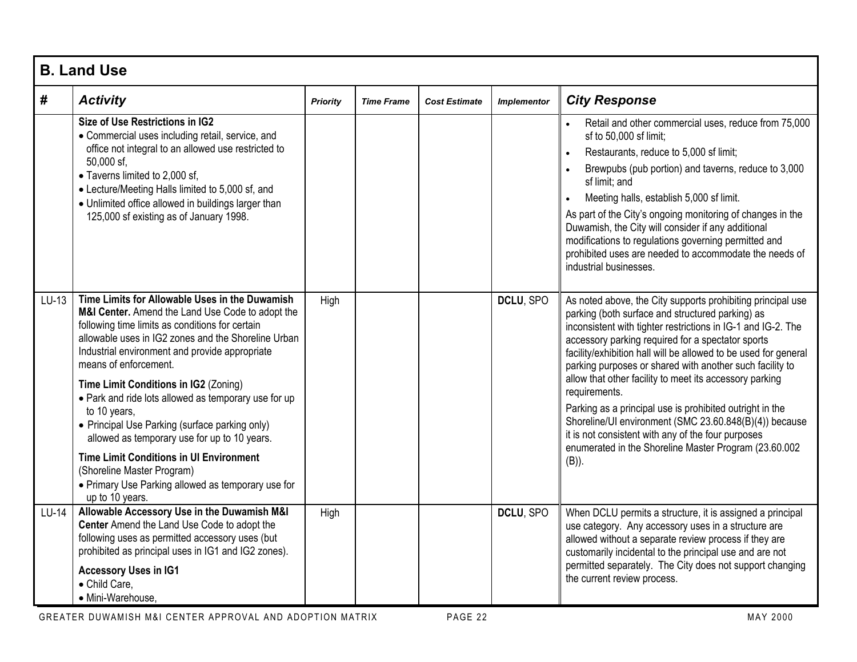|         | <b>B. Land Use</b>                                                                                                                                                                                                                                                                                                                                                                                                                                                                                                                                                                                                                                                  |                 |                   |                      |                    |                                                                                                                                                                                                                                                                                                                                                                                                                                                                                                                                                                                                                                                                                                  |  |  |  |
|---------|---------------------------------------------------------------------------------------------------------------------------------------------------------------------------------------------------------------------------------------------------------------------------------------------------------------------------------------------------------------------------------------------------------------------------------------------------------------------------------------------------------------------------------------------------------------------------------------------------------------------------------------------------------------------|-----------------|-------------------|----------------------|--------------------|--------------------------------------------------------------------------------------------------------------------------------------------------------------------------------------------------------------------------------------------------------------------------------------------------------------------------------------------------------------------------------------------------------------------------------------------------------------------------------------------------------------------------------------------------------------------------------------------------------------------------------------------------------------------------------------------------|--|--|--|
| #       | <b>Activity</b>                                                                                                                                                                                                                                                                                                                                                                                                                                                                                                                                                                                                                                                     | <b>Priority</b> | <b>Time Frame</b> | <b>Cost Estimate</b> | <b>Implementor</b> | <b>City Response</b>                                                                                                                                                                                                                                                                                                                                                                                                                                                                                                                                                                                                                                                                             |  |  |  |
|         | Size of Use Restrictions in IG2<br>• Commercial uses including retail, service, and                                                                                                                                                                                                                                                                                                                                                                                                                                                                                                                                                                                 |                 |                   |                      |                    | Retail and other commercial uses, reduce from 75,000<br>sf to 50,000 sf limit;                                                                                                                                                                                                                                                                                                                                                                                                                                                                                                                                                                                                                   |  |  |  |
|         | office not integral to an allowed use restricted to                                                                                                                                                                                                                                                                                                                                                                                                                                                                                                                                                                                                                 |                 |                   |                      |                    | Restaurants, reduce to 5,000 sf limit;                                                                                                                                                                                                                                                                                                                                                                                                                                                                                                                                                                                                                                                           |  |  |  |
|         | 50,000 sf,<br>• Taverns limited to 2,000 sf.<br>• Lecture/Meeting Halls limited to 5,000 sf, and                                                                                                                                                                                                                                                                                                                                                                                                                                                                                                                                                                    |                 |                   |                      |                    | Brewpubs (pub portion) and taverns, reduce to 3,000<br>sf limit; and                                                                                                                                                                                                                                                                                                                                                                                                                                                                                                                                                                                                                             |  |  |  |
|         | • Unlimited office allowed in buildings larger than                                                                                                                                                                                                                                                                                                                                                                                                                                                                                                                                                                                                                 |                 |                   |                      |                    | Meeting halls, establish 5,000 sf limit.                                                                                                                                                                                                                                                                                                                                                                                                                                                                                                                                                                                                                                                         |  |  |  |
|         | 125,000 sf existing as of January 1998.                                                                                                                                                                                                                                                                                                                                                                                                                                                                                                                                                                                                                             |                 |                   |                      |                    | As part of the City's ongoing monitoring of changes in the<br>Duwamish, the City will consider if any additional<br>modifications to regulations governing permitted and<br>prohibited uses are needed to accommodate the needs of<br>industrial businesses.                                                                                                                                                                                                                                                                                                                                                                                                                                     |  |  |  |
| $LU-13$ | Time Limits for Allowable Uses in the Duwamish<br>M&I Center. Amend the Land Use Code to adopt the<br>following time limits as conditions for certain<br>allowable uses in IG2 zones and the Shoreline Urban<br>Industrial environment and provide appropriate<br>means of enforcement.<br>Time Limit Conditions in IG2 (Zoning)<br>• Park and ride lots allowed as temporary use for up<br>to 10 years,<br>• Principal Use Parking (surface parking only)<br>allowed as temporary use for up to 10 years.<br><b>Time Limit Conditions in UI Environment</b><br>(Shoreline Master Program)<br>• Primary Use Parking allowed as temporary use for<br>up to 10 years. | High            |                   |                      | DCLU, SPO          | As noted above, the City supports prohibiting principal use<br>parking (both surface and structured parking) as<br>inconsistent with tighter restrictions in IG-1 and IG-2. The<br>accessory parking required for a spectator sports<br>facility/exhibition hall will be allowed to be used for general<br>parking purposes or shared with another such facility to<br>allow that other facility to meet its accessory parking<br>requirements.<br>Parking as a principal use is prohibited outright in the<br>Shoreline/UI environment (SMC 23.60.848(B)(4)) because<br>it is not consistent with any of the four purposes<br>enumerated in the Shoreline Master Program (23.60.002<br>$(B)$ ). |  |  |  |
| $LU-14$ | Allowable Accessory Use in the Duwamish M&I<br>Center Amend the Land Use Code to adopt the<br>following uses as permitted accessory uses (but<br>prohibited as principal uses in IG1 and IG2 zones).<br><b>Accessory Uses in IG1</b><br>• Child Care,<br>· Mini-Warehouse,                                                                                                                                                                                                                                                                                                                                                                                          | High            |                   |                      | DCLU, SPO          | When DCLU permits a structure, it is assigned a principal<br>use category. Any accessory uses in a structure are<br>allowed without a separate review process if they are<br>customarily incidental to the principal use and are not<br>permitted separately. The City does not support changing<br>the current review process.                                                                                                                                                                                                                                                                                                                                                                  |  |  |  |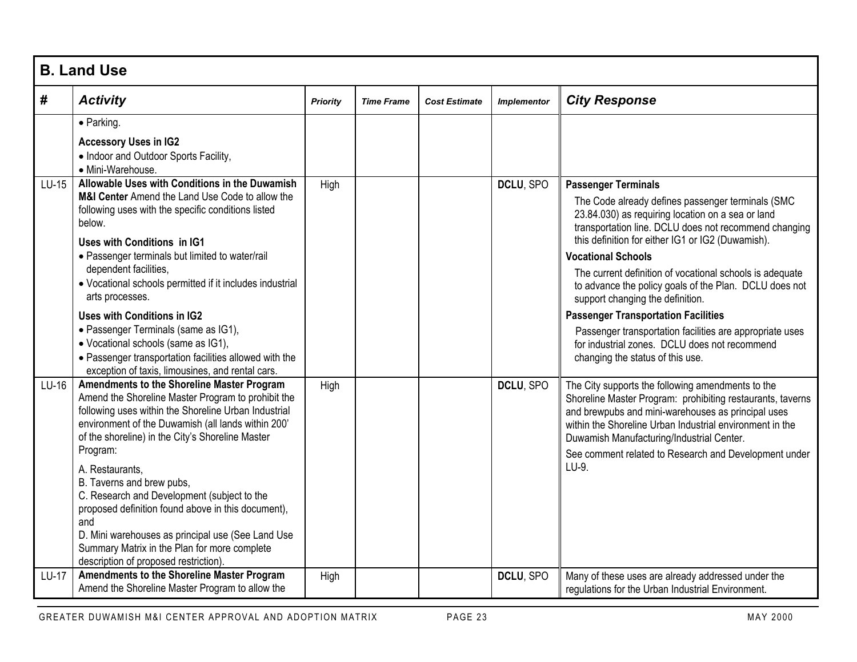|         | <b>B. Land Use</b>                                                                                                                                                                                                                                                                                                                                                                                                                                                                                                                                                                              |                 |                   |                      |                    |                                                                                                                                                                                                                                                                                                                                                                                                                                                                                                                                                                                                                                          |  |  |  |
|---------|-------------------------------------------------------------------------------------------------------------------------------------------------------------------------------------------------------------------------------------------------------------------------------------------------------------------------------------------------------------------------------------------------------------------------------------------------------------------------------------------------------------------------------------------------------------------------------------------------|-----------------|-------------------|----------------------|--------------------|------------------------------------------------------------------------------------------------------------------------------------------------------------------------------------------------------------------------------------------------------------------------------------------------------------------------------------------------------------------------------------------------------------------------------------------------------------------------------------------------------------------------------------------------------------------------------------------------------------------------------------------|--|--|--|
| #       | <b>Activity</b>                                                                                                                                                                                                                                                                                                                                                                                                                                                                                                                                                                                 | <b>Priority</b> | <b>Time Frame</b> | <b>Cost Estimate</b> | <b>Implementor</b> | <b>City Response</b>                                                                                                                                                                                                                                                                                                                                                                                                                                                                                                                                                                                                                     |  |  |  |
|         | · Parking.<br><b>Accessory Uses in IG2</b><br>• Indoor and Outdoor Sports Facility,<br>· Mini-Warehouse.                                                                                                                                                                                                                                                                                                                                                                                                                                                                                        |                 |                   |                      |                    |                                                                                                                                                                                                                                                                                                                                                                                                                                                                                                                                                                                                                                          |  |  |  |
| LU-15   | Allowable Uses with Conditions in the Duwamish<br>M&I Center Amend the Land Use Code to allow the<br>following uses with the specific conditions listed<br>below.<br>Uses with Conditions in IG1<br>• Passenger terminals but limited to water/rail<br>dependent facilities,<br>• Vocational schools permitted if it includes industrial<br>arts processes.<br><b>Uses with Conditions in IG2</b><br>· Passenger Terminals (same as IG1),<br>• Vocational schools (same as IG1),<br>• Passenger transportation facilities allowed with the<br>exception of taxis, limousines, and rental cars.  | High            |                   |                      | DCLU, SPO          | <b>Passenger Terminals</b><br>The Code already defines passenger terminals (SMC<br>23.84.030) as requiring location on a sea or land<br>transportation line. DCLU does not recommend changing<br>this definition for either IG1 or IG2 (Duwamish).<br><b>Vocational Schools</b><br>The current definition of vocational schools is adequate<br>to advance the policy goals of the Plan. DCLU does not<br>support changing the definition.<br><b>Passenger Transportation Facilities</b><br>Passenger transportation facilities are appropriate uses<br>for industrial zones. DCLU does not recommend<br>changing the status of this use. |  |  |  |
| $LU-16$ | <b>Amendments to the Shoreline Master Program</b><br>Amend the Shoreline Master Program to prohibit the<br>following uses within the Shoreline Urban Industrial<br>environment of the Duwamish (all lands within 200'<br>of the shoreline) in the City's Shoreline Master<br>Program:<br>A. Restaurants,<br>B. Taverns and brew pubs,<br>C. Research and Development (subject to the<br>proposed definition found above in this document),<br>and<br>D. Mini warehouses as principal use (See Land Use<br>Summary Matrix in the Plan for more complete<br>description of proposed restriction). | High            |                   |                      | DCLU, SPO          | The City supports the following amendments to the<br>Shoreline Master Program: prohibiting restaurants, taverns<br>and brewpubs and mini-warehouses as principal uses<br>within the Shoreline Urban Industrial environment in the<br>Duwamish Manufacturing/Industrial Center.<br>See comment related to Research and Development under<br>LU-9.                                                                                                                                                                                                                                                                                         |  |  |  |
| LU-17   | <b>Amendments to the Shoreline Master Program</b><br>Amend the Shoreline Master Program to allow the                                                                                                                                                                                                                                                                                                                                                                                                                                                                                            | High            |                   |                      | DCLU, SPO          | Many of these uses are already addressed under the<br>regulations for the Urban Industrial Environment.                                                                                                                                                                                                                                                                                                                                                                                                                                                                                                                                  |  |  |  |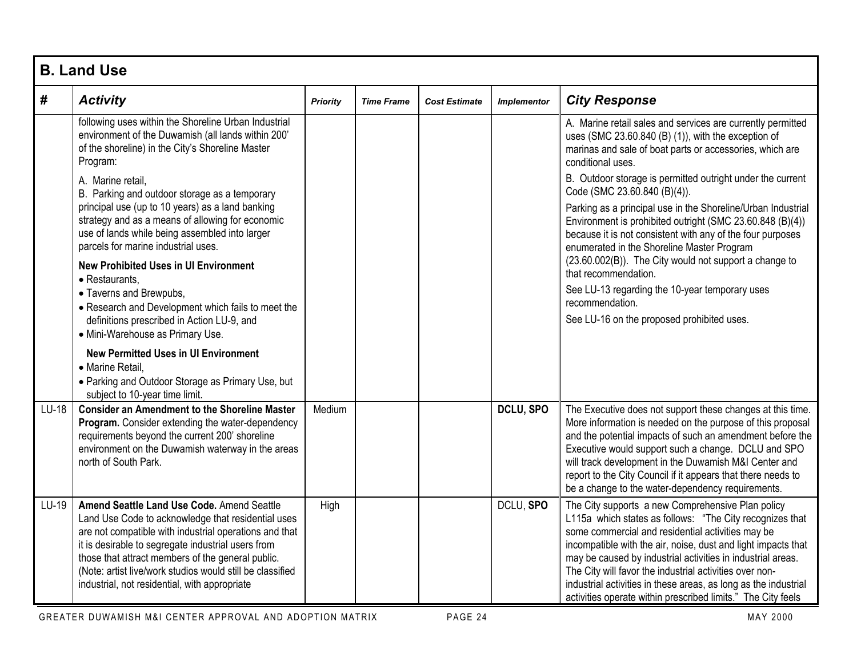|       | <b>B. Land Use</b>                                                                                                                                                                                                                                                                                                                                                                  |                 |                   |                      |                    |                                                                                                                                                                                                                                                                                                                                                                                                                                                                                                  |  |  |  |
|-------|-------------------------------------------------------------------------------------------------------------------------------------------------------------------------------------------------------------------------------------------------------------------------------------------------------------------------------------------------------------------------------------|-----------------|-------------------|----------------------|--------------------|--------------------------------------------------------------------------------------------------------------------------------------------------------------------------------------------------------------------------------------------------------------------------------------------------------------------------------------------------------------------------------------------------------------------------------------------------------------------------------------------------|--|--|--|
| #     | <b>Activity</b>                                                                                                                                                                                                                                                                                                                                                                     | <b>Priority</b> | <b>Time Frame</b> | <b>Cost Estimate</b> | <b>Implementor</b> | <b>City Response</b>                                                                                                                                                                                                                                                                                                                                                                                                                                                                             |  |  |  |
|       | following uses within the Shoreline Urban Industrial<br>environment of the Duwamish (all lands within 200'<br>of the shoreline) in the City's Shoreline Master<br>Program:                                                                                                                                                                                                          |                 |                   |                      |                    | A. Marine retail sales and services are currently permitted<br>uses (SMC 23.60.840 (B) (1)), with the exception of<br>marinas and sale of boat parts or accessories, which are<br>conditional uses.                                                                                                                                                                                                                                                                                              |  |  |  |
|       | A. Marine retail,<br>B. Parking and outdoor storage as a temporary                                                                                                                                                                                                                                                                                                                  |                 |                   |                      |                    | B. Outdoor storage is permitted outright under the current<br>Code (SMC 23.60.840 (B)(4)).                                                                                                                                                                                                                                                                                                                                                                                                       |  |  |  |
|       | principal use (up to 10 years) as a land banking<br>strategy and as a means of allowing for economic<br>use of lands while being assembled into larger<br>parcels for marine industrial uses.                                                                                                                                                                                       |                 |                   |                      |                    | Parking as a principal use in the Shoreline/Urban Industrial<br>Environment is prohibited outright (SMC 23.60.848 (B)(4))<br>because it is not consistent with any of the four purposes<br>enumerated in the Shoreline Master Program                                                                                                                                                                                                                                                            |  |  |  |
|       | <b>New Prohibited Uses in UI Environment</b><br>• Restaurants,                                                                                                                                                                                                                                                                                                                      |                 |                   |                      |                    | (23.60.002(B)). The City would not support a change to<br>that recommendation.                                                                                                                                                                                                                                                                                                                                                                                                                   |  |  |  |
|       | • Taverns and Brewpubs,<br>• Research and Development which fails to meet the                                                                                                                                                                                                                                                                                                       |                 |                   |                      |                    | See LU-13 regarding the 10-year temporary uses<br>recommendation.                                                                                                                                                                                                                                                                                                                                                                                                                                |  |  |  |
|       | definitions prescribed in Action LU-9, and<br>· Mini-Warehouse as Primary Use.                                                                                                                                                                                                                                                                                                      |                 |                   |                      |                    | See LU-16 on the proposed prohibited uses.                                                                                                                                                                                                                                                                                                                                                                                                                                                       |  |  |  |
|       | <b>New Permitted Uses in UI Environment</b><br>• Marine Retail,                                                                                                                                                                                                                                                                                                                     |                 |                   |                      |                    |                                                                                                                                                                                                                                                                                                                                                                                                                                                                                                  |  |  |  |
|       | • Parking and Outdoor Storage as Primary Use, but<br>subject to 10-year time limit.                                                                                                                                                                                                                                                                                                 |                 |                   |                      |                    |                                                                                                                                                                                                                                                                                                                                                                                                                                                                                                  |  |  |  |
| LU-18 | <b>Consider an Amendment to the Shoreline Master</b><br>Program. Consider extending the water-dependency<br>requirements beyond the current 200' shoreline<br>environment on the Duwamish waterway in the areas<br>north of South Park.                                                                                                                                             | Medium          |                   |                      | DCLU, SPO          | The Executive does not support these changes at this time.<br>More information is needed on the purpose of this proposal<br>and the potential impacts of such an amendment before the<br>Executive would support such a change. DCLU and SPO<br>will track development in the Duwamish M&I Center and<br>report to the City Council if it appears that there needs to<br>be a change to the water-dependency requirements.                                                                       |  |  |  |
| LU-19 | Amend Seattle Land Use Code. Amend Seattle<br>Land Use Code to acknowledge that residential uses<br>are not compatible with industrial operations and that<br>it is desirable to segregate industrial users from<br>those that attract members of the general public.<br>(Note: artist live/work studios would still be classified<br>industrial, not residential, with appropriate | High            |                   |                      | DCLU, SPO          | The City supports a new Comprehensive Plan policy<br>L115a which states as follows: "The City recognizes that<br>some commercial and residential activities may be<br>incompatible with the air, noise, dust and light impacts that<br>may be caused by industrial activities in industrial areas.<br>The City will favor the industrial activities over non-<br>industrial activities in these areas, as long as the industrial<br>activities operate within prescribed limits." The City feels |  |  |  |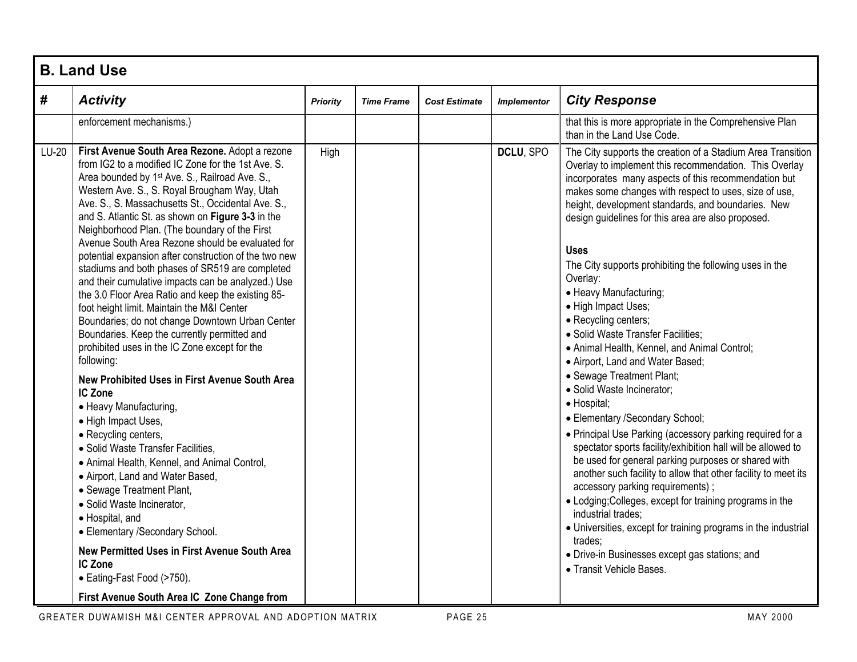| <b>B. Land Use</b> |                                                                                                                                                                                                                                                                                                                                                                                                                                                                                                                                                                                                                                                                                                                                                                                                                                                                                                                                                                                                                                                                                                                                                                                                                                                                                                                                                       |                 |                   |                      |                    |                                                                                                                                                                                                                                                                                                                                                                                                                                                                                                                                                                                                                                                                                                                                                                                                                                                                                                                                                                                                                                                                                                                                                                                                                                                                                                 |  |  |
|--------------------|-------------------------------------------------------------------------------------------------------------------------------------------------------------------------------------------------------------------------------------------------------------------------------------------------------------------------------------------------------------------------------------------------------------------------------------------------------------------------------------------------------------------------------------------------------------------------------------------------------------------------------------------------------------------------------------------------------------------------------------------------------------------------------------------------------------------------------------------------------------------------------------------------------------------------------------------------------------------------------------------------------------------------------------------------------------------------------------------------------------------------------------------------------------------------------------------------------------------------------------------------------------------------------------------------------------------------------------------------------|-----------------|-------------------|----------------------|--------------------|-------------------------------------------------------------------------------------------------------------------------------------------------------------------------------------------------------------------------------------------------------------------------------------------------------------------------------------------------------------------------------------------------------------------------------------------------------------------------------------------------------------------------------------------------------------------------------------------------------------------------------------------------------------------------------------------------------------------------------------------------------------------------------------------------------------------------------------------------------------------------------------------------------------------------------------------------------------------------------------------------------------------------------------------------------------------------------------------------------------------------------------------------------------------------------------------------------------------------------------------------------------------------------------------------|--|--|
| #                  | <b>Activity</b>                                                                                                                                                                                                                                                                                                                                                                                                                                                                                                                                                                                                                                                                                                                                                                                                                                                                                                                                                                                                                                                                                                                                                                                                                                                                                                                                       | <b>Priority</b> | <b>Time Frame</b> | <b>Cost Estimate</b> | <b>Implementor</b> | <b>City Response</b>                                                                                                                                                                                                                                                                                                                                                                                                                                                                                                                                                                                                                                                                                                                                                                                                                                                                                                                                                                                                                                                                                                                                                                                                                                                                            |  |  |
|                    | enforcement mechanisms.)                                                                                                                                                                                                                                                                                                                                                                                                                                                                                                                                                                                                                                                                                                                                                                                                                                                                                                                                                                                                                                                                                                                                                                                                                                                                                                                              |                 |                   |                      |                    | that this is more appropriate in the Comprehensive Plan<br>than in the Land Use Code.                                                                                                                                                                                                                                                                                                                                                                                                                                                                                                                                                                                                                                                                                                                                                                                                                                                                                                                                                                                                                                                                                                                                                                                                           |  |  |
| LU-20              | First Avenue South Area Rezone. Adopt a rezone<br>from IG2 to a modified IC Zone for the 1st Ave. S.<br>Area bounded by 1 <sup>st</sup> Ave. S., Railroad Ave. S.,<br>Western Ave. S., S. Royal Brougham Way, Utah<br>Ave. S., S. Massachusetts St., Occidental Ave. S.,<br>and S. Atlantic St. as shown on Figure 3-3 in the<br>Neighborhood Plan. (The boundary of the First<br>Avenue South Area Rezone should be evaluated for<br>potential expansion after construction of the two new<br>stadiums and both phases of SR519 are completed<br>and their cumulative impacts can be analyzed.) Use<br>the 3.0 Floor Area Ratio and keep the existing 85-<br>foot height limit. Maintain the M&I Center<br>Boundaries; do not change Downtown Urban Center<br>Boundaries. Keep the currently permitted and<br>prohibited uses in the IC Zone except for the<br>following:<br>New Prohibited Uses in First Avenue South Area<br>IC Zone<br>• Heavy Manufacturing,<br>· High Impact Uses,<br>• Recycling centers,<br>• Solid Waste Transfer Facilities,<br>• Animal Health, Kennel, and Animal Control,<br>• Airport, Land and Water Based,<br>• Sewage Treatment Plant,<br>· Solid Waste Incinerator,<br>• Hospital, and<br>• Elementary /Secondary School.<br>New Permitted Uses in First Avenue South Area<br>IC Zone<br>• Eating-Fast Food (>750). | High            |                   |                      | DCLU, SPO          | The City supports the creation of a Stadium Area Transition<br>Overlay to implement this recommendation. This Overlay<br>incorporates many aspects of this recommendation but<br>makes some changes with respect to uses, size of use,<br>height, development standards, and boundaries. New<br>design guidelines for this area are also proposed.<br><b>Uses</b><br>The City supports prohibiting the following uses in the<br>Overlay:<br>• Heavy Manufacturing;<br>· High Impact Uses;<br>• Recycling centers;<br>· Solid Waste Transfer Facilities:<br>• Animal Health, Kennel, and Animal Control;<br>• Airport, Land and Water Based;<br>• Sewage Treatment Plant;<br>· Solid Waste Incinerator;<br>· Hospital;<br>• Elementary /Secondary School;<br>• Principal Use Parking (accessory parking required for a<br>spectator sports facility/exhibition hall will be allowed to<br>be used for general parking purposes or shared with<br>another such facility to allow that other facility to meet its<br>accessory parking requirements);<br>• Lodging; Colleges, except for training programs in the<br>industrial trades:<br>• Universities, except for training programs in the industrial<br>trades:<br>• Drive-in Businesses except gas stations; and<br>• Transit Vehicle Bases. |  |  |
|                    | First Avenue South Area IC Zone Change from                                                                                                                                                                                                                                                                                                                                                                                                                                                                                                                                                                                                                                                                                                                                                                                                                                                                                                                                                                                                                                                                                                                                                                                                                                                                                                           |                 |                   |                      |                    |                                                                                                                                                                                                                                                                                                                                                                                                                                                                                                                                                                                                                                                                                                                                                                                                                                                                                                                                                                                                                                                                                                                                                                                                                                                                                                 |  |  |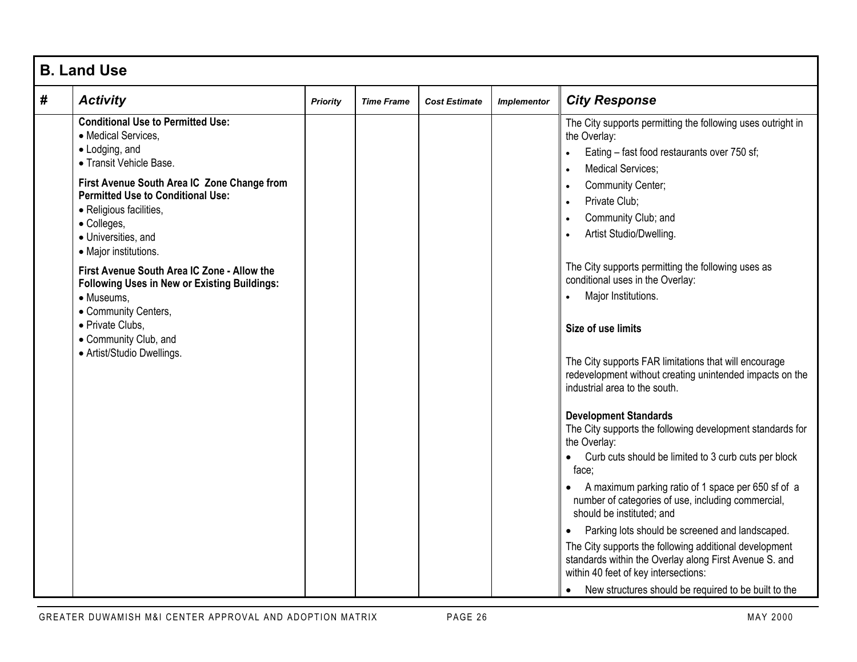|   | <b>B. Land Use</b>                                                                                                                                                                                                  |                 |                   |                      |                    |                                                                                                                                                                                                                                                                                                                                                                                                                                                                                                                                                                                                                                                                                                                                                                                                                                 |  |  |  |  |
|---|---------------------------------------------------------------------------------------------------------------------------------------------------------------------------------------------------------------------|-----------------|-------------------|----------------------|--------------------|---------------------------------------------------------------------------------------------------------------------------------------------------------------------------------------------------------------------------------------------------------------------------------------------------------------------------------------------------------------------------------------------------------------------------------------------------------------------------------------------------------------------------------------------------------------------------------------------------------------------------------------------------------------------------------------------------------------------------------------------------------------------------------------------------------------------------------|--|--|--|--|
| # | <b>Activity</b>                                                                                                                                                                                                     | <b>Priority</b> | <b>Time Frame</b> | <b>Cost Estimate</b> | <b>Implementor</b> | <b>City Response</b>                                                                                                                                                                                                                                                                                                                                                                                                                                                                                                                                                                                                                                                                                                                                                                                                            |  |  |  |  |
|   | <b>Conditional Use to Permitted Use:</b><br>• Medical Services,<br>• Lodging, and<br>· Transit Vehicle Base.                                                                                                        |                 |                   |                      |                    | The City supports permitting the following uses outright in<br>the Overlay:<br>Eating - fast food restaurants over 750 sf;<br><b>Medical Services:</b>                                                                                                                                                                                                                                                                                                                                                                                                                                                                                                                                                                                                                                                                          |  |  |  |  |
|   | First Avenue South Area IC Zone Change from<br><b>Permitted Use to Conditional Use:</b><br>• Religious facilities,<br>• Colleges,<br>• Universities, and<br>· Major institutions.                                   |                 |                   |                      |                    | <b>Community Center;</b><br>Private Club;<br>Community Club; and<br>Artist Studio/Dwelling.                                                                                                                                                                                                                                                                                                                                                                                                                                                                                                                                                                                                                                                                                                                                     |  |  |  |  |
|   | First Avenue South Area IC Zone - Allow the<br><b>Following Uses in New or Existing Buildings:</b><br>· Museums,<br>• Community Centers,<br>• Private Clubs,<br>• Community Club, and<br>· Artist/Studio Dwellings. |                 |                   |                      |                    | The City supports permitting the following uses as<br>conditional uses in the Overlay:<br>Major Institutions.<br>Size of use limits<br>The City supports FAR limitations that will encourage<br>redevelopment without creating unintended impacts on the<br>industrial area to the south.<br><b>Development Standards</b><br>The City supports the following development standards for<br>the Overlay:<br>Curb cuts should be limited to 3 curb cuts per block<br>face:<br>A maximum parking ratio of 1 space per 650 sf of a<br>number of categories of use, including commercial,<br>should be instituted; and<br>Parking lots should be screened and landscaped.<br>The City supports the following additional development<br>standards within the Overlay along First Avenue S. and<br>within 40 feet of key intersections: |  |  |  |  |
|   |                                                                                                                                                                                                                     |                 |                   |                      |                    | New structures should be required to be built to the                                                                                                                                                                                                                                                                                                                                                                                                                                                                                                                                                                                                                                                                                                                                                                            |  |  |  |  |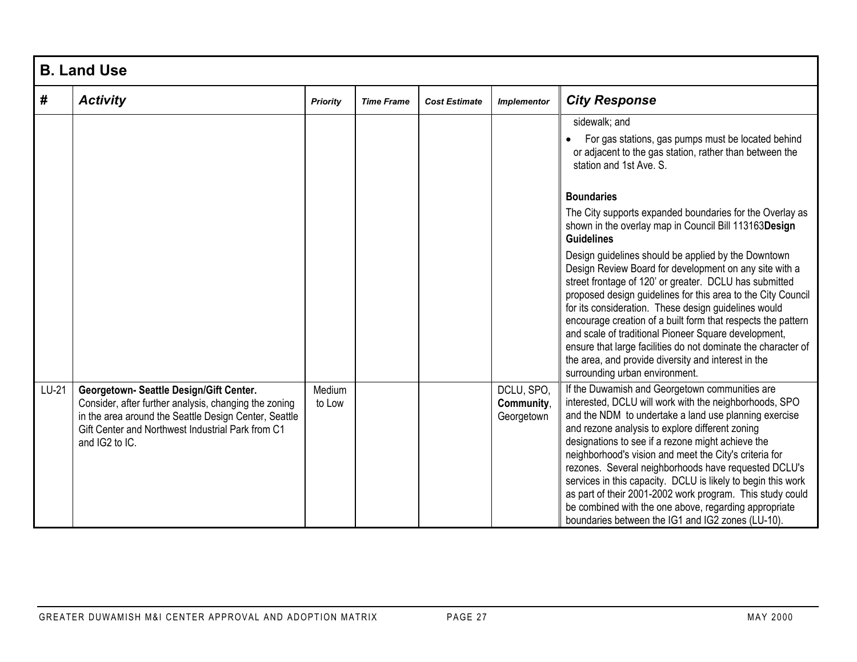|       | <b>B. Land Use</b>                                                                                                                                                                                                               |                  |                   |                      |                                        |                                                                                                                                                                                                                                                                                                                                                                                                                                                                                                                                                                                                                                                                                                                                                                                                                                                                                                               |  |  |
|-------|----------------------------------------------------------------------------------------------------------------------------------------------------------------------------------------------------------------------------------|------------------|-------------------|----------------------|----------------------------------------|---------------------------------------------------------------------------------------------------------------------------------------------------------------------------------------------------------------------------------------------------------------------------------------------------------------------------------------------------------------------------------------------------------------------------------------------------------------------------------------------------------------------------------------------------------------------------------------------------------------------------------------------------------------------------------------------------------------------------------------------------------------------------------------------------------------------------------------------------------------------------------------------------------------|--|--|
| #     | <b>Activity</b>                                                                                                                                                                                                                  | <b>Priority</b>  | <b>Time Frame</b> | <b>Cost Estimate</b> | <b>Implementor</b>                     | <b>City Response</b>                                                                                                                                                                                                                                                                                                                                                                                                                                                                                                                                                                                                                                                                                                                                                                                                                                                                                          |  |  |
|       |                                                                                                                                                                                                                                  |                  |                   |                      |                                        | sidewalk; and<br>For gas stations, gas pumps must be located behind<br>or adjacent to the gas station, rather than between the<br>station and 1st Ave. S.<br><b>Boundaries</b><br>The City supports expanded boundaries for the Overlay as<br>shown in the overlay map in Council Bill 113163Design<br><b>Guidelines</b><br>Design guidelines should be applied by the Downtown<br>Design Review Board for development on any site with a<br>street frontage of 120' or greater. DCLU has submitted<br>proposed design guidelines for this area to the City Council<br>for its consideration. These design guidelines would<br>encourage creation of a built form that respects the pattern<br>and scale of traditional Pioneer Square development,<br>ensure that large facilities do not dominate the character of<br>the area, and provide diversity and interest in the<br>surrounding urban environment. |  |  |
| LU-21 | Georgetown- Seattle Design/Gift Center.<br>Consider, after further analysis, changing the zoning<br>in the area around the Seattle Design Center, Seattle<br>Gift Center and Northwest Industrial Park from C1<br>and IG2 to IC. | Medium<br>to Low |                   |                      | DCLU, SPO,<br>Community,<br>Georgetown | If the Duwamish and Georgetown communities are<br>interested, DCLU will work with the neighborhoods, SPO<br>and the NDM to undertake a land use planning exercise<br>and rezone analysis to explore different zoning<br>designations to see if a rezone might achieve the<br>neighborhood's vision and meet the City's criteria for<br>rezones. Several neighborhoods have requested DCLU's<br>services in this capacity. DCLU is likely to begin this work<br>as part of their 2001-2002 work program. This study could<br>be combined with the one above, regarding appropriate<br>boundaries between the IG1 and IG2 zones (LU-10).                                                                                                                                                                                                                                                                        |  |  |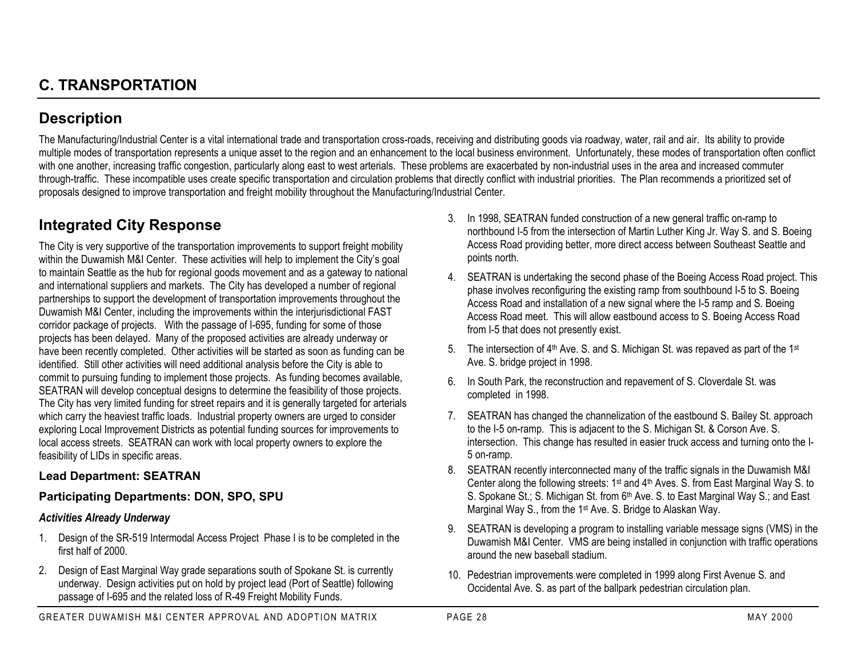# **C. TRANSPORTATION**

# **Description**

The Manufacturing/Industrial Center is a vital international trade and transportation cross-roads, receiving and distributing goods via roadway, water, rail and air. Its ability to provide multiple modes of transportation represents a unique asset to the region and an enhancement to the local business environment. Unfortunately, these modes of transportation often conflict with one another, increasing traffic congestion, particularly along east to west arterials. These problems are exacerbated by non-industrial uses in the area and increased commuter through-traffic. These incompatible uses create specific transportation and circulation problems that directly conflict with industrial priorities. The Plan recommends a prioritized set of proposals designed to improve transportation and freight mobility throughout the Manufacturing/Industrial Center.

# **Integrated City Response**

The City is very supportive of the transportation improvements to support freight mobility within the Duwamish M&I Center. These activities will help to implement the City's goal to maintain Seattle as the hub for regional goods movement and as a gateway to national and international suppliers and markets. The City has developed a number of regional partnerships to support the development of transportation improvements throughout the Duwamish M&I Center, including the improvements within the interjurisdictional FAST corridor package of projects. With the passage of I-695, funding for some of those projects has been delayed. Many of the proposed activities are already underway or have been recently completed. Other activities will be started as soon as funding can be identified. Still other activities will need additional analysis before the City is able to commit to pursuing funding to implement those projects. As funding becomes available, SEATRAN will develop conceptual designs to determine the feasibility of those projects. The City has very limited funding for street repairs and it is generally targeted for arterials which carry the heaviest traffic loads. Industrial property owners are urged to consider exploring Local Improvement Districts as potential funding sources for improvements to local access streets. SEATRAN can work with local property owners to explore the feasibility of LIDs in specific areas.

#### **Lead Department: SEATRAN**

#### **Participating Departments: DON, SPO, SPU**

#### *Activities Already Underway*

- 1. Design of the SR-519 Intermodal Access Project Phase I is to be completed in the first half of 2000.
- 2. Design of East Marginal Way grade separations south of Spokane St. is currently underway. Design activities put on hold by project lead (Port of Seattle) following passage of I-695 and the related loss of R-49 Freight Mobility Funds.
- 3. In 1998, SEATRAN funded construction of a new general traffic on-ramp to northbound I-5 from the intersection of Martin Luther King Jr. Way S. and S. Boeing Access Road providing better, more direct access between Southeast Seattle and points north.
- 4. SEATRAN is undertaking the second phase of the Boeing Access Road project. This phase involves reconfiguring the existing ramp from southbound I-5 to S. Boeing Access Road and installation of a new signal where the I-5 ramp and S. Boeing Access Road meet. This will allow eastbound access to S. Boeing Access Road from I-5 that does not presently exist.
- 5. The intersection of 4<sup>th</sup> Ave. S. and S. Michigan St. was repaved as part of the 1st Ave. S. bridge project in 1998.
- 6. In South Park, the reconstruction and repavement of S. Cloverdale St. was completed in 1998.
- 7. SEATRAN has changed the channelization of the eastbound S. Bailey St. approach to the I-5 on-ramp. This is adjacent to the S. Michigan St. & Corson Ave. S. intersection. This change has resulted in easier truck access and turning onto the I-5 on-ramp.
- 8. SEATRAN recently interconnected many of the traffic signals in the Duwamish M&I Center along the following streets: 1st and 4th Aves. S. from East Marginal Way S. to S. Spokane St.; S. Michigan St. from 6th Ave. S. to East Marginal Way S.; and East Marginal Way S., from the 1st Ave. S. Bridge to Alaskan Way.
- 9. SEATRAN is developing a program to installing variable message signs (VMS) in the Duwamish M&I Center. VMS are being installed in conjunction with traffic operations around the new baseball stadium.
- 10. Pedestrian improvements were completed in 1999 along First Avenue S. and Occidental Ave. S. as part of the ballpark pedestrian circulation plan.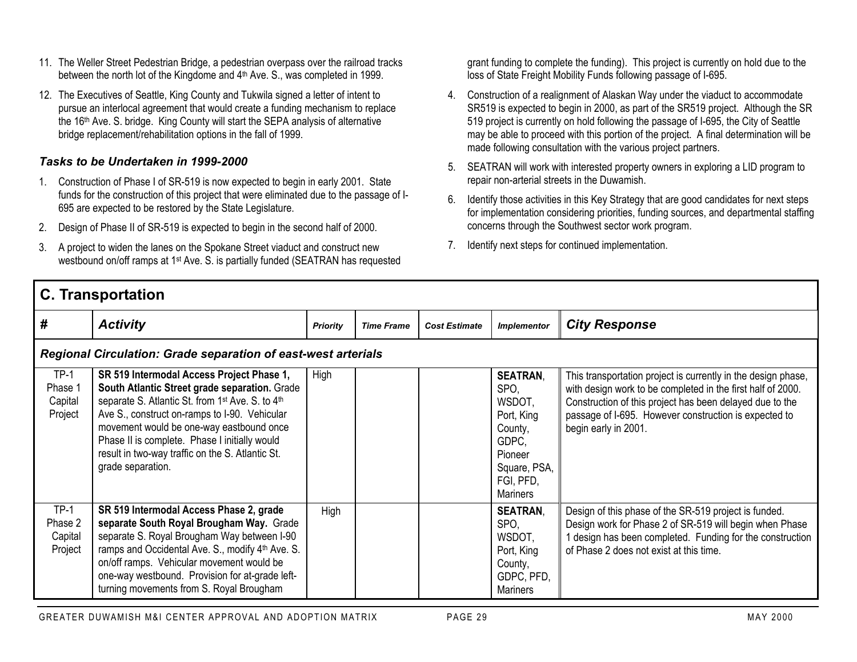- 11. The Weller Street Pedestrian Bridge, a pedestrian overpass over the railroad tracks between the north lot of the Kingdome and 4th Ave. S., was completed in 1999.
- 12. The Executives of Seattle, King County and Tukwila signed a letter of intent to pursue an interlocal agreement that would create a funding mechanism to replace the 16<sup>th</sup> Ave. S. bridge. King County will start the SEPA analysis of alternative bridge replacement/rehabilitation options in the fall of 1999.

#### *Tasks to be Undertaken in 1999-2000*

- 1. Construction of Phase I of SR-519 is now expected to begin in early 2001. State funds for the construction of this project that were eliminated due to the passage of I-695 are expected to be restored by the State Legislature.
- 2. Design of Phase II of SR-519 is expected to begin in the second half of 2000.
- 3. A project to widen the lanes on the Spokane Street viaduct and construct new westbound on/off ramps at 1st Ave. S. is partially funded (SEATRAN has requested

grant funding to complete the funding). This project is currently on hold due to the loss of State Freight Mobility Funds following passage of I-695.

- 4. Construction of a realignment of Alaskan Way under the viaduct to accommodate SR519 is expected to begin in 2000, as part of the SR519 project. Although the SR 519 project is currently on hold following the passage of I-695, the City of Seattle may be able to proceed with this portion of the project. A final determination will be made following consultation with the various project partners.
- 5. SEATRAN will work with interested property owners in exploring a LID program to repair non-arterial streets in the Duwamish.
- 6. Identify those activities in this Key Strategy that are good candidates for next steps for implementation considering priorities, funding sources, and departmental staffing concerns through the Southwest sector work program.
- 7. Identify next steps for continued implementation.

| <b>C. Transportation</b>                                             |                                                                                                                                                                                                                                                                                                                                                                                               |          |                   |                      |                                                                                                                                |                                                                                                                                                                                                                                                                           |  |  |  |
|----------------------------------------------------------------------|-----------------------------------------------------------------------------------------------------------------------------------------------------------------------------------------------------------------------------------------------------------------------------------------------------------------------------------------------------------------------------------------------|----------|-------------------|----------------------|--------------------------------------------------------------------------------------------------------------------------------|---------------------------------------------------------------------------------------------------------------------------------------------------------------------------------------------------------------------------------------------------------------------------|--|--|--|
| #                                                                    | <b>Activity</b>                                                                                                                                                                                                                                                                                                                                                                               | Priority | <b>Time Frame</b> | <b>Cost Estimate</b> | <b>Implementor</b>                                                                                                             | <b>City Response</b>                                                                                                                                                                                                                                                      |  |  |  |
| <b>Regional Circulation: Grade separation of east-west arterials</b> |                                                                                                                                                                                                                                                                                                                                                                                               |          |                   |                      |                                                                                                                                |                                                                                                                                                                                                                                                                           |  |  |  |
| $TP-1$<br>Phase 1<br>Capital<br>Project                              | SR 519 Intermodal Access Project Phase 1,<br>South Atlantic Street grade separation. Grade<br>separate S. Atlantic St. from 1 <sup>st</sup> Ave. S. to 4 <sup>th</sup><br>Ave S., construct on-ramps to I-90. Vehicular<br>movement would be one-way eastbound once<br>Phase II is complete. Phase I initially would<br>result in two-way traffic on the S. Atlantic St.<br>grade separation. | High     |                   |                      | <b>SEATRAN.</b><br>SPO,<br>WSDOT,<br>Port, King<br>County,<br>GDPC,<br>Pioneer<br>Square, PSA,<br>FGI, PFD,<br><b>Mariners</b> | This transportation project is currently in the design phase,<br>with design work to be completed in the first half of 2000.<br>Construction of this project has been delayed due to the<br>passage of I-695. However construction is expected to<br>begin early in 2001. |  |  |  |
| $TP-1$<br>Phase 2<br>Capital<br>Project                              | SR 519 Intermodal Access Phase 2, grade<br>separate South Royal Brougham Way. Grade<br>separate S. Royal Brougham Way between I-90<br>ramps and Occidental Ave. S., modify 4th Ave. S.<br>on/off ramps. Vehicular movement would be<br>one-way westbound. Provision for at-grade left-<br>turning movements from S. Royal Brougham                                                            | High     |                   |                      | <b>SEATRAN,</b><br>SPO,<br>WSDOT,<br>Port, King<br>County,<br>GDPC, PFD,<br><b>Mariners</b>                                    | Design of this phase of the SR-519 project is funded.<br>Design work for Phase 2 of SR-519 will begin when Phase<br>1 design has been completed. Funding for the construction<br>of Phase 2 does not exist at this time.                                                  |  |  |  |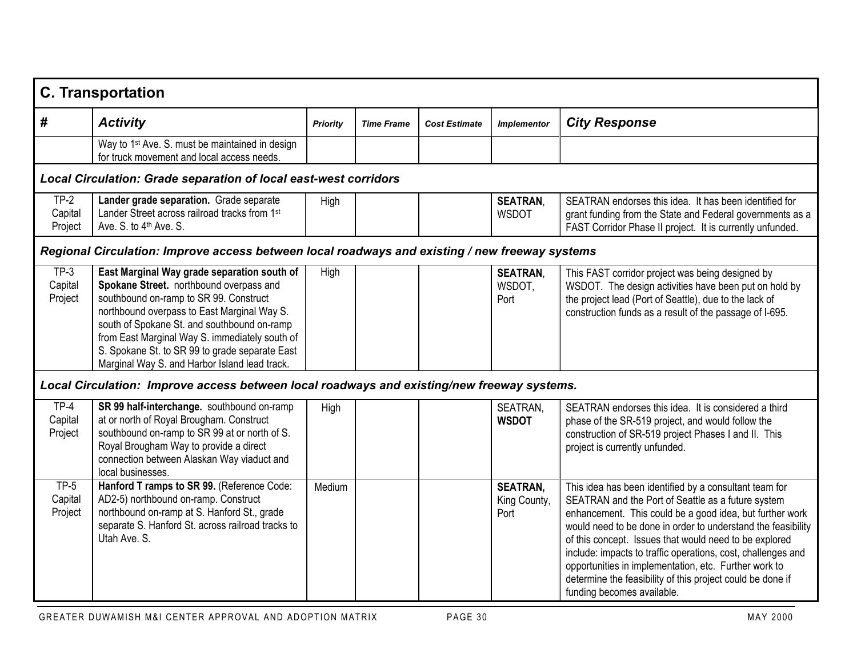|                              | <b>C. Transportation</b>                                                                                                                                                                                                                                                                                                                                                            |                 |                   |                      |                                         |                                                                                                                                                                                                                                                                                                                                                                                                                                                                                                                         |  |  |  |
|------------------------------|-------------------------------------------------------------------------------------------------------------------------------------------------------------------------------------------------------------------------------------------------------------------------------------------------------------------------------------------------------------------------------------|-----------------|-------------------|----------------------|-----------------------------------------|-------------------------------------------------------------------------------------------------------------------------------------------------------------------------------------------------------------------------------------------------------------------------------------------------------------------------------------------------------------------------------------------------------------------------------------------------------------------------------------------------------------------------|--|--|--|
| #                            | <b>Activity</b>                                                                                                                                                                                                                                                                                                                                                                     | <b>Priority</b> | <b>Time Frame</b> | <b>Cost Estimate</b> | <b>Implementor</b>                      | <b>City Response</b>                                                                                                                                                                                                                                                                                                                                                                                                                                                                                                    |  |  |  |
|                              | Way to 1 <sup>st</sup> Ave. S. must be maintained in design<br>for truck movement and local access needs.                                                                                                                                                                                                                                                                           |                 |                   |                      |                                         |                                                                                                                                                                                                                                                                                                                                                                                                                                                                                                                         |  |  |  |
|                              | Local Circulation: Grade separation of local east-west corridors                                                                                                                                                                                                                                                                                                                    |                 |                   |                      |                                         |                                                                                                                                                                                                                                                                                                                                                                                                                                                                                                                         |  |  |  |
| $TP-2$<br>Capital<br>Project | Lander grade separation. Grade separate<br>Lander Street across railroad tracks from 1st<br>Ave. S. to 4 <sup>th</sup> Ave. S.                                                                                                                                                                                                                                                      | High            |                   |                      | <b>SEATRAN,</b><br><b>WSDOT</b>         | SEATRAN endorses this idea. It has been identified for<br>grant funding from the State and Federal governments as a<br>FAST Corridor Phase II project. It is currently unfunded.                                                                                                                                                                                                                                                                                                                                        |  |  |  |
|                              | Regional Circulation: Improve access between local roadways and existing / new freeway systems                                                                                                                                                                                                                                                                                      |                 |                   |                      |                                         |                                                                                                                                                                                                                                                                                                                                                                                                                                                                                                                         |  |  |  |
| $TP-3$<br>Capital<br>Project | East Marginal Way grade separation south of<br>Spokane Street. northbound overpass and<br>southbound on-ramp to SR 99. Construct<br>northbound overpass to East Marginal Way S.<br>south of Spokane St. and southbound on-ramp<br>from East Marginal Way S. immediately south of<br>S. Spokane St. to SR 99 to grade separate East<br>Marginal Way S. and Harbor Island lead track. | High            |                   |                      | <b>SEATRAN.</b><br>WSDOT,<br>Port       | This FAST corridor project was being designed by<br>WSDOT. The design activities have been put on hold by<br>the project lead (Port of Seattle), due to the lack of<br>construction funds as a result of the passage of I-695.                                                                                                                                                                                                                                                                                          |  |  |  |
|                              | Local Circulation: Improve access between local roadways and existing/new freeway systems.                                                                                                                                                                                                                                                                                          |                 |                   |                      |                                         |                                                                                                                                                                                                                                                                                                                                                                                                                                                                                                                         |  |  |  |
| $TP-4$<br>Capital<br>Project | SR 99 half-interchange. southbound on-ramp<br>at or north of Royal Brougham. Construct<br>southbound on-ramp to SR 99 at or north of S.<br>Royal Brougham Way to provide a direct<br>connection between Alaskan Way viaduct and<br>local businesses.                                                                                                                                | High            |                   |                      | SEATRAN.<br><b>WSDOT</b>                | SEATRAN endorses this idea. It is considered a third<br>phase of the SR-519 project, and would follow the<br>construction of SR-519 project Phases I and II. This<br>project is currently unfunded.                                                                                                                                                                                                                                                                                                                     |  |  |  |
| $TP-5$<br>Capital<br>Project | Hanford T ramps to SR 99. (Reference Code:<br>AD2-5) northbound on-ramp. Construct<br>northbound on-ramp at S. Hanford St., grade<br>separate S. Hanford St. across railroad tracks to<br>Utah Ave. S.                                                                                                                                                                              | Medium          |                   |                      | <b>SEATRAN,</b><br>King County,<br>Port | This idea has been identified by a consultant team for<br>SEATRAN and the Port of Seattle as a future system<br>enhancement. This could be a good idea, but further work<br>would need to be done in order to understand the feasibility<br>of this concept. Issues that would need to be explored<br>include: impacts to traffic operations, cost, challenges and<br>opportunities in implementation, etc. Further work to<br>determine the feasibility of this project could be done if<br>funding becomes available. |  |  |  |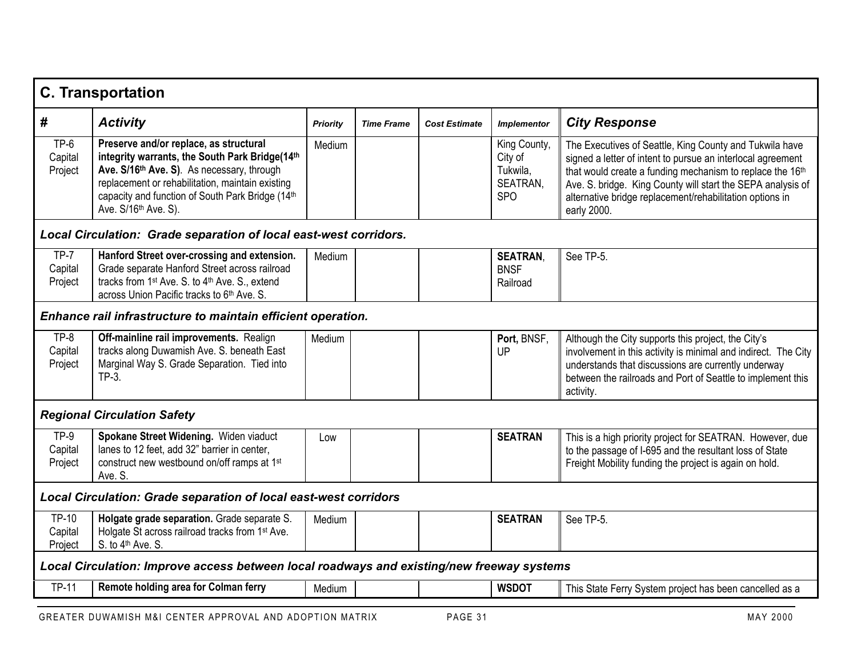| <b>C. Transportation</b>     |                                                                                                                                                                                                                                                                                    |                 |                   |                      |                                                               |                                                                                                                                                                                                                                                                                                                               |  |
|------------------------------|------------------------------------------------------------------------------------------------------------------------------------------------------------------------------------------------------------------------------------------------------------------------------------|-----------------|-------------------|----------------------|---------------------------------------------------------------|-------------------------------------------------------------------------------------------------------------------------------------------------------------------------------------------------------------------------------------------------------------------------------------------------------------------------------|--|
| #                            | <b>Activity</b>                                                                                                                                                                                                                                                                    | <b>Priority</b> | <b>Time Frame</b> | <b>Cost Estimate</b> | <b>Implementor</b>                                            | <b>City Response</b>                                                                                                                                                                                                                                                                                                          |  |
| $TP-6$<br>Capital<br>Project | Preserve and/or replace, as structural<br>integrity warrants, the South Park Bridge(14th<br>Ave. S/16th Ave. S). As necessary, through<br>replacement or rehabilitation, maintain existing<br>capacity and function of South Park Bridge (14th<br>Ave. S/16 <sup>th</sup> Ave. S). | Medium          |                   |                      | King County,<br>City of<br>Tukwila,<br>SEATRAN,<br><b>SPO</b> | The Executives of Seattle, King County and Tukwila have<br>signed a letter of intent to pursue an interlocal agreement<br>that would create a funding mechanism to replace the 16th<br>Ave. S. bridge. King County will start the SEPA analysis of<br>alternative bridge replacement/rehabilitation options in<br>early 2000. |  |
|                              | Local Circulation: Grade separation of local east-west corridors.                                                                                                                                                                                                                  |                 |                   |                      |                                                               |                                                                                                                                                                                                                                                                                                                               |  |
| $TP-7$<br>Capital<br>Project | Hanford Street over-crossing and extension.<br>Grade separate Hanford Street across railroad<br>tracks from 1 <sup>st</sup> Ave. S. to 4 <sup>th</sup> Ave. S., extend<br>across Union Pacific tracks to 6th Ave. S.                                                               | Medium          |                   |                      | <b>SEATRAN,</b><br><b>BNSF</b><br>Railroad                    | See TP-5.                                                                                                                                                                                                                                                                                                                     |  |
|                              | Enhance rail infrastructure to maintain efficient operation.                                                                                                                                                                                                                       |                 |                   |                      |                                                               |                                                                                                                                                                                                                                                                                                                               |  |
| $TP-8$<br>Capital<br>Project | Off-mainline rail improvements. Realign<br>tracks along Duwamish Ave. S. beneath East<br>Marginal Way S. Grade Separation. Tied into<br>TP-3.                                                                                                                                      | Medium          |                   |                      | Port, BNSF,<br>UP                                             | Although the City supports this project, the City's<br>involvement in this activity is minimal and indirect. The City<br>understands that discussions are currently underway<br>between the railroads and Port of Seattle to implement this<br>activity.                                                                      |  |
|                              | <b>Regional Circulation Safety</b>                                                                                                                                                                                                                                                 |                 |                   |                      |                                                               |                                                                                                                                                                                                                                                                                                                               |  |
| $TP-9$<br>Capital<br>Project | Spokane Street Widening. Widen viaduct<br>lanes to 12 feet, add 32" barrier in center,<br>construct new westbound on/off ramps at 1st<br>Ave. S.                                                                                                                                   | Low             |                   |                      | <b>SEATRAN</b>                                                | This is a high priority project for SEATRAN. However, due<br>to the passage of I-695 and the resultant loss of State<br>Freight Mobility funding the project is again on hold.                                                                                                                                                |  |
|                              | Local Circulation: Grade separation of local east-west corridors                                                                                                                                                                                                                   |                 |                   |                      |                                                               |                                                                                                                                                                                                                                                                                                                               |  |
| TP-10<br>Capital<br>Project  | Holgate grade separation. Grade separate S.<br>Holgate St across railroad tracks from 1st Ave.<br>S. to 4th Ave. S.                                                                                                                                                                | Medium          |                   |                      | <b>SEATRAN</b>                                                | See TP-5.                                                                                                                                                                                                                                                                                                                     |  |
|                              | Local Circulation: Improve access between local roadways and existing/new freeway systems                                                                                                                                                                                          |                 |                   |                      |                                                               |                                                                                                                                                                                                                                                                                                                               |  |
| <b>TP-11</b>                 | Remote holding area for Colman ferry                                                                                                                                                                                                                                               | Medium          |                   |                      | <b>WSDOT</b>                                                  | This State Ferry System project has been cancelled as a                                                                                                                                                                                                                                                                       |  |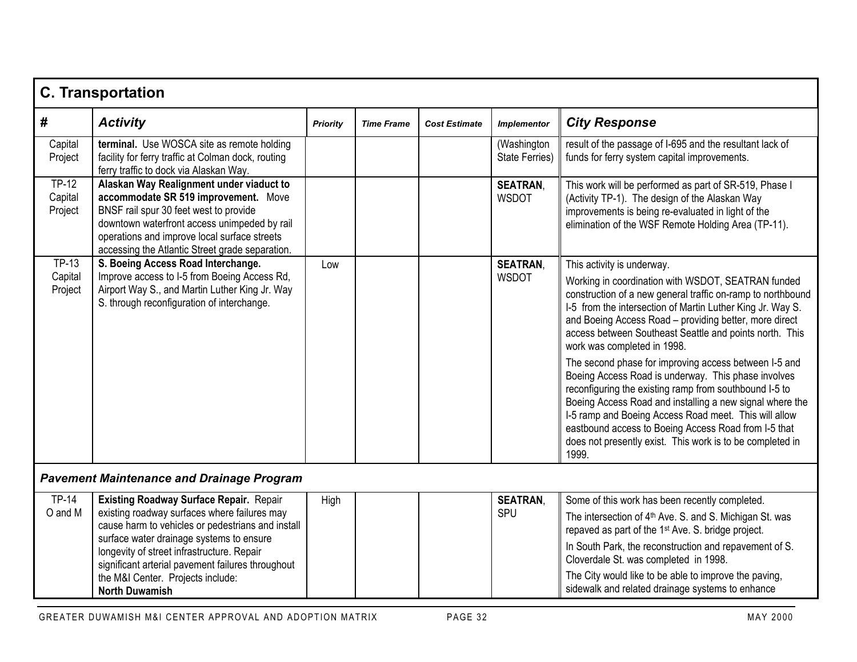|                                    | <b>C. Transportation</b>                                                                                                                                                                                                                                                                                                                                         |                 |                   |                      |                                      |                                                                                                                                                                                                                                                                                                                                                                                                                                                                                                                                                                                                                                                                                                                                                                                                |  |  |  |
|------------------------------------|------------------------------------------------------------------------------------------------------------------------------------------------------------------------------------------------------------------------------------------------------------------------------------------------------------------------------------------------------------------|-----------------|-------------------|----------------------|--------------------------------------|------------------------------------------------------------------------------------------------------------------------------------------------------------------------------------------------------------------------------------------------------------------------------------------------------------------------------------------------------------------------------------------------------------------------------------------------------------------------------------------------------------------------------------------------------------------------------------------------------------------------------------------------------------------------------------------------------------------------------------------------------------------------------------------------|--|--|--|
| #                                  | <b>Activity</b>                                                                                                                                                                                                                                                                                                                                                  | <b>Priority</b> | <b>Time Frame</b> | <b>Cost Estimate</b> | <b>Implementor</b>                   | <b>City Response</b>                                                                                                                                                                                                                                                                                                                                                                                                                                                                                                                                                                                                                                                                                                                                                                           |  |  |  |
| Capital<br>Project                 | terminal. Use WOSCA site as remote holding<br>facility for ferry traffic at Colman dock, routing<br>ferry traffic to dock via Alaskan Way.                                                                                                                                                                                                                       |                 |                   |                      | (Washington<br><b>State Ferries)</b> | result of the passage of I-695 and the resultant lack of<br>funds for ferry system capital improvements.                                                                                                                                                                                                                                                                                                                                                                                                                                                                                                                                                                                                                                                                                       |  |  |  |
| <b>TP-12</b><br>Capital<br>Project | Alaskan Way Realignment under viaduct to<br>accommodate SR 519 improvement. Move<br>BNSF rail spur 30 feet west to provide<br>downtown waterfront access unimpeded by rail<br>operations and improve local surface streets<br>accessing the Atlantic Street grade separation.                                                                                    |                 |                   |                      | <b>SEATRAN,</b><br><b>WSDOT</b>      | This work will be performed as part of SR-519, Phase I<br>(Activity TP-1). The design of the Alaskan Way<br>improvements is being re-evaluated in light of the<br>elimination of the WSF Remote Holding Area (TP-11).                                                                                                                                                                                                                                                                                                                                                                                                                                                                                                                                                                          |  |  |  |
| <b>TP-13</b><br>Capital<br>Project | S. Boeing Access Road Interchange.<br>Improve access to I-5 from Boeing Access Rd,<br>Airport Way S., and Martin Luther King Jr. Way<br>S. through reconfiguration of interchange.                                                                                                                                                                               | Low             |                   |                      | <b>SEATRAN.</b><br><b>WSDOT</b>      | This activity is underway.<br>Working in coordination with WSDOT, SEATRAN funded<br>construction of a new general traffic on-ramp to northbound<br>I-5 from the intersection of Martin Luther King Jr. Way S.<br>and Boeing Access Road - providing better, more direct<br>access between Southeast Seattle and points north. This<br>work was completed in 1998.<br>The second phase for improving access between I-5 and<br>Boeing Access Road is underway. This phase involves<br>reconfiguring the existing ramp from southbound I-5 to<br>Boeing Access Road and installing a new signal where the<br>I-5 ramp and Boeing Access Road meet. This will allow<br>eastbound access to Boeing Access Road from I-5 that<br>does not presently exist. This work is to be completed in<br>1999. |  |  |  |
|                                    | <b>Pavement Maintenance and Drainage Program</b>                                                                                                                                                                                                                                                                                                                 |                 |                   |                      |                                      |                                                                                                                                                                                                                                                                                                                                                                                                                                                                                                                                                                                                                                                                                                                                                                                                |  |  |  |
| <b>TP-14</b><br>O and M            | <b>Existing Roadway Surface Repair. Repair</b><br>existing roadway surfaces where failures may<br>cause harm to vehicles or pedestrians and install<br>surface water drainage systems to ensure<br>longevity of street infrastructure. Repair<br>significant arterial pavement failures throughout<br>the M&I Center. Projects include:<br><b>North Duwamish</b> | High            |                   |                      | <b>SEATRAN,</b><br>SPU               | Some of this work has been recently completed.<br>The intersection of 4 <sup>th</sup> Ave. S. and S. Michigan St. was<br>repaved as part of the 1 <sup>st</sup> Ave. S. bridge project.<br>In South Park, the reconstruction and repavement of S.<br>Cloverdale St. was completed in 1998.<br>The City would like to be able to improve the paving,<br>sidewalk and related drainage systems to enhance                                                                                                                                                                                                                                                                                                                                                                                        |  |  |  |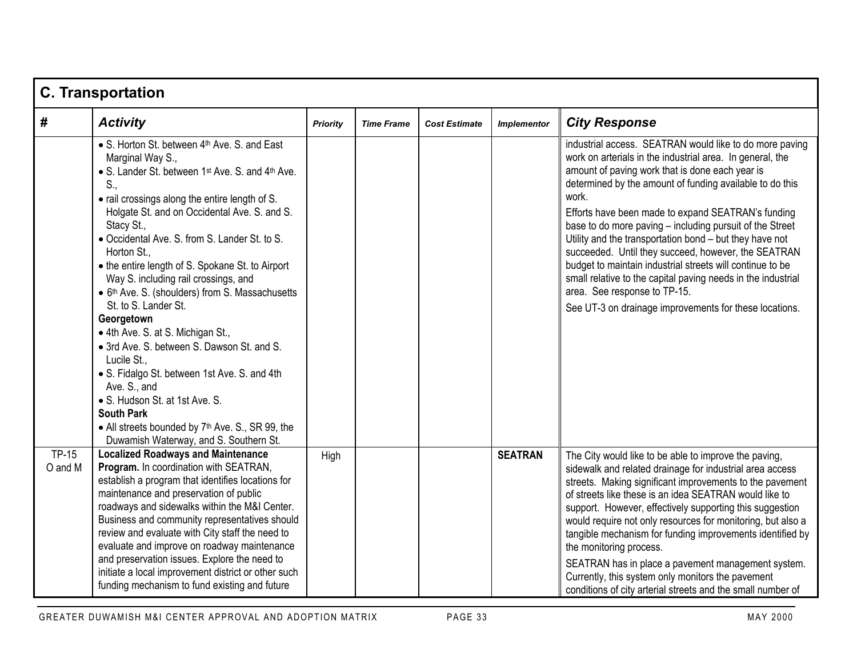| <b>C. Transportation</b> |                                                                                                                                                                                                                                                                                                                                                                                                                                                                                                                                                                                                                                                                                                                                                                                                                                                 |                 |                   |                      |                    |                                                                                                                                                                                                                                                                                                                                                                                                                                                                                                                                                                                                                                                                                                         |  |  |
|--------------------------|-------------------------------------------------------------------------------------------------------------------------------------------------------------------------------------------------------------------------------------------------------------------------------------------------------------------------------------------------------------------------------------------------------------------------------------------------------------------------------------------------------------------------------------------------------------------------------------------------------------------------------------------------------------------------------------------------------------------------------------------------------------------------------------------------------------------------------------------------|-----------------|-------------------|----------------------|--------------------|---------------------------------------------------------------------------------------------------------------------------------------------------------------------------------------------------------------------------------------------------------------------------------------------------------------------------------------------------------------------------------------------------------------------------------------------------------------------------------------------------------------------------------------------------------------------------------------------------------------------------------------------------------------------------------------------------------|--|--|
| #                        | <b>Activity</b>                                                                                                                                                                                                                                                                                                                                                                                                                                                                                                                                                                                                                                                                                                                                                                                                                                 | <b>Priority</b> | <b>Time Frame</b> | <b>Cost Estimate</b> | <b>Implementor</b> | <b>City Response</b>                                                                                                                                                                                                                                                                                                                                                                                                                                                                                                                                                                                                                                                                                    |  |  |
|                          | • S. Horton St. between 4 <sup>th</sup> Ave. S. and East<br>Marginal Way S.,<br>• S. Lander St. between 1st Ave. S. and 4th Ave.<br>S.,<br>• rail crossings along the entire length of S.<br>Holgate St. and on Occidental Ave. S. and S.<br>Stacy St.,<br>• Occidental Ave. S. from S. Lander St. to S.<br>Horton St.,<br>• the entire length of S. Spokane St. to Airport<br>Way S. including rail crossings, and<br>• 6th Ave. S. (shoulders) from S. Massachusetts<br>St. to S. Lander St.<br>Georgetown<br>• 4th Ave. S. at S. Michigan St.,<br>• 3rd Ave. S. between S. Dawson St. and S.<br>Lucile St.,<br>• S. Fidalgo St. between 1st Ave. S. and 4th<br>Ave. S., and<br>• S. Hudson St. at 1st Ave. S.<br><b>South Park</b><br>• All streets bounded by 7 <sup>th</sup> Ave. S., SR 99, the<br>Duwamish Waterway, and S. Southern St. |                 |                   |                      |                    | industrial access. SEATRAN would like to do more paving<br>work on arterials in the industrial area. In general, the<br>amount of paving work that is done each year is<br>determined by the amount of funding available to do this<br>work.<br>Efforts have been made to expand SEATRAN's funding<br>base to do more paving - including pursuit of the Street<br>Utility and the transportation bond - but they have not<br>succeeded. Until they succeed, however, the SEATRAN<br>budget to maintain industrial streets will continue to be<br>small relative to the capital paving needs in the industrial<br>area. See response to TP-15.<br>See UT-3 on drainage improvements for these locations. |  |  |
| <b>TP-15</b><br>O and M  | <b>Localized Roadways and Maintenance</b><br>Program. In coordination with SEATRAN,<br>establish a program that identifies locations for<br>maintenance and preservation of public<br>roadways and sidewalks within the M&I Center.<br>Business and community representatives should<br>review and evaluate with City staff the need to<br>evaluate and improve on roadway maintenance<br>and preservation issues. Explore the need to<br>initiate a local improvement district or other such<br>funding mechanism to fund existing and future                                                                                                                                                                                                                                                                                                  | High            |                   |                      | <b>SEATRAN</b>     | The City would like to be able to improve the paving,<br>sidewalk and related drainage for industrial area access<br>streets. Making significant improvements to the pavement<br>of streets like these is an idea SEATRAN would like to<br>support. However, effectively supporting this suggestion<br>would require not only resources for monitoring, but also a<br>tangible mechanism for funding improvements identified by<br>the monitoring process.<br>SEATRAN has in place a pavement management system.<br>Currently, this system only monitors the pavement<br>conditions of city arterial streets and the small number of                                                                    |  |  |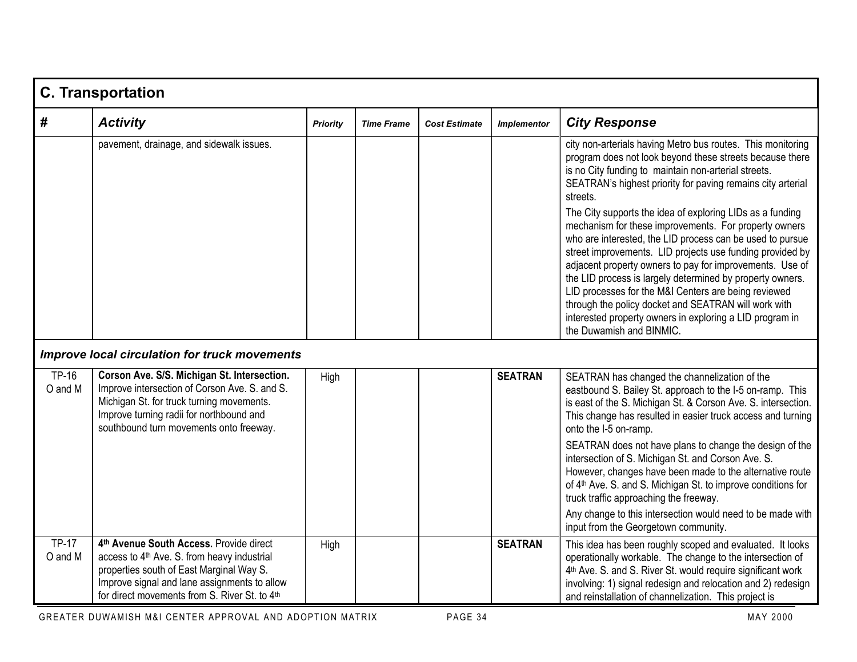|                         | <b>C. Transportation</b>                                                                                                                                                                                                                        |                 |                   |                      |                    |                                                                                                                                                                                                                                                                                                                                                                                                                                                                                                                                                                                                                                                                                                                                                                                                                                             |  |  |
|-------------------------|-------------------------------------------------------------------------------------------------------------------------------------------------------------------------------------------------------------------------------------------------|-----------------|-------------------|----------------------|--------------------|---------------------------------------------------------------------------------------------------------------------------------------------------------------------------------------------------------------------------------------------------------------------------------------------------------------------------------------------------------------------------------------------------------------------------------------------------------------------------------------------------------------------------------------------------------------------------------------------------------------------------------------------------------------------------------------------------------------------------------------------------------------------------------------------------------------------------------------------|--|--|
| #                       | <b>Activity</b>                                                                                                                                                                                                                                 | <b>Priority</b> | <b>Time Frame</b> | <b>Cost Estimate</b> | <b>Implementor</b> | <b>City Response</b>                                                                                                                                                                                                                                                                                                                                                                                                                                                                                                                                                                                                                                                                                                                                                                                                                        |  |  |
|                         | pavement, drainage, and sidewalk issues.                                                                                                                                                                                                        |                 |                   |                      |                    | city non-arterials having Metro bus routes. This monitoring<br>program does not look beyond these streets because there<br>is no City funding to maintain non-arterial streets.<br>SEATRAN's highest priority for paving remains city arterial<br>streets.<br>The City supports the idea of exploring LIDs as a funding<br>mechanism for these improvements. For property owners<br>who are interested, the LID process can be used to pursue<br>street improvements. LID projects use funding provided by<br>adjacent property owners to pay for improvements. Use of<br>the LID process is largely determined by property owners.<br>LID processes for the M&I Centers are being reviewed<br>through the policy docket and SEATRAN will work with<br>interested property owners in exploring a LID program in<br>the Duwamish and BINMIC. |  |  |
|                         | <b>Improve local circulation for truck movements</b>                                                                                                                                                                                            |                 |                   |                      |                    |                                                                                                                                                                                                                                                                                                                                                                                                                                                                                                                                                                                                                                                                                                                                                                                                                                             |  |  |
| TP-16<br>O and M        | Corson Ave. S/S. Michigan St. Intersection.<br>Improve intersection of Corson Ave. S. and S.<br>Michigan St. for truck turning movements.<br>Improve turning radii for northbound and<br>southbound turn movements onto freeway.                | High            |                   |                      | <b>SEATRAN</b>     | SEATRAN has changed the channelization of the<br>eastbound S. Bailey St. approach to the I-5 on-ramp. This<br>is east of the S. Michigan St. & Corson Ave. S. intersection.<br>This change has resulted in easier truck access and turning<br>onto the I-5 on-ramp.                                                                                                                                                                                                                                                                                                                                                                                                                                                                                                                                                                         |  |  |
|                         |                                                                                                                                                                                                                                                 |                 |                   |                      |                    | SEATRAN does not have plans to change the design of the<br>intersection of S. Michigan St. and Corson Ave. S.<br>However, changes have been made to the alternative route<br>of 4 <sup>th</sup> Ave. S. and S. Michigan St. to improve conditions for<br>truck traffic approaching the freeway.                                                                                                                                                                                                                                                                                                                                                                                                                                                                                                                                             |  |  |
|                         |                                                                                                                                                                                                                                                 |                 |                   |                      |                    | Any change to this intersection would need to be made with<br>input from the Georgetown community.                                                                                                                                                                                                                                                                                                                                                                                                                                                                                                                                                                                                                                                                                                                                          |  |  |
| <b>TP-17</b><br>O and M | 4th Avenue South Access. Provide direct<br>access to 4 <sup>th</sup> Ave. S. from heavy industrial<br>properties south of East Marginal Way S.<br>Improve signal and lane assignments to allow<br>for direct movements from S. River St. to 4th | High            |                   |                      | <b>SEATRAN</b>     | This idea has been roughly scoped and evaluated. It looks<br>operationally workable. The change to the intersection of<br>4th Ave. S. and S. River St. would require significant work<br>involving: 1) signal redesign and relocation and 2) redesign<br>and reinstallation of channelization. This project is                                                                                                                                                                                                                                                                                                                                                                                                                                                                                                                              |  |  |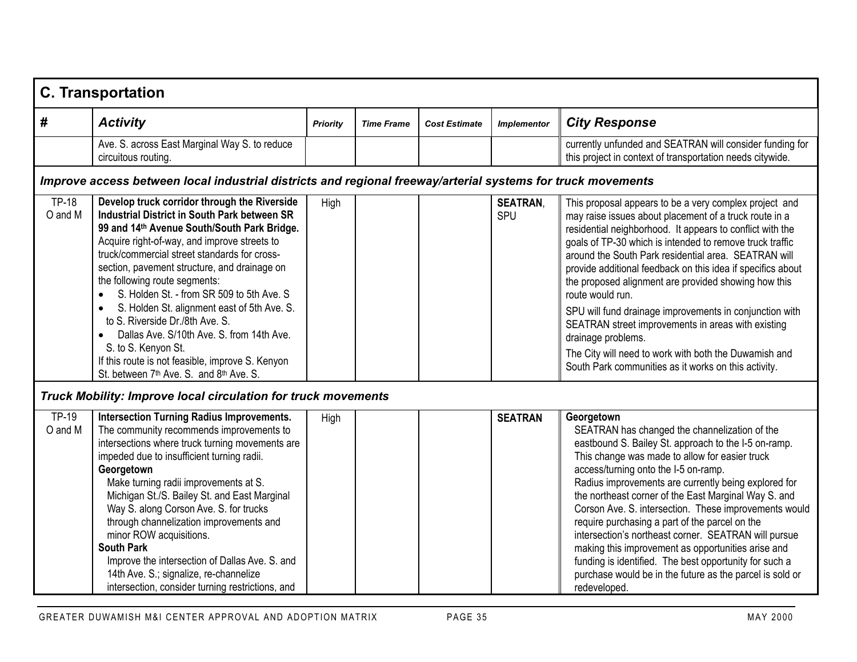|                         | <b>C. Transportation</b>                                                                                                                                                                                                                                                                                                                                                                                                                                                                                                                                                                                                       |          |                   |                      |                        |                                                                                                                                                                                                                                                                                                                                                                                                                                                                                                                                                                                                                                                                                                      |  |  |  |
|-------------------------|--------------------------------------------------------------------------------------------------------------------------------------------------------------------------------------------------------------------------------------------------------------------------------------------------------------------------------------------------------------------------------------------------------------------------------------------------------------------------------------------------------------------------------------------------------------------------------------------------------------------------------|----------|-------------------|----------------------|------------------------|------------------------------------------------------------------------------------------------------------------------------------------------------------------------------------------------------------------------------------------------------------------------------------------------------------------------------------------------------------------------------------------------------------------------------------------------------------------------------------------------------------------------------------------------------------------------------------------------------------------------------------------------------------------------------------------------------|--|--|--|
| #                       | <b>Activity</b>                                                                                                                                                                                                                                                                                                                                                                                                                                                                                                                                                                                                                | Priority | <b>Time Frame</b> | <b>Cost Estimate</b> | <b>Implementor</b>     | <b>City Response</b>                                                                                                                                                                                                                                                                                                                                                                                                                                                                                                                                                                                                                                                                                 |  |  |  |
|                         | Ave. S. across East Marginal Way S. to reduce<br>circuitous routing.                                                                                                                                                                                                                                                                                                                                                                                                                                                                                                                                                           |          |                   |                      |                        | currently unfunded and SEATRAN will consider funding for<br>this project in context of transportation needs citywide.                                                                                                                                                                                                                                                                                                                                                                                                                                                                                                                                                                                |  |  |  |
|                         | Improve access between local industrial districts and regional freeway/arterial systems for truck movements                                                                                                                                                                                                                                                                                                                                                                                                                                                                                                                    |          |                   |                      |                        |                                                                                                                                                                                                                                                                                                                                                                                                                                                                                                                                                                                                                                                                                                      |  |  |  |
| <b>TP-18</b><br>O and M | Develop truck corridor through the Riverside<br>Industrial District in South Park between SR<br>99 and 14th Avenue South/South Park Bridge.<br>Acquire right-of-way, and improve streets to<br>truck/commercial street standards for cross-<br>section, pavement structure, and drainage on<br>the following route segments:<br>S. Holden St. - from SR 509 to 5th Ave. S<br>S. Holden St. alignment east of 5th Ave. S.<br>to S. Riverside Dr./8th Ave. S.<br>Dallas Ave. S/10th Ave. S. from 14th Ave.<br>S. to S. Kenyon St.<br>If this route is not feasible, improve S. Kenyon<br>St. between 7th Ave. S. and 8th Ave. S. | High     |                   |                      | <b>SEATRAN,</b><br>SPU | This proposal appears to be a very complex project and<br>may raise issues about placement of a truck route in a<br>residential neighborhood. It appears to conflict with the<br>goals of TP-30 which is intended to remove truck traffic<br>around the South Park residential area. SEATRAN will<br>provide additional feedback on this idea if specifics about<br>the proposed alignment are provided showing how this<br>route would run.<br>SPU will fund drainage improvements in conjunction with<br>SEATRAN street improvements in areas with existing<br>drainage problems.<br>The City will need to work with both the Duwamish and<br>South Park communities as it works on this activity. |  |  |  |
|                         | <b>Truck Mobility: Improve local circulation for truck movements</b>                                                                                                                                                                                                                                                                                                                                                                                                                                                                                                                                                           |          |                   |                      |                        |                                                                                                                                                                                                                                                                                                                                                                                                                                                                                                                                                                                                                                                                                                      |  |  |  |
| <b>TP-19</b><br>O and M | <b>Intersection Turning Radius Improvements.</b><br>The community recommends improvements to<br>intersections where truck turning movements are<br>impeded due to insufficient turning radii.<br>Georgetown<br>Make turning radii improvements at S.<br>Michigan St./S. Bailey St. and East Marginal<br>Way S. along Corson Ave. S. for trucks<br>through channelization improvements and<br>minor ROW acquisitions.<br><b>South Park</b><br>Improve the intersection of Dallas Ave. S. and<br>14th Ave. S.; signalize, re-channelize<br>intersection, consider turning restrictions, and                                      | High     |                   |                      | <b>SEATRAN</b>         | Georgetown<br>SEATRAN has changed the channelization of the<br>eastbound S. Bailey St. approach to the I-5 on-ramp.<br>This change was made to allow for easier truck<br>access/turning onto the I-5 on-ramp.<br>Radius improvements are currently being explored for<br>the northeast corner of the East Marginal Way S. and<br>Corson Ave. S. intersection. These improvements would<br>require purchasing a part of the parcel on the<br>intersection's northeast corner. SEATRAN will pursue<br>making this improvement as opportunities arise and<br>funding is identified. The best opportunity for such a<br>purchase would be in the future as the parcel is sold or<br>redeveloped.         |  |  |  |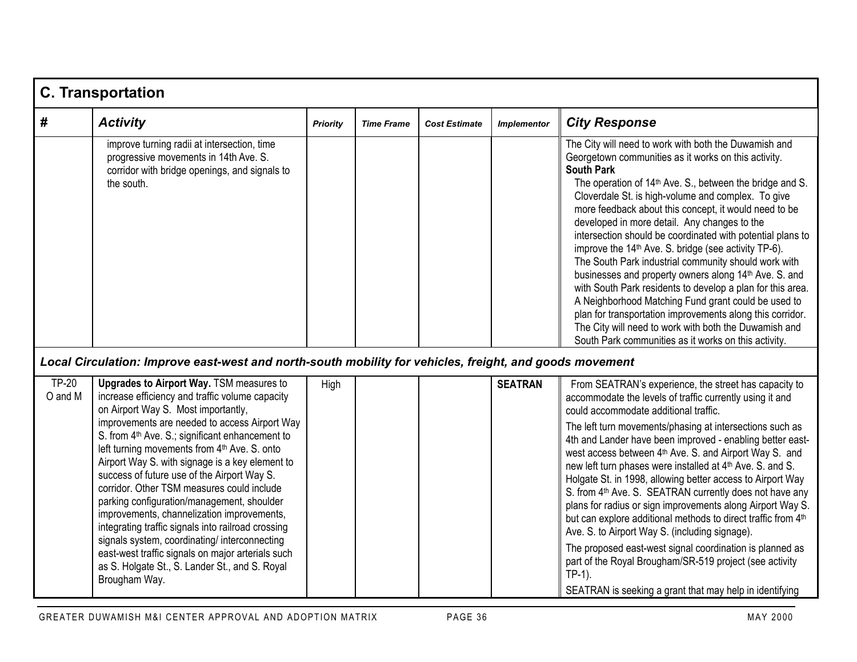|                         | <b>C. Transportation</b>                                                                                                                                                                                                                                                                                                                                                                                                                                                                                                                                                                                                                                                                                                                                          |          |                   |                      |                    |                                                                                                                                                                                                                                                                                                                                                                                                                                                                                                                                                                                                                                                                                                                                                                                                                                                                                                                                 |  |  |  |
|-------------------------|-------------------------------------------------------------------------------------------------------------------------------------------------------------------------------------------------------------------------------------------------------------------------------------------------------------------------------------------------------------------------------------------------------------------------------------------------------------------------------------------------------------------------------------------------------------------------------------------------------------------------------------------------------------------------------------------------------------------------------------------------------------------|----------|-------------------|----------------------|--------------------|---------------------------------------------------------------------------------------------------------------------------------------------------------------------------------------------------------------------------------------------------------------------------------------------------------------------------------------------------------------------------------------------------------------------------------------------------------------------------------------------------------------------------------------------------------------------------------------------------------------------------------------------------------------------------------------------------------------------------------------------------------------------------------------------------------------------------------------------------------------------------------------------------------------------------------|--|--|--|
| #                       | <b>Activity</b>                                                                                                                                                                                                                                                                                                                                                                                                                                                                                                                                                                                                                                                                                                                                                   | Priority | <b>Time Frame</b> | <b>Cost Estimate</b> | <b>Implementor</b> | <b>City Response</b>                                                                                                                                                                                                                                                                                                                                                                                                                                                                                                                                                                                                                                                                                                                                                                                                                                                                                                            |  |  |  |
|                         | improve turning radii at intersection, time<br>progressive movements in 14th Ave. S.<br>corridor with bridge openings, and signals to<br>the south.                                                                                                                                                                                                                                                                                                                                                                                                                                                                                                                                                                                                               |          |                   |                      |                    | The City will need to work with both the Duwamish and<br>Georgetown communities as it works on this activity.<br><b>South Park</b><br>The operation of 14 <sup>th</sup> Ave. S., between the bridge and S.<br>Cloverdale St. is high-volume and complex. To give<br>more feedback about this concept, it would need to be<br>developed in more detail. Any changes to the<br>intersection should be coordinated with potential plans to<br>improve the 14 <sup>th</sup> Ave. S. bridge (see activity TP-6).<br>The South Park industrial community should work with<br>businesses and property owners along 14th Ave. S. and<br>with South Park residents to develop a plan for this area.<br>A Neighborhood Matching Fund grant could be used to<br>plan for transportation improvements along this corridor.<br>The City will need to work with both the Duwamish and<br>South Park communities as it works on this activity. |  |  |  |
|                         | Local Circulation: Improve east-west and north-south mobility for vehicles, freight, and goods movement                                                                                                                                                                                                                                                                                                                                                                                                                                                                                                                                                                                                                                                           |          |                   |                      |                    |                                                                                                                                                                                                                                                                                                                                                                                                                                                                                                                                                                                                                                                                                                                                                                                                                                                                                                                                 |  |  |  |
| <b>TP-20</b><br>O and M | Upgrades to Airport Way. TSM measures to<br>increase efficiency and traffic volume capacity<br>on Airport Way S. Most importantly,<br>improvements are needed to access Airport Way<br>S. from 4th Ave. S.; significant enhancement to<br>left turning movements from 4th Ave. S. onto<br>Airport Way S. with signage is a key element to<br>success of future use of the Airport Way S.<br>corridor. Other TSM measures could include<br>parking configuration/management, shoulder<br>improvements, channelization improvements,<br>integrating traffic signals into railroad crossing<br>signals system, coordinating/ interconnecting<br>east-west traffic signals on major arterials such<br>as S. Holgate St., S. Lander St., and S. Royal<br>Brougham Way. | High     |                   |                      | <b>SEATRAN</b>     | From SEATRAN's experience, the street has capacity to<br>accommodate the levels of traffic currently using it and<br>could accommodate additional traffic.<br>The left turn movements/phasing at intersections such as<br>4th and Lander have been improved - enabling better east-<br>west access between 4th Ave. S. and Airport Way S. and<br>new left turn phases were installed at 4 <sup>th</sup> Ave. S. and S.<br>Holgate St. in 1998, allowing better access to Airport Way<br>S. from 4th Ave. S. SEATRAN currently does not have any<br>plans for radius or sign improvements along Airport Way S.<br>but can explore additional methods to direct traffic from 4th<br>Ave. S. to Airport Way S. (including signage).<br>The proposed east-west signal coordination is planned as<br>part of the Royal Brougham/SR-519 project (see activity<br>$TP-1$ ).<br>SEATRAN is seeking a grant that may help in identifying |  |  |  |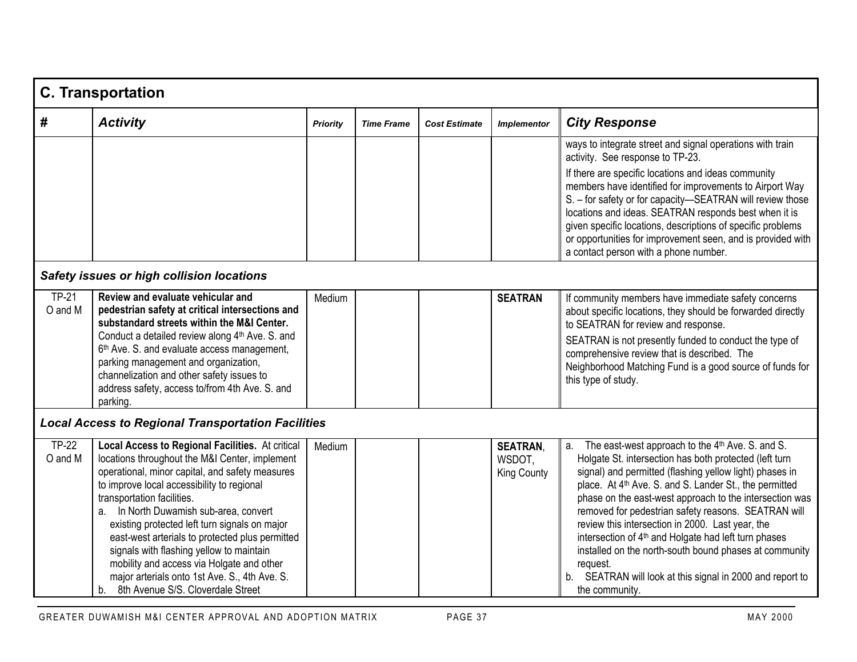| <b>C. Transportation</b> |                                                                                                                                                                                                                                                                                                                                                                                                                                                                                                                                                                               |                 |                   |                      |                                                 |                                                                                                                                                                                                                                                                                                                                                                                                                                                                                                                                                                                                                                                                 |  |  |
|--------------------------|-------------------------------------------------------------------------------------------------------------------------------------------------------------------------------------------------------------------------------------------------------------------------------------------------------------------------------------------------------------------------------------------------------------------------------------------------------------------------------------------------------------------------------------------------------------------------------|-----------------|-------------------|----------------------|-------------------------------------------------|-----------------------------------------------------------------------------------------------------------------------------------------------------------------------------------------------------------------------------------------------------------------------------------------------------------------------------------------------------------------------------------------------------------------------------------------------------------------------------------------------------------------------------------------------------------------------------------------------------------------------------------------------------------------|--|--|
| #                        | <b>Activity</b>                                                                                                                                                                                                                                                                                                                                                                                                                                                                                                                                                               | <b>Priority</b> | <b>Time Frame</b> | <b>Cost Estimate</b> | <b>Implementor</b>                              | <b>City Response</b>                                                                                                                                                                                                                                                                                                                                                                                                                                                                                                                                                                                                                                            |  |  |
|                          |                                                                                                                                                                                                                                                                                                                                                                                                                                                                                                                                                                               |                 |                   |                      |                                                 | ways to integrate street and signal operations with train<br>activity. See response to TP-23.                                                                                                                                                                                                                                                                                                                                                                                                                                                                                                                                                                   |  |  |
|                          |                                                                                                                                                                                                                                                                                                                                                                                                                                                                                                                                                                               |                 |                   |                      |                                                 | If there are specific locations and ideas community<br>members have identified for improvements to Airport Way<br>S. - for safety or for capacity-SEATRAN will review those<br>locations and ideas. SEATRAN responds best when it is<br>given specific locations, descriptions of specific problems<br>or opportunities for improvement seen, and is provided with<br>a contact person with a phone number.                                                                                                                                                                                                                                                     |  |  |
|                          | <b>Safety issues or high collision locations</b>                                                                                                                                                                                                                                                                                                                                                                                                                                                                                                                              |                 |                   |                      |                                                 |                                                                                                                                                                                                                                                                                                                                                                                                                                                                                                                                                                                                                                                                 |  |  |
| TP-21<br>O and M         | Review and evaluate vehicular and<br>pedestrian safety at critical intersections and<br>substandard streets within the M&I Center.<br>Conduct a detailed review along 4 <sup>th</sup> Ave. S. and<br>6th Ave. S. and evaluate access management,<br>parking management and organization,<br>channelization and other safety issues to<br>address safety, access to/from 4th Ave. S. and<br>parking.                                                                                                                                                                           | Medium          |                   |                      | <b>SEATRAN</b>                                  | If community members have immediate safety concerns<br>about specific locations, they should be forwarded directly<br>to SEATRAN for review and response.<br>SEATRAN is not presently funded to conduct the type of<br>comprehensive review that is described. The<br>Neighborhood Matching Fund is a good source of funds for<br>this type of study.                                                                                                                                                                                                                                                                                                           |  |  |
|                          | <b>Local Access to Regional Transportation Facilities</b>                                                                                                                                                                                                                                                                                                                                                                                                                                                                                                                     |                 |                   |                      |                                                 |                                                                                                                                                                                                                                                                                                                                                                                                                                                                                                                                                                                                                                                                 |  |  |
| <b>TP-22</b><br>O and M  | Local Access to Regional Facilities. At critical<br>locations throughout the M&I Center, implement<br>operational, minor capital, and safety measures<br>to improve local accessibility to regional<br>transportation facilities.<br>a. In North Duwamish sub-area, convert<br>existing protected left turn signals on major<br>east-west arterials to protected plus permitted<br>signals with flashing yellow to maintain<br>mobility and access via Holgate and other<br>major arterials onto 1st Ave. S., 4th Ave. S.<br>8th Avenue S/S. Cloverdale Street<br>$h_{\cdot}$ | Medium          |                   |                      | <b>SEATRAN,</b><br>WSDOT,<br><b>King County</b> | The east-west approach to the 4 <sup>th</sup> Ave. S. and S.<br>a.<br>Holgate St. intersection has both protected (left turn<br>signal) and permitted (flashing yellow light) phases in<br>place. At 4 <sup>th</sup> Ave. S. and S. Lander St., the permitted<br>phase on the east-west approach to the intersection was<br>removed for pedestrian safety reasons. SEATRAN will<br>review this intersection in 2000. Last year, the<br>intersection of 4 <sup>th</sup> and Holgate had left turn phases<br>installed on the north-south bound phases at community<br>request.<br>SEATRAN will look at this signal in 2000 and report to<br>b.<br>the community. |  |  |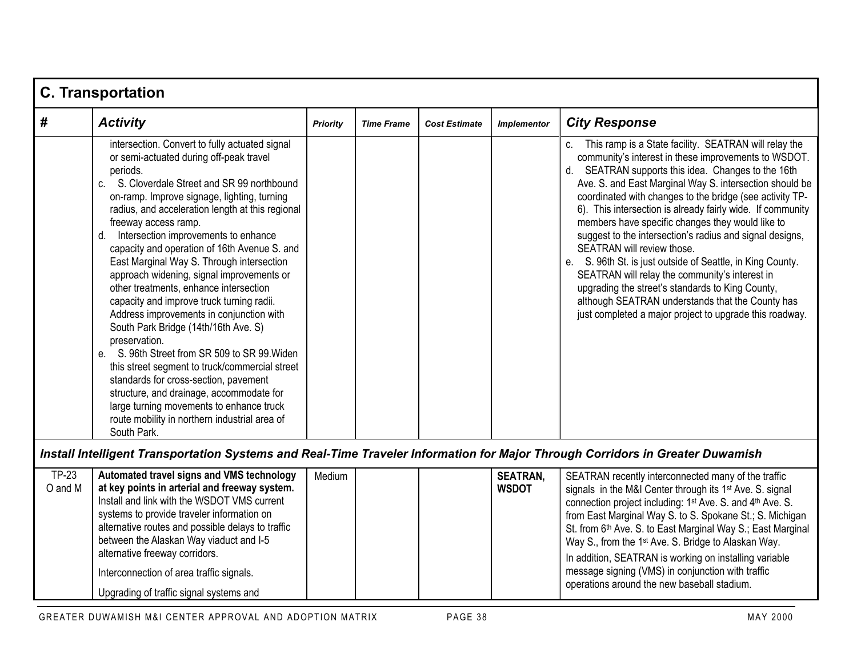| <b>C. Transportation</b> |                                                                                                                                                                                                                                                                                                                                                                                                                                                                                                                                                                                                                                                                                                                                                                                                                                                                                                                                                                                |                 |                   |                      |                    |                                                                                                                                                                                                                                                                                                                                                                                                                                                                                                                                                                                                                                                                                                                                                                                              |  |  |
|--------------------------|--------------------------------------------------------------------------------------------------------------------------------------------------------------------------------------------------------------------------------------------------------------------------------------------------------------------------------------------------------------------------------------------------------------------------------------------------------------------------------------------------------------------------------------------------------------------------------------------------------------------------------------------------------------------------------------------------------------------------------------------------------------------------------------------------------------------------------------------------------------------------------------------------------------------------------------------------------------------------------|-----------------|-------------------|----------------------|--------------------|----------------------------------------------------------------------------------------------------------------------------------------------------------------------------------------------------------------------------------------------------------------------------------------------------------------------------------------------------------------------------------------------------------------------------------------------------------------------------------------------------------------------------------------------------------------------------------------------------------------------------------------------------------------------------------------------------------------------------------------------------------------------------------------------|--|--|
| #                        | <b>Activity</b>                                                                                                                                                                                                                                                                                                                                                                                                                                                                                                                                                                                                                                                                                                                                                                                                                                                                                                                                                                | <b>Priority</b> | <b>Time Frame</b> | <b>Cost Estimate</b> | <b>Implementor</b> | <b>City Response</b>                                                                                                                                                                                                                                                                                                                                                                                                                                                                                                                                                                                                                                                                                                                                                                         |  |  |
|                          | intersection. Convert to fully actuated signal<br>or semi-actuated during off-peak travel<br>periods.<br>S. Cloverdale Street and SR 99 northbound<br>C.<br>on-ramp. Improve signage, lighting, turning<br>radius, and acceleration length at this regional<br>freeway access ramp.<br>Intersection improvements to enhance<br>d.<br>capacity and operation of 16th Avenue S. and<br>East Marginal Way S. Through intersection<br>approach widening, signal improvements or<br>other treatments, enhance intersection<br>capacity and improve truck turning radii.<br>Address improvements in conjunction with<br>South Park Bridge (14th/16th Ave. S)<br>preservation.<br>S. 96th Street from SR 509 to SR 99. Widen<br>e.<br>this street segment to truck/commercial street<br>standards for cross-section, pavement<br>structure, and drainage, accommodate for<br>large turning movements to enhance truck<br>route mobility in northern industrial area of<br>South Park. |                 |                   |                      |                    | This ramp is a State facility. SEATRAN will relay the<br>community's interest in these improvements to WSDOT.<br>d. SEATRAN supports this idea. Changes to the 16th<br>Ave. S. and East Marginal Way S. intersection should be<br>coordinated with changes to the bridge (see activity TP-<br>6). This intersection is already fairly wide. If community<br>members have specific changes they would like to<br>suggest to the intersection's radius and signal designs,<br>SEATRAN will review those.<br>S. 96th St. is just outside of Seattle, in King County.<br>е.<br>SEATRAN will relay the community's interest in<br>upgrading the street's standards to King County,<br>although SEATRAN understands that the County has<br>just completed a major project to upgrade this roadway. |  |  |
|                          | Install Intelligent Transportation Systems and Real-Time Traveler Information for Major Through Corridors in Greater Duwamish                                                                                                                                                                                                                                                                                                                                                                                                                                                                                                                                                                                                                                                                                                                                                                                                                                                  |                 |                   |                      |                    |                                                                                                                                                                                                                                                                                                                                                                                                                                                                                                                                                                                                                                                                                                                                                                                              |  |  |

| <b>TP-23</b><br>O and M | Automated travel signs and VMS technology<br>at key points in arterial and freeway system.<br>Install and link with the WSDOT VMS current<br>systems to provide traveler information on<br>alternative routes and possible delays to traffic<br>between the Alaskan Way viaduct and I-5<br>alternative freeway corridors.<br>Interconnection of area traffic signals. | Medium | <b>SEATRAN,</b><br><b>WSDOT</b> | SEATRAN recently interconnected many of the traffic<br>signals in the M&I Center through its 1 <sup>st</sup> Ave. S. signal<br>connection project including: 1 <sup>st</sup> Ave. S. and 4 <sup>th</sup> Ave. S.<br>from East Marginal Way S. to S. Spokane St.; S. Michigan<br>St. from 6th Ave. S. to East Marginal Way S.; East Marginal<br>Way S., from the 1 <sup>st</sup> Ave. S. Bridge to Alaskan Way.<br>In addition, SEATRAN is working on installing variable<br>message signing (VMS) in conjunction with traffic |
|-------------------------|-----------------------------------------------------------------------------------------------------------------------------------------------------------------------------------------------------------------------------------------------------------------------------------------------------------------------------------------------------------------------|--------|---------------------------------|-------------------------------------------------------------------------------------------------------------------------------------------------------------------------------------------------------------------------------------------------------------------------------------------------------------------------------------------------------------------------------------------------------------------------------------------------------------------------------------------------------------------------------|
|                         | Upgrading of traffic signal systems and                                                                                                                                                                                                                                                                                                                               |        |                                 | operations around the new baseball stadium.                                                                                                                                                                                                                                                                                                                                                                                                                                                                                   |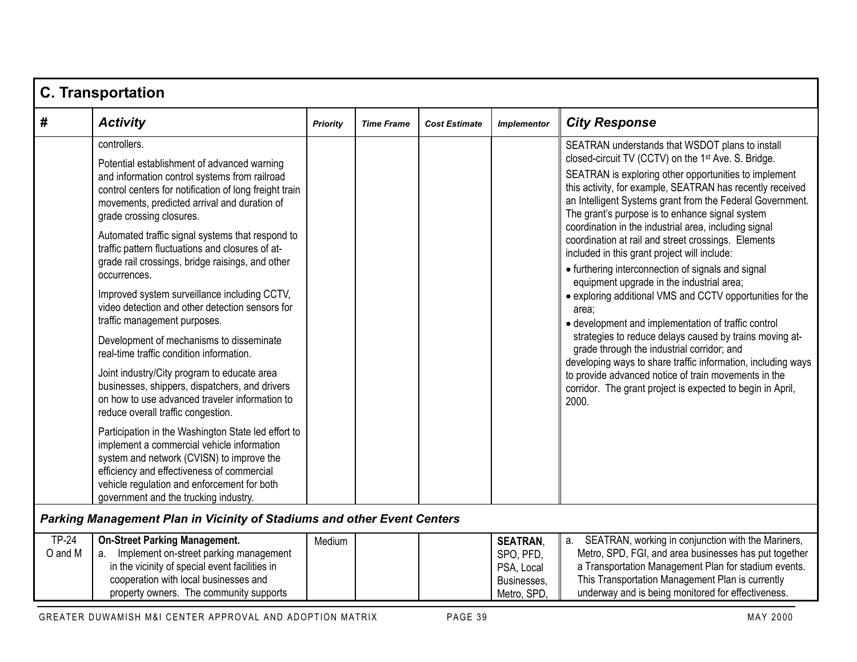| <b>C. Transportation</b> |                                                                                                                                                                                                                                                                                      |                 |                   |                      |                              |                                                                                                                                                                                                                                                                                                                                                                |  |  |
|--------------------------|--------------------------------------------------------------------------------------------------------------------------------------------------------------------------------------------------------------------------------------------------------------------------------------|-----------------|-------------------|----------------------|------------------------------|----------------------------------------------------------------------------------------------------------------------------------------------------------------------------------------------------------------------------------------------------------------------------------------------------------------------------------------------------------------|--|--|
| #                        | <b>Activity</b>                                                                                                                                                                                                                                                                      | <b>Priority</b> | <b>Time Frame</b> | <b>Cost Estimate</b> | <b>Implementor</b>           | <b>City Response</b>                                                                                                                                                                                                                                                                                                                                           |  |  |
|                          | controllers.                                                                                                                                                                                                                                                                         |                 |                   |                      |                              | SEATRAN understands that WSDOT plans to install                                                                                                                                                                                                                                                                                                                |  |  |
|                          | Potential establishment of advanced warning<br>and information control systems from railroad<br>control centers for notification of long freight train<br>movements, predicted arrival and duration of<br>grade crossing closures.                                                   |                 |                   |                      |                              | closed-circuit TV (CCTV) on the 1 <sup>st</sup> Ave. S. Bridge.<br>SEATRAN is exploring other opportunities to implement<br>this activity, for example, SEATRAN has recently received<br>an Intelligent Systems grant from the Federal Government.<br>The grant's purpose is to enhance signal system<br>coordination in the industrial area, including signal |  |  |
|                          | Automated traffic signal systems that respond to<br>traffic pattern fluctuations and closures of at-<br>grade rail crossings, bridge raisings, and other<br>occurrences.                                                                                                             |                 |                   |                      |                              | coordination at rail and street crossings. Elements<br>included in this grant project will include:<br>• furthering interconnection of signals and signal<br>equipment upgrade in the industrial area;                                                                                                                                                         |  |  |
|                          | Improved system surveillance including CCTV,<br>video detection and other detection sensors for<br>traffic management purposes.                                                                                                                                                      |                 |                   |                      |                              | • exploring additional VMS and CCTV opportunities for the<br>area;<br>• development and implementation of traffic control                                                                                                                                                                                                                                      |  |  |
|                          | Development of mechanisms to disseminate<br>real-time traffic condition information.                                                                                                                                                                                                 |                 |                   |                      |                              | strategies to reduce delays caused by trains moving at-<br>grade through the industrial corridor; and<br>developing ways to share traffic information, including ways                                                                                                                                                                                          |  |  |
|                          | Joint industry/City program to educate area<br>businesses, shippers, dispatchers, and drivers<br>on how to use advanced traveler information to<br>reduce overall traffic congestion.                                                                                                |                 |                   |                      |                              | to provide advanced notice of train movements in the<br>corridor. The grant project is expected to begin in April,<br>2000.                                                                                                                                                                                                                                    |  |  |
|                          | Participation in the Washington State led effort to<br>implement a commercial vehicle information<br>system and network (CVISN) to improve the<br>efficiency and effectiveness of commercial<br>vehicle regulation and enforcement for both<br>government and the trucking industry. |                 |                   |                      |                              |                                                                                                                                                                                                                                                                                                                                                                |  |  |
|                          | Parking Management Plan in Vicinity of Stadiums and other Event Centers                                                                                                                                                                                                              |                 |                   |                      |                              |                                                                                                                                                                                                                                                                                                                                                                |  |  |
| <b>TP-24</b><br>O and M  | <b>On-Street Parking Management.</b><br>Implement on-street parking management<br>а.                                                                                                                                                                                                 | Medium          |                   |                      | <b>SEATRAN.</b><br>SPO, PFD, | SEATRAN, working in conjunction with the Mariners,<br>а.<br>Metro, SPD, FGI, and area businesses has put together                                                                                                                                                                                                                                              |  |  |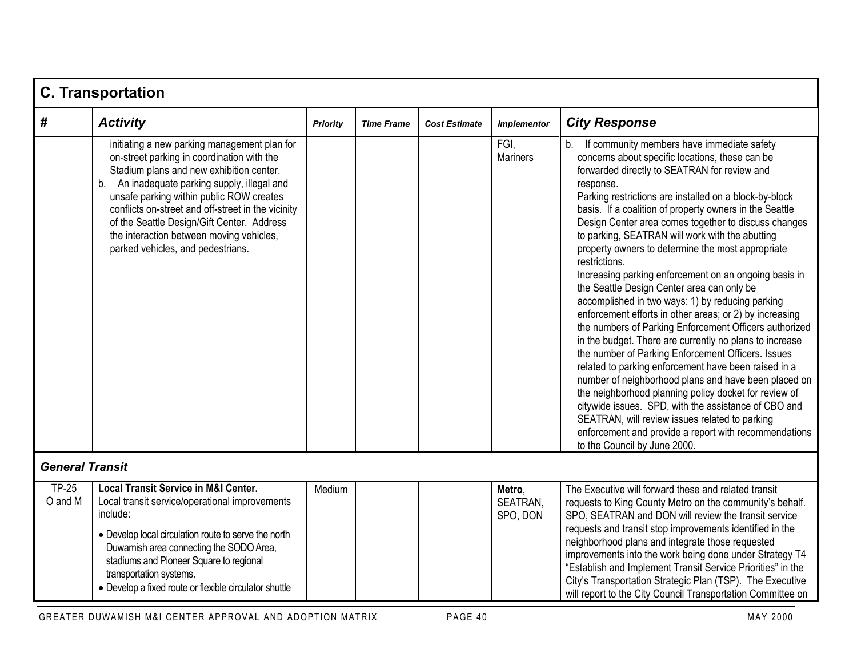|                         | <b>C. Transportation</b>                                                                                                                                                                                                                                                                                                                                                                                                |                 |                   |                      |                                |                                                                                                                                                                                                                                                                                                                                                                                                                                                                                                                                                                                                                                                                                                                                                                                                                                                                                                                                                                                                                                                                                                                                                                                                                                               |  |  |  |
|-------------------------|-------------------------------------------------------------------------------------------------------------------------------------------------------------------------------------------------------------------------------------------------------------------------------------------------------------------------------------------------------------------------------------------------------------------------|-----------------|-------------------|----------------------|--------------------------------|-----------------------------------------------------------------------------------------------------------------------------------------------------------------------------------------------------------------------------------------------------------------------------------------------------------------------------------------------------------------------------------------------------------------------------------------------------------------------------------------------------------------------------------------------------------------------------------------------------------------------------------------------------------------------------------------------------------------------------------------------------------------------------------------------------------------------------------------------------------------------------------------------------------------------------------------------------------------------------------------------------------------------------------------------------------------------------------------------------------------------------------------------------------------------------------------------------------------------------------------------|--|--|--|
| #                       | <b>Activity</b>                                                                                                                                                                                                                                                                                                                                                                                                         | <b>Priority</b> | <b>Time Frame</b> | <b>Cost Estimate</b> | <b>Implementor</b>             | <b>City Response</b>                                                                                                                                                                                                                                                                                                                                                                                                                                                                                                                                                                                                                                                                                                                                                                                                                                                                                                                                                                                                                                                                                                                                                                                                                          |  |  |  |
|                         | initiating a new parking management plan for<br>on-street parking in coordination with the<br>Stadium plans and new exhibition center.<br>b. An inadequate parking supply, illegal and<br>unsafe parking within public ROW creates<br>conflicts on-street and off-street in the vicinity<br>of the Seattle Design/Gift Center. Address<br>the interaction between moving vehicles,<br>parked vehicles, and pedestrians. |                 |                   |                      | FGI,<br><b>Mariners</b>        | If community members have immediate safety<br>concerns about specific locations, these can be<br>forwarded directly to SEATRAN for review and<br>response.<br>Parking restrictions are installed on a block-by-block<br>basis. If a coalition of property owners in the Seattle<br>Design Center area comes together to discuss changes<br>to parking, SEATRAN will work with the abutting<br>property owners to determine the most appropriate<br>restrictions.<br>Increasing parking enforcement on an ongoing basis in<br>the Seattle Design Center area can only be<br>accomplished in two ways: 1) by reducing parking<br>enforcement efforts in other areas; or 2) by increasing<br>the numbers of Parking Enforcement Officers authorized<br>in the budget. There are currently no plans to increase<br>the number of Parking Enforcement Officers. Issues<br>related to parking enforcement have been raised in a<br>number of neighborhood plans and have been placed on<br>the neighborhood planning policy docket for review of<br>citywide issues. SPD, with the assistance of CBO and<br>SEATRAN, will review issues related to parking<br>enforcement and provide a report with recommendations<br>to the Council by June 2000. |  |  |  |
| <b>General Transit</b>  |                                                                                                                                                                                                                                                                                                                                                                                                                         |                 |                   |                      |                                |                                                                                                                                                                                                                                                                                                                                                                                                                                                                                                                                                                                                                                                                                                                                                                                                                                                                                                                                                                                                                                                                                                                                                                                                                                               |  |  |  |
| <b>TP-25</b><br>O and M | <b>Local Transit Service in M&amp;I Center.</b><br>Local transit service/operational improvements<br>include:<br>• Develop local circulation route to serve the north<br>Duwamish area connecting the SODO Area,<br>stadiums and Pioneer Square to regional<br>transportation systems.<br>• Develop a fixed route or flexible circulator shuttle                                                                        | Medium          |                   |                      | Metro,<br>SEATRAN.<br>SPO, DON | The Executive will forward these and related transit<br>requests to King County Metro on the community's behalf.<br>SPO, SEATRAN and DON will review the transit service<br>requests and transit stop improvements identified in the<br>neighborhood plans and integrate those requested<br>improvements into the work being done under Strategy T4<br>"Establish and Implement Transit Service Priorities" in the<br>City's Transportation Strategic Plan (TSP). The Executive<br>will report to the City Council Transportation Committee on                                                                                                                                                                                                                                                                                                                                                                                                                                                                                                                                                                                                                                                                                                |  |  |  |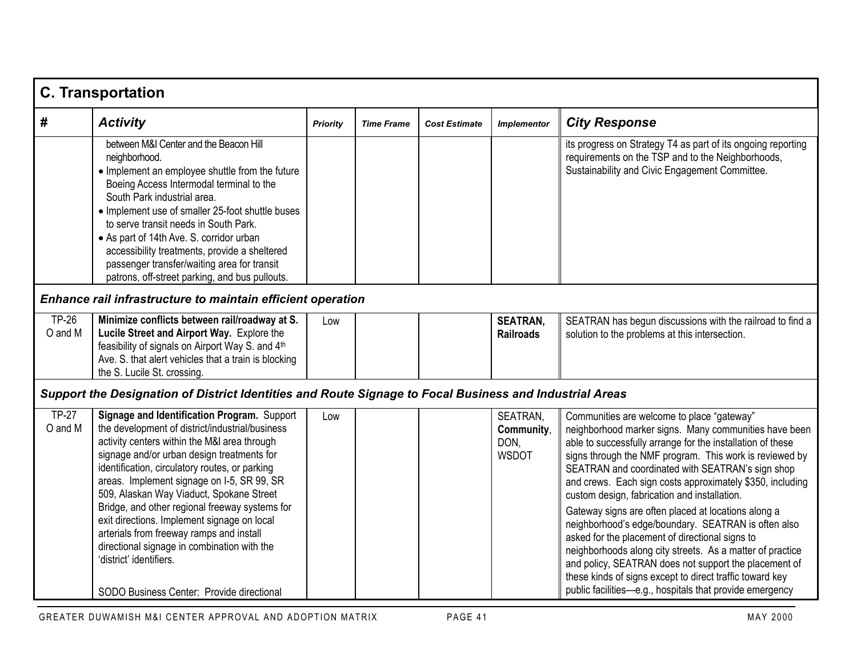|                         | <b>C. Transportation</b>                                                                                                                                                                                                                                                                                                                                                                                                                                                                                                                                                                                     |                 |                   |                      |                                                |                                                                                                                                                                                                                                                                                                                                                                                                                                                                                                                                                                                                                                                                                                                                                                                                              |
|-------------------------|--------------------------------------------------------------------------------------------------------------------------------------------------------------------------------------------------------------------------------------------------------------------------------------------------------------------------------------------------------------------------------------------------------------------------------------------------------------------------------------------------------------------------------------------------------------------------------------------------------------|-----------------|-------------------|----------------------|------------------------------------------------|--------------------------------------------------------------------------------------------------------------------------------------------------------------------------------------------------------------------------------------------------------------------------------------------------------------------------------------------------------------------------------------------------------------------------------------------------------------------------------------------------------------------------------------------------------------------------------------------------------------------------------------------------------------------------------------------------------------------------------------------------------------------------------------------------------------|
| #                       | <b>Activity</b>                                                                                                                                                                                                                                                                                                                                                                                                                                                                                                                                                                                              | <b>Priority</b> | <b>Time Frame</b> | <b>Cost Estimate</b> | <b>Implementor</b>                             | <b>City Response</b>                                                                                                                                                                                                                                                                                                                                                                                                                                                                                                                                                                                                                                                                                                                                                                                         |
|                         | between M&I Center and the Beacon Hill<br>neighborhood.<br>• Implement an employee shuttle from the future<br>Boeing Access Intermodal terminal to the<br>South Park industrial area.<br>• Implement use of smaller 25-foot shuttle buses<br>to serve transit needs in South Park.<br>• As part of 14th Ave. S. corridor urban<br>accessibility treatments, provide a sheltered<br>passenger transfer/waiting area for transit<br>patrons, off-street parking, and bus pullouts.                                                                                                                             |                 |                   |                      |                                                | its progress on Strategy T4 as part of its ongoing reporting<br>requirements on the TSP and to the Neighborhoods,<br>Sustainability and Civic Engagement Committee.                                                                                                                                                                                                                                                                                                                                                                                                                                                                                                                                                                                                                                          |
|                         | Enhance rail infrastructure to maintain efficient operation                                                                                                                                                                                                                                                                                                                                                                                                                                                                                                                                                  |                 |                   |                      |                                                |                                                                                                                                                                                                                                                                                                                                                                                                                                                                                                                                                                                                                                                                                                                                                                                                              |
| <b>TP-26</b><br>O and M | Minimize conflicts between rail/roadway at S.<br>Lucile Street and Airport Way. Explore the<br>feasibility of signals on Airport Way S. and 4th<br>Ave. S. that alert vehicles that a train is blocking<br>the S. Lucile St. crossing.                                                                                                                                                                                                                                                                                                                                                                       | Low             |                   |                      | <b>SEATRAN,</b><br><b>Railroads</b>            | SEATRAN has begun discussions with the railroad to find a<br>solution to the problems at this intersection.                                                                                                                                                                                                                                                                                                                                                                                                                                                                                                                                                                                                                                                                                                  |
|                         | Support the Designation of District Identities and Route Signage to Focal Business and Industrial Areas                                                                                                                                                                                                                                                                                                                                                                                                                                                                                                      |                 |                   |                      |                                                |                                                                                                                                                                                                                                                                                                                                                                                                                                                                                                                                                                                                                                                                                                                                                                                                              |
| <b>TP-27</b><br>O and M | Signage and Identification Program. Support<br>the development of district/industrial/business<br>activity centers within the M&I area through<br>signage and/or urban design treatments for<br>identification, circulatory routes, or parking<br>areas. Implement signage on I-5, SR 99, SR<br>509, Alaskan Way Viaduct, Spokane Street<br>Bridge, and other regional freeway systems for<br>exit directions. Implement signage on local<br>arterials from freeway ramps and install<br>directional signage in combination with the<br>'district' identifiers.<br>SODO Business Center: Provide directional | Low             |                   |                      | SEATRAN,<br>Community,<br>DON,<br><b>WSDOT</b> | Communities are welcome to place "gateway"<br>neighborhood marker signs. Many communities have been<br>able to successfully arrange for the installation of these<br>signs through the NMF program. This work is reviewed by<br>SEATRAN and coordinated with SEATRAN's sign shop<br>and crews. Each sign costs approximately \$350, including<br>custom design, fabrication and installation.<br>Gateway signs are often placed at locations along a<br>neighborhood's edge/boundary. SEATRAN is often also<br>asked for the placement of directional signs to<br>neighborhoods along city streets. As a matter of practice<br>and policy, SEATRAN does not support the placement of<br>these kinds of signs except to direct traffic toward key<br>public facilities-e.g., hospitals that provide emergency |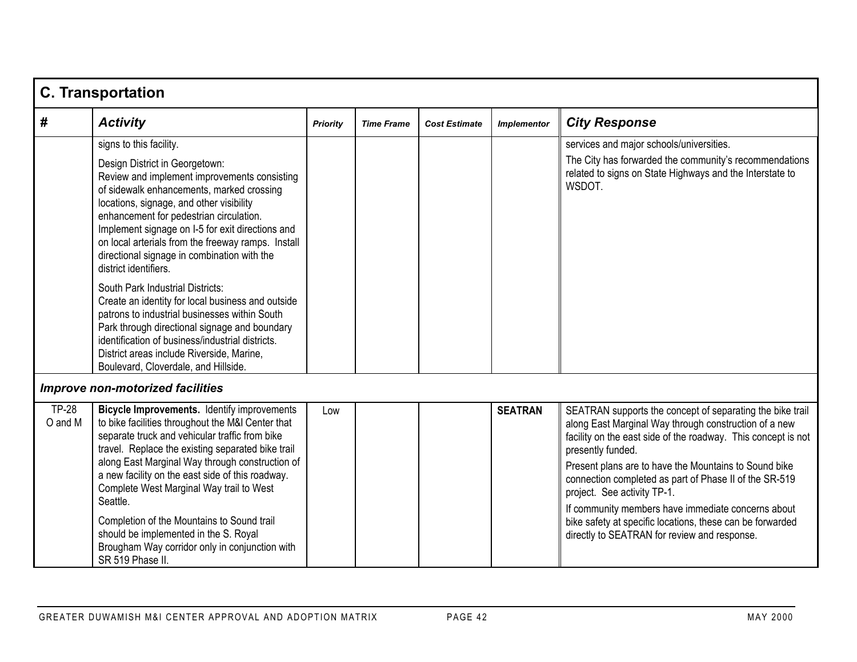|                         | <b>C. Transportation</b>                                                                                                                                                                                                                                                                                                                                                                                                                                                                                                                                                       |          |                   |                      |                    |                                                                                                                                                                                                                                                                                                                                                                                                                                                                                                                               |  |  |  |  |
|-------------------------|--------------------------------------------------------------------------------------------------------------------------------------------------------------------------------------------------------------------------------------------------------------------------------------------------------------------------------------------------------------------------------------------------------------------------------------------------------------------------------------------------------------------------------------------------------------------------------|----------|-------------------|----------------------|--------------------|-------------------------------------------------------------------------------------------------------------------------------------------------------------------------------------------------------------------------------------------------------------------------------------------------------------------------------------------------------------------------------------------------------------------------------------------------------------------------------------------------------------------------------|--|--|--|--|
| #                       | <b>Activity</b>                                                                                                                                                                                                                                                                                                                                                                                                                                                                                                                                                                | Priority | <b>Time Frame</b> | <b>Cost Estimate</b> | <b>Implementor</b> | <b>City Response</b>                                                                                                                                                                                                                                                                                                                                                                                                                                                                                                          |  |  |  |  |
|                         | signs to this facility.<br>Design District in Georgetown:<br>Review and implement improvements consisting<br>of sidewalk enhancements, marked crossing<br>locations, signage, and other visibility<br>enhancement for pedestrian circulation.<br>Implement signage on I-5 for exit directions and<br>on local arterials from the freeway ramps. Install                                                                                                                                                                                                                        |          |                   |                      |                    | services and major schools/universities.<br>The City has forwarded the community's recommendations<br>related to signs on State Highways and the Interstate to<br>WSDOT.                                                                                                                                                                                                                                                                                                                                                      |  |  |  |  |
|                         | directional signage in combination with the<br>district identifiers.<br>South Park Industrial Districts:<br>Create an identity for local business and outside<br>patrons to industrial businesses within South<br>Park through directional signage and boundary<br>identification of business/industrial districts.<br>District areas include Riverside, Marine,<br>Boulevard, Cloverdale, and Hillside.                                                                                                                                                                       |          |                   |                      |                    |                                                                                                                                                                                                                                                                                                                                                                                                                                                                                                                               |  |  |  |  |
| <b>TP-28</b><br>O and M | <b>Improve non-motorized facilities</b><br>Bicycle Improvements. Identify improvements<br>to bike facilities throughout the M&I Center that<br>separate truck and vehicular traffic from bike<br>travel. Replace the existing separated bike trail<br>along East Marginal Way through construction of<br>a new facility on the east side of this roadway.<br>Complete West Marginal Way trail to West<br>Seattle.<br>Completion of the Mountains to Sound trail<br>should be implemented in the S. Royal<br>Brougham Way corridor only in conjunction with<br>SR 519 Phase II. | Low      |                   |                      | <b>SEATRAN</b>     | SEATRAN supports the concept of separating the bike trail<br>along East Marginal Way through construction of a new<br>facility on the east side of the roadway. This concept is not<br>presently funded.<br>Present plans are to have the Mountains to Sound bike<br>connection completed as part of Phase II of the SR-519<br>project. See activity TP-1.<br>If community members have immediate concerns about<br>bike safety at specific locations, these can be forwarded<br>directly to SEATRAN for review and response. |  |  |  |  |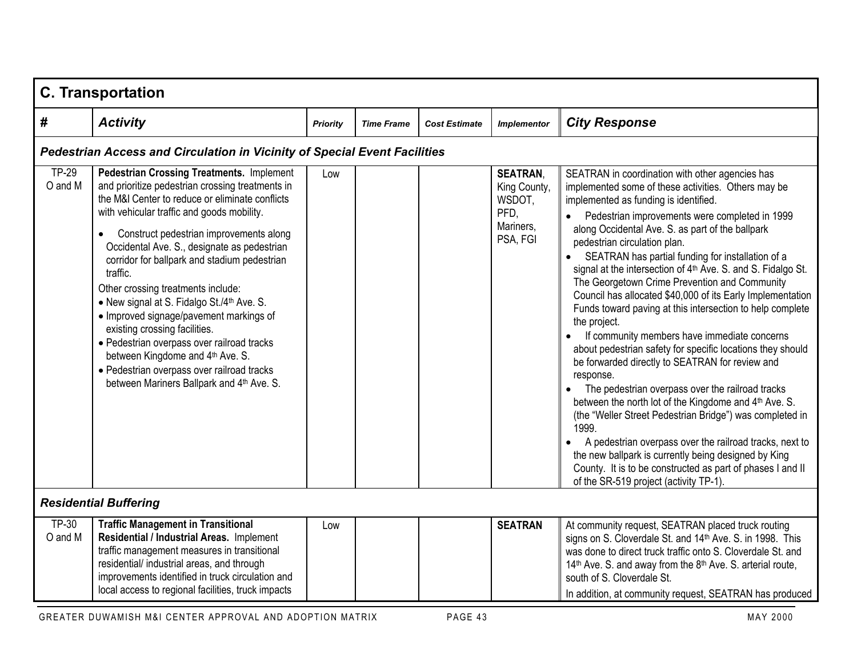|                         | <b>C. Transportation</b>                                                                                                                                                                                                                                                                                                                                                                                                                                                                                                                                                                                                                                                                                              |          |                   |                      |                                                                            |                                                                                                                                                                                                                                                                                                                                                                                                                                                                                                                                                                                                                                                                                                                                                                                                                                                                                                                                                                                                                                                                                                                                                                                                                            |  |  |  |  |  |
|-------------------------|-----------------------------------------------------------------------------------------------------------------------------------------------------------------------------------------------------------------------------------------------------------------------------------------------------------------------------------------------------------------------------------------------------------------------------------------------------------------------------------------------------------------------------------------------------------------------------------------------------------------------------------------------------------------------------------------------------------------------|----------|-------------------|----------------------|----------------------------------------------------------------------------|----------------------------------------------------------------------------------------------------------------------------------------------------------------------------------------------------------------------------------------------------------------------------------------------------------------------------------------------------------------------------------------------------------------------------------------------------------------------------------------------------------------------------------------------------------------------------------------------------------------------------------------------------------------------------------------------------------------------------------------------------------------------------------------------------------------------------------------------------------------------------------------------------------------------------------------------------------------------------------------------------------------------------------------------------------------------------------------------------------------------------------------------------------------------------------------------------------------------------|--|--|--|--|--|
| #                       | <b>Activity</b>                                                                                                                                                                                                                                                                                                                                                                                                                                                                                                                                                                                                                                                                                                       | Priority | <b>Time Frame</b> | <b>Cost Estimate</b> | <b>Implementor</b>                                                         | <b>City Response</b>                                                                                                                                                                                                                                                                                                                                                                                                                                                                                                                                                                                                                                                                                                                                                                                                                                                                                                                                                                                                                                                                                                                                                                                                       |  |  |  |  |  |
|                         | Pedestrian Access and Circulation in Vicinity of Special Event Facilities                                                                                                                                                                                                                                                                                                                                                                                                                                                                                                                                                                                                                                             |          |                   |                      |                                                                            |                                                                                                                                                                                                                                                                                                                                                                                                                                                                                                                                                                                                                                                                                                                                                                                                                                                                                                                                                                                                                                                                                                                                                                                                                            |  |  |  |  |  |
| <b>TP-29</b><br>O and M | <b>Pedestrian Crossing Treatments. Implement</b><br>and prioritize pedestrian crossing treatments in<br>the M&I Center to reduce or eliminate conflicts<br>with vehicular traffic and goods mobility.<br>Construct pedestrian improvements along<br>$\bullet$<br>Occidental Ave. S., designate as pedestrian<br>corridor for ballpark and stadium pedestrian<br>traffic.<br>Other crossing treatments include:<br>. New signal at S. Fidalgo St./4th Ave. S.<br>• Improved signage/pavement markings of<br>existing crossing facilities.<br>· Pedestrian overpass over railroad tracks<br>between Kingdome and 4th Ave. S.<br>· Pedestrian overpass over railroad tracks<br>between Mariners Ballpark and 4th Ave. S. | Low      |                   |                      | <b>SEATRAN.</b><br>King County,<br>WSDOT,<br>PFD,<br>Mariners,<br>PSA, FGI | SEATRAN in coordination with other agencies has<br>implemented some of these activities. Others may be<br>implemented as funding is identified.<br>Pedestrian improvements were completed in 1999<br>$\bullet$<br>along Occidental Ave. S. as part of the ballpark<br>pedestrian circulation plan.<br>SEATRAN has partial funding for installation of a<br>signal at the intersection of 4 <sup>th</sup> Ave. S. and S. Fidalgo St.<br>The Georgetown Crime Prevention and Community<br>Council has allocated \$40,000 of its Early Implementation<br>Funds toward paving at this intersection to help complete<br>the project.<br>If community members have immediate concerns<br>about pedestrian safety for specific locations they should<br>be forwarded directly to SEATRAN for review and<br>response.<br>The pedestrian overpass over the railroad tracks<br>between the north lot of the Kingdome and 4th Ave. S.<br>(the "Weller Street Pedestrian Bridge") was completed in<br>1999.<br>A pedestrian overpass over the railroad tracks, next to<br>the new ballpark is currently being designed by King<br>County. It is to be constructed as part of phases I and II<br>of the SR-519 project (activity TP-1). |  |  |  |  |  |
|                         | <b>Residential Buffering</b>                                                                                                                                                                                                                                                                                                                                                                                                                                                                                                                                                                                                                                                                                          |          |                   |                      |                                                                            |                                                                                                                                                                                                                                                                                                                                                                                                                                                                                                                                                                                                                                                                                                                                                                                                                                                                                                                                                                                                                                                                                                                                                                                                                            |  |  |  |  |  |
| TP-30<br>O and M        | <b>Traffic Management in Transitional</b><br>Residential / Industrial Areas. Implement<br>traffic management measures in transitional<br>residential/ industrial areas, and through<br>improvements identified in truck circulation and<br>local access to regional facilities, truck impacts                                                                                                                                                                                                                                                                                                                                                                                                                         | Low      |                   |                      | <b>SEATRAN</b>                                                             | At community request, SEATRAN placed truck routing<br>signs on S. Cloverdale St. and 14th Ave. S. in 1998. This<br>was done to direct truck traffic onto S. Cloverdale St. and<br>14 <sup>th</sup> Ave. S. and away from the 8 <sup>th</sup> Ave. S. arterial route,<br>south of S. Cloverdale St.<br>In addition, at community request, SEATRAN has produced                                                                                                                                                                                                                                                                                                                                                                                                                                                                                                                                                                                                                                                                                                                                                                                                                                                              |  |  |  |  |  |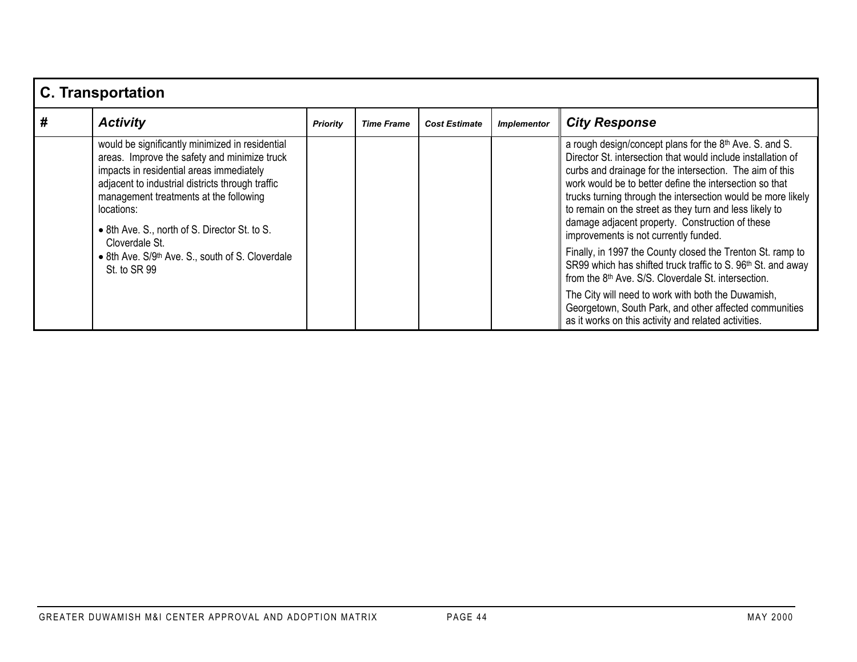| <b>C. Transportation</b> |                                                                                                                                                                                                                                                                                                                            |                 |                   |                      |                    |                                                                                                                                                                                                                                                                                                                                                                                                                                                                       |  |  |  |  |
|--------------------------|----------------------------------------------------------------------------------------------------------------------------------------------------------------------------------------------------------------------------------------------------------------------------------------------------------------------------|-----------------|-------------------|----------------------|--------------------|-----------------------------------------------------------------------------------------------------------------------------------------------------------------------------------------------------------------------------------------------------------------------------------------------------------------------------------------------------------------------------------------------------------------------------------------------------------------------|--|--|--|--|
| #                        | <b>Activity</b>                                                                                                                                                                                                                                                                                                            | <b>Priority</b> | <b>Time Frame</b> | <b>Cost Estimate</b> | <b>Implementor</b> | <b>City Response</b>                                                                                                                                                                                                                                                                                                                                                                                                                                                  |  |  |  |  |
|                          | would be significantly minimized in residential<br>areas. Improve the safety and minimize truck<br>impacts in residential areas immediately<br>adjacent to industrial districts through traffic<br>management treatments at the following<br>locations:<br>• 8th Ave. S., north of S. Director St. to S.<br>Cloverdale St. |                 |                   |                      |                    | a rough design/concept plans for the 8th Ave. S. and S.<br>Director St. intersection that would include installation of<br>curbs and drainage for the intersection. The aim of this<br>work would be to better define the intersection so that<br>trucks turning through the intersection would be more likely<br>to remain on the street as they turn and less likely to<br>damage adjacent property. Construction of these<br>improvements is not currently funded. |  |  |  |  |
|                          | • 8th Ave. S/9th Ave. S., south of S. Cloverdale<br>St. to SR 99                                                                                                                                                                                                                                                           |                 |                   |                      |                    | Finally, in 1997 the County closed the Trenton St. ramp to<br>SR99 which has shifted truck traffic to S. 96 <sup>th</sup> St. and away<br>from the 8 <sup>th</sup> Ave. S/S. Cloverdale St. intersection.                                                                                                                                                                                                                                                             |  |  |  |  |
|                          |                                                                                                                                                                                                                                                                                                                            |                 |                   |                      |                    | The City will need to work with both the Duwamish,<br>Georgetown, South Park, and other affected communities<br>as it works on this activity and related activities.                                                                                                                                                                                                                                                                                                  |  |  |  |  |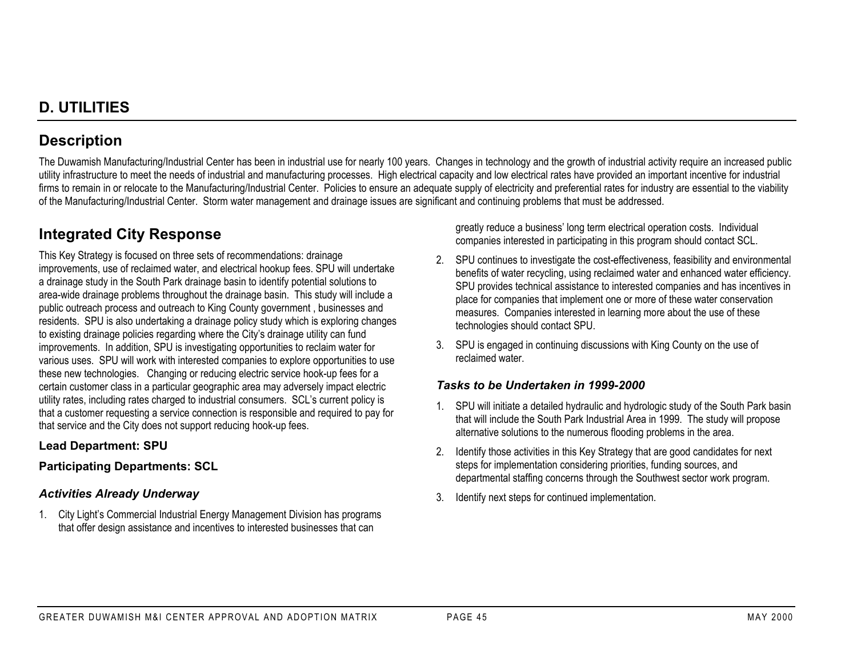# **D. UTILITIES**

# **Description**

The Duwamish Manufacturing/Industrial Center has been in industrial use for nearly 100 years. Changes in technology and the growth of industrial activity require an increased public utility infrastructure to meet the needs of industrial and manufacturing processes. High electrical capacity and low electrical rates have provided an important incentive for industrial firms to remain in or relocate to the Manufacturing/Industrial Center. Policies to ensure an adequate supply of electricity and preferential rates for industry are essential to the viability of the Manufacturing/Industrial Center. Storm water management and drainage issues are significant and continuing problems that must be addressed.

# **Integrated City Response**

This Key Strategy is focused on three sets of recommendations: drainage improvements, use of reclaimed water, and electrical hookup fees. SPU will undertake a drainage study in the South Park drainage basin to identify potential solutions to area-wide drainage problems throughout the drainage basin. This study will include a public outreach process and outreach to King County government , businesses and residents. SPU is also undertaking a drainage policy study which is exploring changes to existing drainage policies regarding where the City's drainage utility can fund improvements. In addition, SPU is investigating opportunities to reclaim water for various uses. SPU will work with interested companies to explore opportunities to use these new technologies. Changing or reducing electric service hook-up fees for a certain customer class in a particular geographic area may adversely impact electric utility rates, including rates charged to industrial consumers. SCL's current policy is that a customer requesting a service connection is responsible and required to pay for that service and the City does not support reducing hook-up fees.

#### **Lead Department: SPU**

### **Participating Departments: SCL**

### *Activities Already Underway*

1. City Light's Commercial Industrial Energy Management Division has programs that offer design assistance and incentives to interested businesses that can

greatly reduce a business' long term electrical operation costs. Individual companies interested in participating in this program should contact SCL.

- 2. SPU continues to investigate the cost-effectiveness, feasibility and environmental benefits of water recycling, using reclaimed water and enhanced water efficiency. SPU provides technical assistance to interested companies and has incentives in place for companies that implement one or more of these water conservation measures. Companies interested in learning more about the use of these technologies should contact SPU.
- 3. SPU is engaged in continuing discussions with King County on the use of reclaimed water.

### *Tasks to be Undertaken in 1999-2000*

- 1. SPU will initiate a detailed hydraulic and hydrologic study of the South Park basin that will include the South Park Industrial Area in 1999. The study will propose alternative solutions to the numerous flooding problems in the area.
- 2. Identify those activities in this Key Strategy that are good candidates for next steps for implementation considering priorities, funding sources, and departmental staffing concerns through the Southwest sector work program.
- 3. Identify next steps for continued implementation.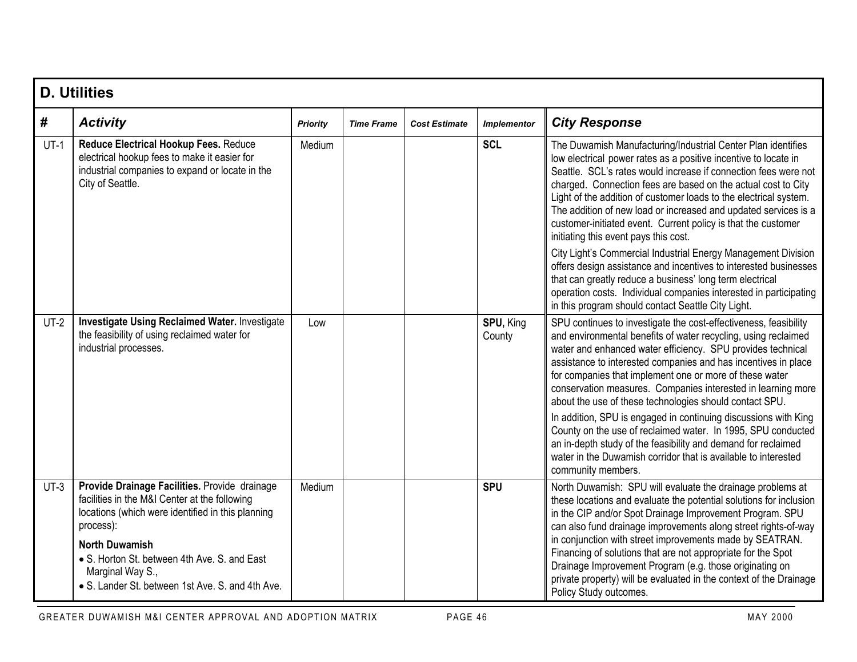|        | <b>D. Utilities</b>                                                                                                                                                                                                                                                                                               |          |                   |                      |                     |                                                                                                                                                                                                                                                                                                                                                                                                                                                                                                                                                                                                                                                                                                                                                                                                                                                   |  |  |  |  |  |
|--------|-------------------------------------------------------------------------------------------------------------------------------------------------------------------------------------------------------------------------------------------------------------------------------------------------------------------|----------|-------------------|----------------------|---------------------|---------------------------------------------------------------------------------------------------------------------------------------------------------------------------------------------------------------------------------------------------------------------------------------------------------------------------------------------------------------------------------------------------------------------------------------------------------------------------------------------------------------------------------------------------------------------------------------------------------------------------------------------------------------------------------------------------------------------------------------------------------------------------------------------------------------------------------------------------|--|--|--|--|--|
| #      | <b>Activity</b>                                                                                                                                                                                                                                                                                                   | Priority | <b>Time Frame</b> | <b>Cost Estimate</b> | <b>Implementor</b>  | <b>City Response</b>                                                                                                                                                                                                                                                                                                                                                                                                                                                                                                                                                                                                                                                                                                                                                                                                                              |  |  |  |  |  |
| $UT-1$ | Reduce Electrical Hookup Fees. Reduce<br>electrical hookup fees to make it easier for<br>industrial companies to expand or locate in the<br>City of Seattle.                                                                                                                                                      | Medium   |                   |                      | <b>SCL</b>          | The Duwamish Manufacturing/Industrial Center Plan identifies<br>low electrical power rates as a positive incentive to locate in<br>Seattle. SCL's rates would increase if connection fees were not<br>charged. Connection fees are based on the actual cost to City<br>Light of the addition of customer loads to the electrical system.<br>The addition of new load or increased and updated services is a<br>customer-initiated event. Current policy is that the customer<br>initiating this event pays this cost.<br>City Light's Commercial Industrial Energy Management Division<br>offers design assistance and incentives to interested businesses<br>that can greatly reduce a business' long term electrical<br>operation costs. Individual companies interested in participating<br>in this program should contact Seattle City Light. |  |  |  |  |  |
| $UT-2$ | <b>Investigate Using Reclaimed Water. Investigate</b><br>the feasibility of using reclaimed water for<br>industrial processes.                                                                                                                                                                                    | Low      |                   |                      | SPU, King<br>County | SPU continues to investigate the cost-effectiveness, feasibility<br>and environmental benefits of water recycling, using reclaimed<br>water and enhanced water efficiency. SPU provides technical<br>assistance to interested companies and has incentives in place<br>for companies that implement one or more of these water<br>conservation measures. Companies interested in learning more<br>about the use of these technologies should contact SPU.<br>In addition, SPU is engaged in continuing discussions with King<br>County on the use of reclaimed water. In 1995, SPU conducted<br>an in-depth study of the feasibility and demand for reclaimed<br>water in the Duwamish corridor that is available to interested<br>community members.                                                                                             |  |  |  |  |  |
| $UT-3$ | Provide Drainage Facilities. Provide drainage<br>facilities in the M&I Center at the following<br>locations (which were identified in this planning<br>process):<br><b>North Duwamish</b><br>• S. Horton St. between 4th Ave. S. and East<br>Marginal Way S.,<br>• S. Lander St. between 1st Ave. S. and 4th Ave. | Medium   |                   |                      | <b>SPU</b>          | North Duwamish: SPU will evaluate the drainage problems at<br>these locations and evaluate the potential solutions for inclusion<br>in the CIP and/or Spot Drainage Improvement Program. SPU<br>can also fund drainage improvements along street rights-of-way<br>in conjunction with street improvements made by SEATRAN.<br>Financing of solutions that are not appropriate for the Spot<br>Drainage Improvement Program (e.g. those originating on<br>private property) will be evaluated in the context of the Drainage<br>Policy Study outcomes.                                                                                                                                                                                                                                                                                             |  |  |  |  |  |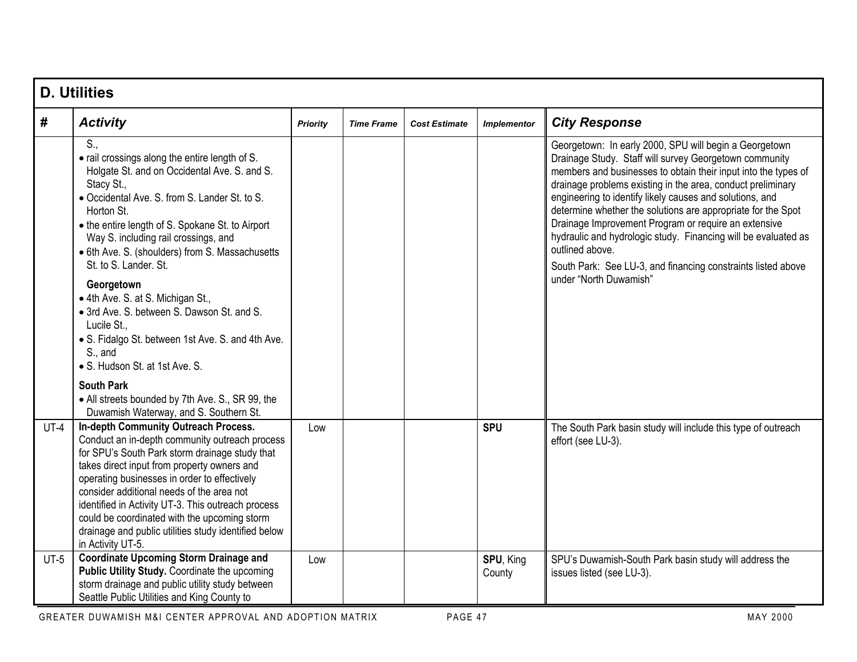|        | <b>D. Utilities</b>                                                                                                                                                                                                                                                                                                                                                                                                                                                                                                                                                          |                 |                   |                      |                     |                                                                                                                                                                                                                                                                                                                                                                                                                                                                                                                                                                                                                      |  |  |  |  |  |
|--------|------------------------------------------------------------------------------------------------------------------------------------------------------------------------------------------------------------------------------------------------------------------------------------------------------------------------------------------------------------------------------------------------------------------------------------------------------------------------------------------------------------------------------------------------------------------------------|-----------------|-------------------|----------------------|---------------------|----------------------------------------------------------------------------------------------------------------------------------------------------------------------------------------------------------------------------------------------------------------------------------------------------------------------------------------------------------------------------------------------------------------------------------------------------------------------------------------------------------------------------------------------------------------------------------------------------------------------|--|--|--|--|--|
| #      | <b>Activity</b>                                                                                                                                                                                                                                                                                                                                                                                                                                                                                                                                                              | <b>Priority</b> | <b>Time Frame</b> | <b>Cost Estimate</b> | <b>Implementor</b>  | <b>City Response</b>                                                                                                                                                                                                                                                                                                                                                                                                                                                                                                                                                                                                 |  |  |  |  |  |
|        | S.,<br>• rail crossings along the entire length of S.<br>Holgate St. and on Occidental Ave. S. and S.<br>Stacy St.,<br>• Occidental Ave. S. from S. Lander St. to S.<br>Horton St.<br>• the entire length of S. Spokane St. to Airport<br>Way S. including rail crossings, and<br>• 6th Ave. S. (shoulders) from S. Massachusetts<br>St. to S. Lander, St.<br>Georgetown<br>• 4th Ave. S. at S. Michigan St.,<br>• 3rd Ave. S. between S. Dawson St. and S.<br>Lucile St.,<br>• S. Fidalgo St. between 1st Ave. S. and 4th Ave.<br>S., and<br>• S. Hudson St. at 1st Ave. S. |                 |                   |                      |                     | Georgetown: In early 2000, SPU will begin a Georgetown<br>Drainage Study. Staff will survey Georgetown community<br>members and businesses to obtain their input into the types of<br>drainage problems existing in the area, conduct preliminary<br>engineering to identify likely causes and solutions, and<br>determine whether the solutions are appropriate for the Spot<br>Drainage Improvement Program or require an extensive<br>hydraulic and hydrologic study. Financing will be evaluated as<br>outlined above.<br>South Park: See LU-3, and financing constraints listed above<br>under "North Duwamish" |  |  |  |  |  |
|        | <b>South Park</b><br>• All streets bounded by 7th Ave. S., SR 99, the<br>Duwamish Waterway, and S. Southern St.                                                                                                                                                                                                                                                                                                                                                                                                                                                              |                 |                   |                      |                     |                                                                                                                                                                                                                                                                                                                                                                                                                                                                                                                                                                                                                      |  |  |  |  |  |
| $UT-4$ | In-depth Community Outreach Process.<br>Conduct an in-depth community outreach process<br>for SPU's South Park storm drainage study that<br>takes direct input from property owners and<br>operating businesses in order to effectively<br>consider additional needs of the area not<br>identified in Activity UT-3. This outreach process<br>could be coordinated with the upcoming storm<br>drainage and public utilities study identified below<br>in Activity UT-5.                                                                                                      | Low             |                   |                      | <b>SPU</b>          | The South Park basin study will include this type of outreach<br>effort (see LU-3).                                                                                                                                                                                                                                                                                                                                                                                                                                                                                                                                  |  |  |  |  |  |
| $UT-5$ | <b>Coordinate Upcoming Storm Drainage and</b><br>Public Utility Study. Coordinate the upcoming<br>storm drainage and public utility study between<br>Seattle Public Utilities and King County to                                                                                                                                                                                                                                                                                                                                                                             | Low             |                   |                      | SPU, King<br>County | SPU's Duwamish-South Park basin study will address the<br>issues listed (see LU-3).                                                                                                                                                                                                                                                                                                                                                                                                                                                                                                                                  |  |  |  |  |  |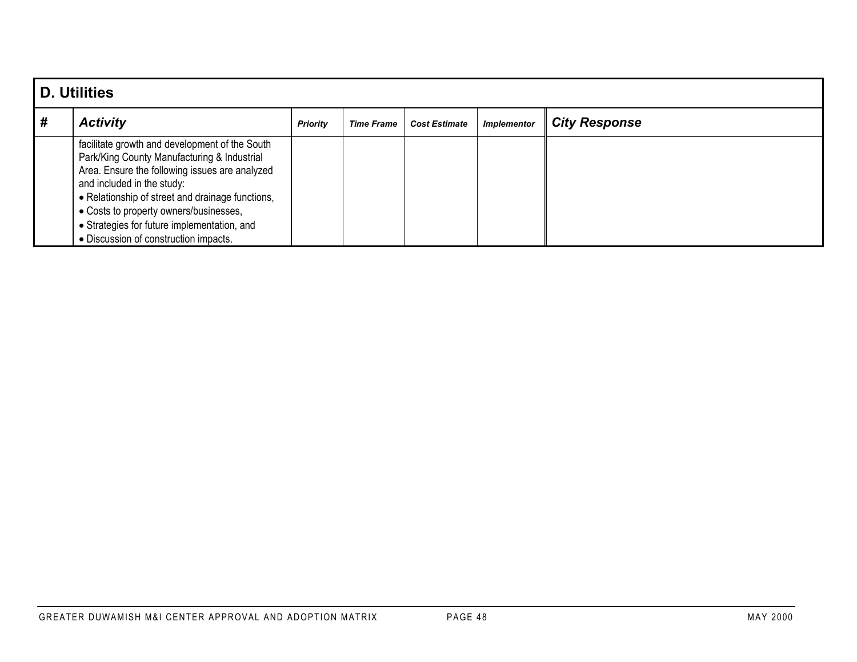|   | <b>D. Utilities</b>                                                                                                                                                                                                                                                                                                                                                 |                 |            |                      |                    |                      |  |  |  |  |  |
|---|---------------------------------------------------------------------------------------------------------------------------------------------------------------------------------------------------------------------------------------------------------------------------------------------------------------------------------------------------------------------|-----------------|------------|----------------------|--------------------|----------------------|--|--|--|--|--|
| # | <b>Activity</b>                                                                                                                                                                                                                                                                                                                                                     | <b>Priority</b> | Time Frame | <b>Cost Estimate</b> | <b>Implementor</b> | <b>City Response</b> |  |  |  |  |  |
|   | facilitate growth and development of the South<br>Park/King County Manufacturing & Industrial<br>Area. Ensure the following issues are analyzed<br>and included in the study:<br>• Relationship of street and drainage functions,<br>• Costs to property owners/businesses,<br>• Strategies for future implementation, and<br>• Discussion of construction impacts. |                 |            |                      |                    |                      |  |  |  |  |  |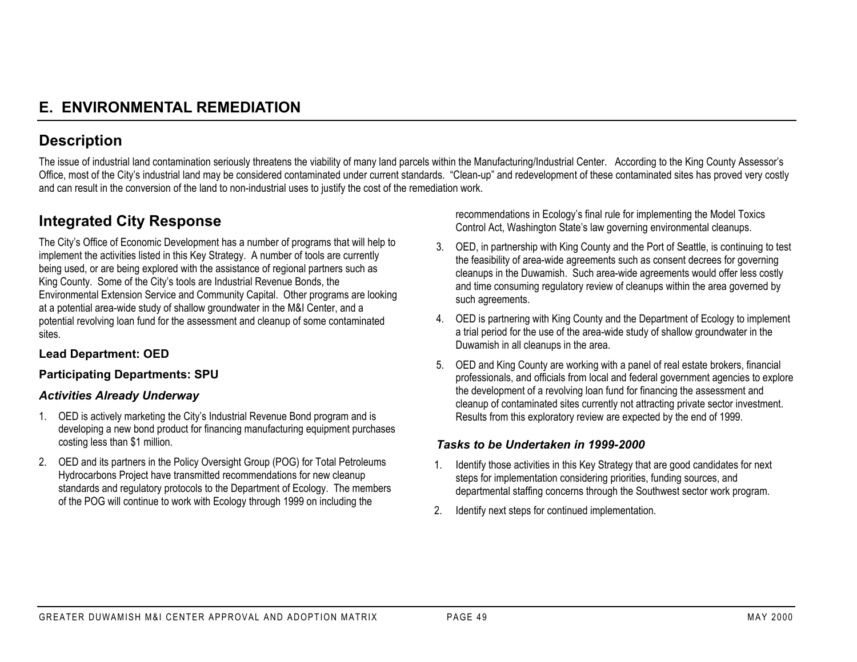# **Description**

The issue of industrial land contamination seriously threatens the viability of many land parcels within the Manufacturing/Industrial Center. According to the King County Assessor's Office, most of the City's industrial land may be considered contaminated under current standards. "Clean-up" and redevelopment of these contaminated sites has proved very costly and can result in the conversion of the land to non-industrial uses to justify the cost of the remediation work.

# **Integrated City Response**

The City's Office of Economic Development has a number of programs that will help to implement the activities listed in this Key Strategy. A number of tools are currently being used, or are being explored with the assistance of regional partners such as King County. Some of the City's tools are Industrial Revenue Bonds, the Environmental Extension Service and Community Capital. Other programs are looking at a potential area-wide study of shallow groundwater in the M&I Center, and a potential revolving loan fund for the assessment and cleanup of some contaminated sites.

#### **Lead Department: OED**

#### **Participating Departments: SPU**

#### *Activities Already Underway*

- 1. OED is actively marketing the City's Industrial Revenue Bond program and is developing a new bond product for financing manufacturing equipment purchases costing less than \$1 million.
- 2. OED and its partners in the Policy Oversight Group (POG) for Total Petroleums Hydrocarbons Project have transmitted recommendations for new cleanup standards and regulatory protocols to the Department of Ecology. The members of the POG will continue to work with Ecology through 1999 on including the

recommendations in Ecology's final rule for implementing the Model Toxics Control Act, Washington State's law governing environmental cleanups.

- 3. OED, in partnership with King County and the Port of Seattle, is continuing to test the feasibility of area-wide agreements such as consent decrees for governing cleanups in the Duwamish. Such area-wide agreements would offer less costly and time consuming regulatory review of cleanups within the area governed by such agreements.
- 4. OED is partnering with King County and the Department of Ecology to implement a trial period for the use of the area-wide study of shallow groundwater in the Duwamish in all cleanups in the area.
- 5. OED and King County are working with a panel of real estate brokers, financial professionals, and officials from local and federal government agencies to explore the development of a revolving loan fund for financing the assessment and cleanup of contaminated sites currently not attracting private sector investment. Results from this exploratory review are expected by the end of 1999.

#### *Tasks to be Undertaken in 1999-2000*

- 1. Identify those activities in this Key Strategy that are good candidates for next steps for implementation considering priorities, funding sources, and departmental staffing concerns through the Southwest sector work program.
- 2.Identify next steps for continued implementation.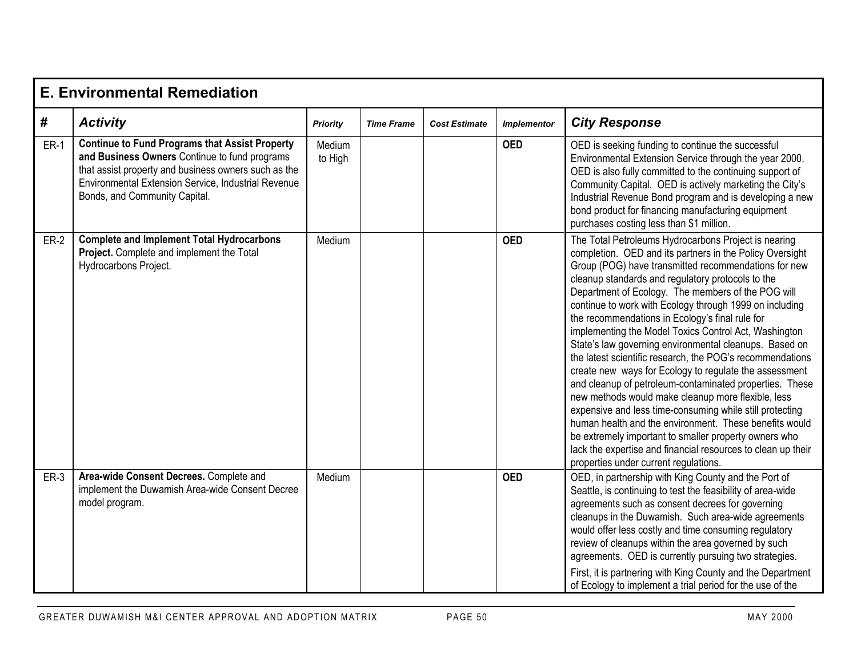|             | <b>E. Environmental Remediation</b>                                                                                                                                                                                                                    |                   |                   |                      |                    |                                                                                                                                                                                                                                                                                                                                                                                                                                                                                                                                                                                                                                                                                                                                                                                                                                                                                                                                                                                                                                                      |  |  |  |  |
|-------------|--------------------------------------------------------------------------------------------------------------------------------------------------------------------------------------------------------------------------------------------------------|-------------------|-------------------|----------------------|--------------------|------------------------------------------------------------------------------------------------------------------------------------------------------------------------------------------------------------------------------------------------------------------------------------------------------------------------------------------------------------------------------------------------------------------------------------------------------------------------------------------------------------------------------------------------------------------------------------------------------------------------------------------------------------------------------------------------------------------------------------------------------------------------------------------------------------------------------------------------------------------------------------------------------------------------------------------------------------------------------------------------------------------------------------------------------|--|--|--|--|
| #           | <b>Activity</b>                                                                                                                                                                                                                                        | <b>Priority</b>   | <b>Time Frame</b> | <b>Cost Estimate</b> | <b>Implementor</b> | <b>City Response</b>                                                                                                                                                                                                                                                                                                                                                                                                                                                                                                                                                                                                                                                                                                                                                                                                                                                                                                                                                                                                                                 |  |  |  |  |
| $ER-1$      | <b>Continue to Fund Programs that Assist Property</b><br>and Business Owners Continue to fund programs<br>that assist property and business owners such as the<br>Environmental Extension Service, Industrial Revenue<br>Bonds, and Community Capital. | Medium<br>to High |                   |                      | <b>OED</b>         | OED is seeking funding to continue the successful<br>Environmental Extension Service through the year 2000.<br>OED is also fully committed to the continuing support of<br>Community Capital. OED is actively marketing the City's<br>Industrial Revenue Bond program and is developing a new<br>bond product for financing manufacturing equipment<br>purchases costing less than \$1 million.                                                                                                                                                                                                                                                                                                                                                                                                                                                                                                                                                                                                                                                      |  |  |  |  |
| <b>ER-2</b> | <b>Complete and Implement Total Hydrocarbons</b><br>Project. Complete and implement the Total<br>Hydrocarbons Project.                                                                                                                                 | Medium            |                   |                      | <b>OED</b>         | The Total Petroleums Hydrocarbons Project is nearing<br>completion. OED and its partners in the Policy Oversight<br>Group (POG) have transmitted recommendations for new<br>cleanup standards and regulatory protocols to the<br>Department of Ecology. The members of the POG will<br>continue to work with Ecology through 1999 on including<br>the recommendations in Ecology's final rule for<br>implementing the Model Toxics Control Act, Washington<br>State's law governing environmental cleanups. Based on<br>the latest scientific research, the POG's recommendations<br>create new ways for Ecology to regulate the assessment<br>and cleanup of petroleum-contaminated properties. These<br>new methods would make cleanup more flexible, less<br>expensive and less time-consuming while still protecting<br>human health and the environment. These benefits would<br>be extremely important to smaller property owners who<br>lack the expertise and financial resources to clean up their<br>properties under current regulations. |  |  |  |  |
| <b>ER-3</b> | Area-wide Consent Decrees. Complete and<br>implement the Duwamish Area-wide Consent Decree<br>model program.                                                                                                                                           | Medium            |                   |                      | <b>OED</b>         | OED, in partnership with King County and the Port of<br>Seattle, is continuing to test the feasibility of area-wide<br>agreements such as consent decrees for governing<br>cleanups in the Duwamish. Such area-wide agreements<br>would offer less costly and time consuming regulatory<br>review of cleanups within the area governed by such<br>agreements. OED is currently pursuing two strategies.<br>First, it is partnering with King County and the Department<br>of Ecology to implement a trial period for the use of the                                                                                                                                                                                                                                                                                                                                                                                                                                                                                                                  |  |  |  |  |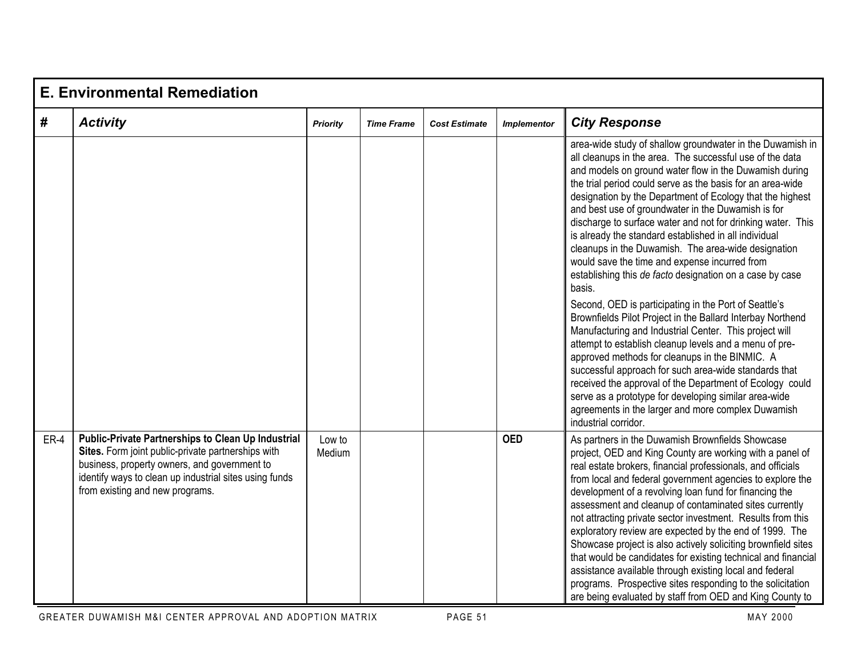|        | <b>E. Environmental Remediation</b>                                                                                                                                                                                                                          |                  |                   |                      |                    |                                                                                                                                                                                                                                                                                                                                                                                                                                                                                                                                                                                                                                                                                                                                                                                                                                                                                                                                                                                                                                                                                                                                                                                                                                 |  |  |  |  |
|--------|--------------------------------------------------------------------------------------------------------------------------------------------------------------------------------------------------------------------------------------------------------------|------------------|-------------------|----------------------|--------------------|---------------------------------------------------------------------------------------------------------------------------------------------------------------------------------------------------------------------------------------------------------------------------------------------------------------------------------------------------------------------------------------------------------------------------------------------------------------------------------------------------------------------------------------------------------------------------------------------------------------------------------------------------------------------------------------------------------------------------------------------------------------------------------------------------------------------------------------------------------------------------------------------------------------------------------------------------------------------------------------------------------------------------------------------------------------------------------------------------------------------------------------------------------------------------------------------------------------------------------|--|--|--|--|
| #      | <b>Activity</b>                                                                                                                                                                                                                                              | <b>Priority</b>  | <b>Time Frame</b> | <b>Cost Estimate</b> | <b>Implementor</b> | <b>City Response</b>                                                                                                                                                                                                                                                                                                                                                                                                                                                                                                                                                                                                                                                                                                                                                                                                                                                                                                                                                                                                                                                                                                                                                                                                            |  |  |  |  |
|        |                                                                                                                                                                                                                                                              |                  |                   |                      |                    | area-wide study of shallow groundwater in the Duwamish in<br>all cleanups in the area. The successful use of the data<br>and models on ground water flow in the Duwamish during<br>the trial period could serve as the basis for an area-wide<br>designation by the Department of Ecology that the highest<br>and best use of groundwater in the Duwamish is for<br>discharge to surface water and not for drinking water. This<br>is already the standard established in all individual<br>cleanups in the Duwamish. The area-wide designation<br>would save the time and expense incurred from<br>establishing this de facto designation on a case by case<br>basis.<br>Second, OED is participating in the Port of Seattle's<br>Brownfields Pilot Project in the Ballard Interbay Northend<br>Manufacturing and Industrial Center. This project will<br>attempt to establish cleanup levels and a menu of pre-<br>approved methods for cleanups in the BINMIC. A<br>successful approach for such area-wide standards that<br>received the approval of the Department of Ecology could<br>serve as a prototype for developing similar area-wide<br>agreements in the larger and more complex Duwamish<br>industrial corridor. |  |  |  |  |
| $ER-4$ | <b>Public-Private Partnerships to Clean Up Industrial</b><br>Sites. Form joint public-private partnerships with<br>business, property owners, and government to<br>identify ways to clean up industrial sites using funds<br>from existing and new programs. | Low to<br>Medium |                   |                      | <b>OED</b>         | As partners in the Duwamish Brownfields Showcase<br>project, OED and King County are working with a panel of<br>real estate brokers, financial professionals, and officials<br>from local and federal government agencies to explore the<br>development of a revolving loan fund for financing the<br>assessment and cleanup of contaminated sites currently<br>not attracting private sector investment. Results from this<br>exploratory review are expected by the end of 1999. The<br>Showcase project is also actively soliciting brownfield sites<br>that would be candidates for existing technical and financial<br>assistance available through existing local and federal<br>programs. Prospective sites responding to the solicitation<br>are being evaluated by staff from OED and King County to                                                                                                                                                                                                                                                                                                                                                                                                                   |  |  |  |  |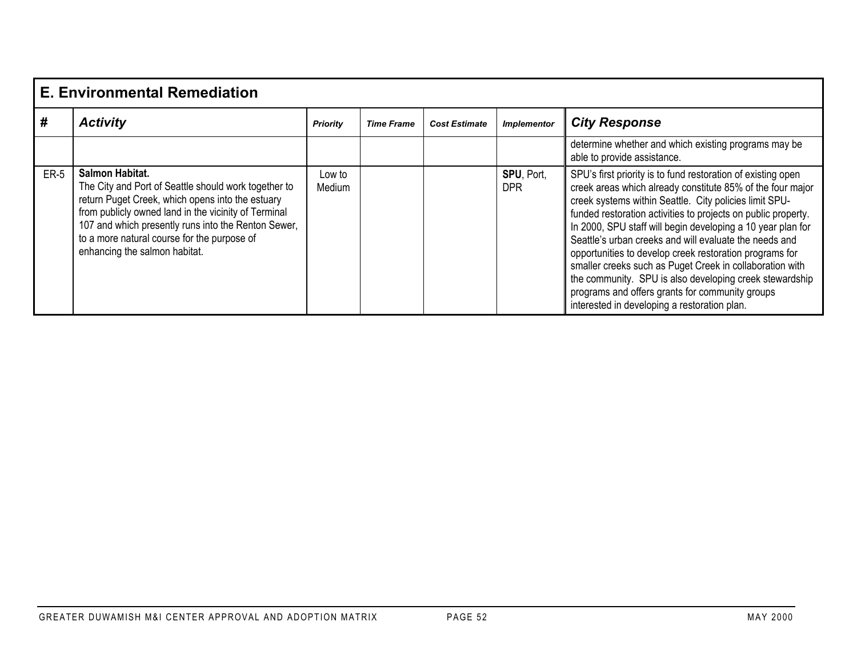|             | <b>E. Environmental Remediation</b>                                                                                                                                                                                                                                                                                        |                  |                   |                      |                          |                                                                                                                                                                                                                                                                                                                                                                                                                                                                                                                                                                                                                                                                     |  |  |  |  |
|-------------|----------------------------------------------------------------------------------------------------------------------------------------------------------------------------------------------------------------------------------------------------------------------------------------------------------------------------|------------------|-------------------|----------------------|--------------------------|---------------------------------------------------------------------------------------------------------------------------------------------------------------------------------------------------------------------------------------------------------------------------------------------------------------------------------------------------------------------------------------------------------------------------------------------------------------------------------------------------------------------------------------------------------------------------------------------------------------------------------------------------------------------|--|--|--|--|
| #           | <b>Activity</b>                                                                                                                                                                                                                                                                                                            | <b>Priority</b>  | <b>Time Frame</b> | <b>Cost Estimate</b> | <b>Implementor</b>       | <b>City Response</b>                                                                                                                                                                                                                                                                                                                                                                                                                                                                                                                                                                                                                                                |  |  |  |  |
|             |                                                                                                                                                                                                                                                                                                                            |                  |                   |                      |                          | determine whether and which existing programs may be<br>able to provide assistance.                                                                                                                                                                                                                                                                                                                                                                                                                                                                                                                                                                                 |  |  |  |  |
| <b>ER-5</b> | Salmon Habitat.<br>The City and Port of Seattle should work together to<br>return Puget Creek, which opens into the estuary<br>from publicly owned land in the vicinity of Terminal<br>107 and which presently runs into the Renton Sewer,<br>to a more natural course for the purpose of<br>enhancing the salmon habitat. | Low to<br>Medium |                   |                      | SPU, Port,<br><b>DPR</b> | SPU's first priority is to fund restoration of existing open<br>creek areas which already constitute 85% of the four major<br>creek systems within Seattle. City policies limit SPU-<br>funded restoration activities to projects on public property.<br>In 2000, SPU staff will begin developing a 10 year plan for<br>Seattle's urban creeks and will evaluate the needs and<br>opportunities to develop creek restoration programs for<br>smaller creeks such as Puget Creek in collaboration with<br>the community. SPU is also developing creek stewardship<br>programs and offers grants for community groups<br>interested in developing a restoration plan. |  |  |  |  |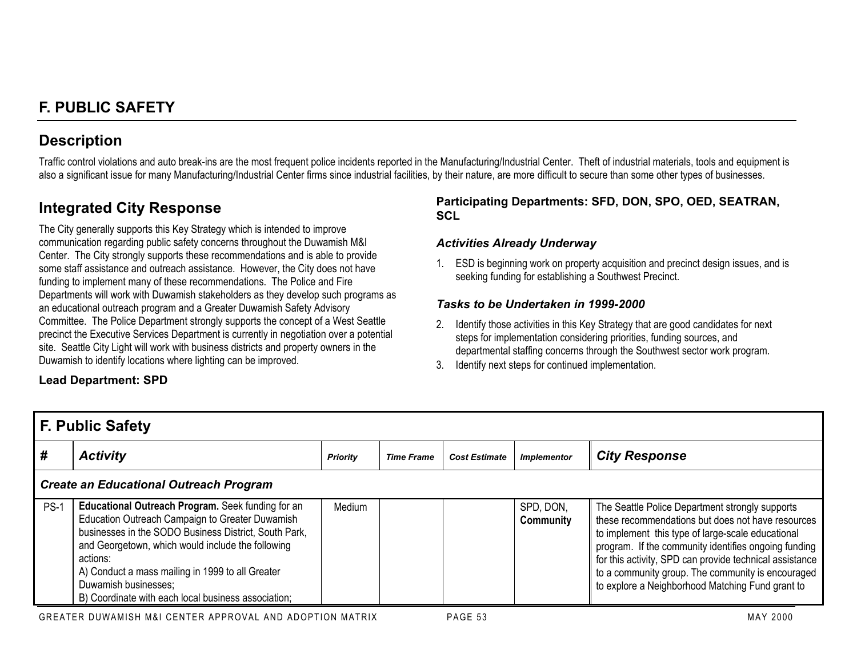### **Description**

Traffic control violations and auto break-ins are the most frequent police incidents reported in the Manufacturing/Industrial Center. Theft of industrial materials, tools and equipment is also a significant issue for many Manufacturing/Industrial Center firms since industrial facilities, by their nature, are more difficult to secure than some other types of businesses.

# **Integrated City Response**

The City generally supports this Key Strategy which is intended to improve communication regarding public safety concerns throughout the Duwamish M&I Center. The City strongly supports these recommendations and is able to provide some staff assistance and outreach assistance. However, the City does not have funding to implement many of these recommendations. The Police and Fire Departments will work with Duwamish stakeholders as they develop such programs as an educational outreach program and a Greater Duwamish Safety Advisory Committee. The Police Department strongly supports the concept of a West Seattle precinct the Executive Services Department is currently in negotiation over a potential site. Seattle City Light will work with business districts and property owners in the Duwamish to identify locations where lighting can be improved.

#### **Participating Departments: SFD, DON, SPO, OED, SEATRAN, SCL**

#### *Activities Already Underway*

1. ESD is beginning work on property acquisition and precinct design issues, and is seeking funding for establishing a Southwest Precinct.

#### *Tasks to be Undertaken in 1999-2000*

- 2. Identify those activities in this Key Strategy that are good candidates for next steps for implementation considering priorities, funding sources, and departmental staffing concerns through the Southwest sector work program.
- 3. Identify next steps for continued implementation.

|             | <b>F. Public Safety</b>                                                                                                                                                                                                                                                                                                                                           |                 |                   |                      |                        |                                                                                                                                                                                                                                                                                                                                                                                       |  |  |  |  |
|-------------|-------------------------------------------------------------------------------------------------------------------------------------------------------------------------------------------------------------------------------------------------------------------------------------------------------------------------------------------------------------------|-----------------|-------------------|----------------------|------------------------|---------------------------------------------------------------------------------------------------------------------------------------------------------------------------------------------------------------------------------------------------------------------------------------------------------------------------------------------------------------------------------------|--|--|--|--|
| #           | <b>Activity</b>                                                                                                                                                                                                                                                                                                                                                   | <b>Priority</b> | <b>Time Frame</b> | <b>Cost Estimate</b> | <b>Implementor</b>     | <b>City Response</b>                                                                                                                                                                                                                                                                                                                                                                  |  |  |  |  |
|             | <b>Create an Educational Outreach Program</b>                                                                                                                                                                                                                                                                                                                     |                 |                   |                      |                        |                                                                                                                                                                                                                                                                                                                                                                                       |  |  |  |  |
| <b>PS-1</b> | Educational Outreach Program. Seek funding for an<br>Education Outreach Campaign to Greater Duwamish<br>businesses in the SODO Business District, South Park,<br>and Georgetown, which would include the following<br>actions:<br>A) Conduct a mass mailing in 1999 to all Greater<br>Duwamish businesses:<br>B) Coordinate with each local business association; | Medium          |                   |                      | SPD, DON,<br>Community | The Seattle Police Department strongly supports<br>these recommendations but does not have resources<br>to implement this type of large-scale educational<br>program. If the community identifies ongoing funding<br>for this activity, SPD can provide technical assistance<br>to a community group. The community is encouraged<br>to explore a Neighborhood Matching Fund grant to |  |  |  |  |

#### **Lead Department: SPD**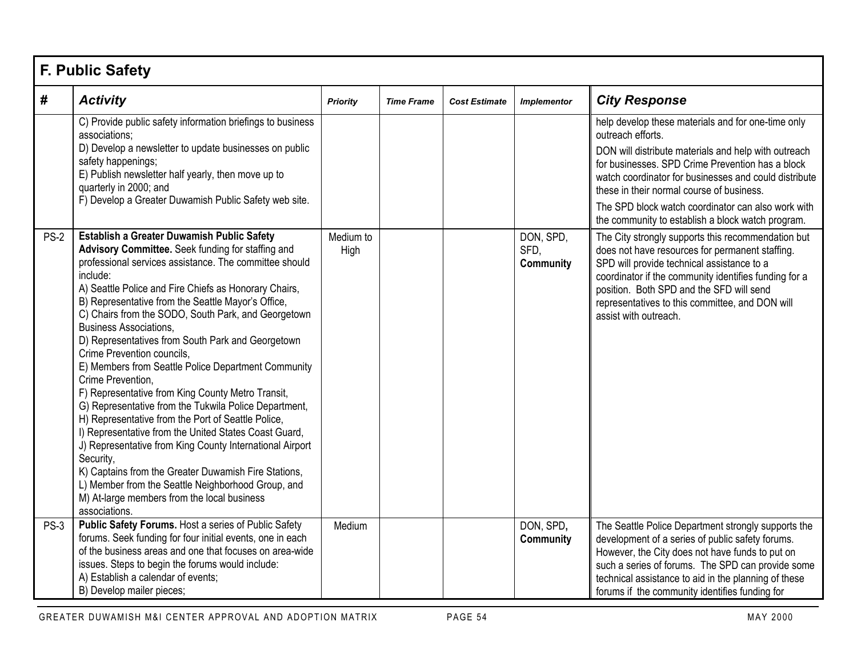| $\#$        | <b>Activity</b>                                                                                                                                                                                                                                                                                                                                                                                                                                                                                                                                                                                                                                                                                                                                                                                                                                                                                                                                                                                                                 |                   |                   |                      |                                |                                                                                                                                                                                                                                                                                                                                      |
|-------------|---------------------------------------------------------------------------------------------------------------------------------------------------------------------------------------------------------------------------------------------------------------------------------------------------------------------------------------------------------------------------------------------------------------------------------------------------------------------------------------------------------------------------------------------------------------------------------------------------------------------------------------------------------------------------------------------------------------------------------------------------------------------------------------------------------------------------------------------------------------------------------------------------------------------------------------------------------------------------------------------------------------------------------|-------------------|-------------------|----------------------|--------------------------------|--------------------------------------------------------------------------------------------------------------------------------------------------------------------------------------------------------------------------------------------------------------------------------------------------------------------------------------|
|             |                                                                                                                                                                                                                                                                                                                                                                                                                                                                                                                                                                                                                                                                                                                                                                                                                                                                                                                                                                                                                                 | <b>Priority</b>   | <b>Time Frame</b> | <b>Cost Estimate</b> | <b>Implementor</b>             | <b>City Response</b>                                                                                                                                                                                                                                                                                                                 |
|             | C) Provide public safety information briefings to business<br>associations;                                                                                                                                                                                                                                                                                                                                                                                                                                                                                                                                                                                                                                                                                                                                                                                                                                                                                                                                                     |                   |                   |                      |                                | help develop these materials and for one-time only<br>outreach efforts.                                                                                                                                                                                                                                                              |
|             | D) Develop a newsletter to update businesses on public<br>safety happenings;<br>E) Publish newsletter half yearly, then move up to<br>quarterly in 2000; and<br>F) Develop a Greater Duwamish Public Safety web site.                                                                                                                                                                                                                                                                                                                                                                                                                                                                                                                                                                                                                                                                                                                                                                                                           |                   |                   |                      |                                | DON will distribute materials and help with outreach<br>for businesses. SPD Crime Prevention has a block<br>watch coordinator for businesses and could distribute<br>these in their normal course of business.                                                                                                                       |
|             |                                                                                                                                                                                                                                                                                                                                                                                                                                                                                                                                                                                                                                                                                                                                                                                                                                                                                                                                                                                                                                 |                   |                   |                      |                                | The SPD block watch coordinator can also work with<br>the community to establish a block watch program.                                                                                                                                                                                                                              |
| <b>PS-2</b> | Establish a Greater Duwamish Public Safety<br>Advisory Committee. Seek funding for staffing and<br>professional services assistance. The committee should<br>include:<br>A) Seattle Police and Fire Chiefs as Honorary Chairs,<br>B) Representative from the Seattle Mayor's Office,<br>C) Chairs from the SODO, South Park, and Georgetown<br><b>Business Associations,</b><br>D) Representatives from South Park and Georgetown<br>Crime Prevention councils.<br>E) Members from Seattle Police Department Community<br>Crime Prevention,<br>F) Representative from King County Metro Transit,<br>G) Representative from the Tukwila Police Department,<br>H) Representative from the Port of Seattle Police,<br>I) Representative from the United States Coast Guard,<br>J) Representative from King County International Airport<br>Security,<br>K) Captains from the Greater Duwamish Fire Stations,<br>L) Member from the Seattle Neighborhood Group, and<br>M) At-large members from the local business<br>associations. | Medium to<br>High |                   |                      | DON, SPD,<br>SFD,<br>Community | The City strongly supports this recommendation but<br>does not have resources for permanent staffing.<br>SPD will provide technical assistance to a<br>coordinator if the community identifies funding for a<br>position. Both SPD and the SFD will send<br>representatives to this committee, and DON will<br>assist with outreach. |
| $PS-3$      | Public Safety Forums. Host a series of Public Safety<br>forums. Seek funding for four initial events, one in each<br>of the business areas and one that focuses on area-wide<br>issues. Steps to begin the forums would include:<br>A) Establish a calendar of events;<br>B) Develop mailer pieces;                                                                                                                                                                                                                                                                                                                                                                                                                                                                                                                                                                                                                                                                                                                             | Medium            |                   |                      | DON, SPD,<br>Community         | The Seattle Police Department strongly supports the<br>development of a series of public safety forums.<br>However, the City does not have funds to put on<br>such a series of forums. The SPD can provide some<br>technical assistance to aid in the planning of these<br>forums if the community identifies funding for            |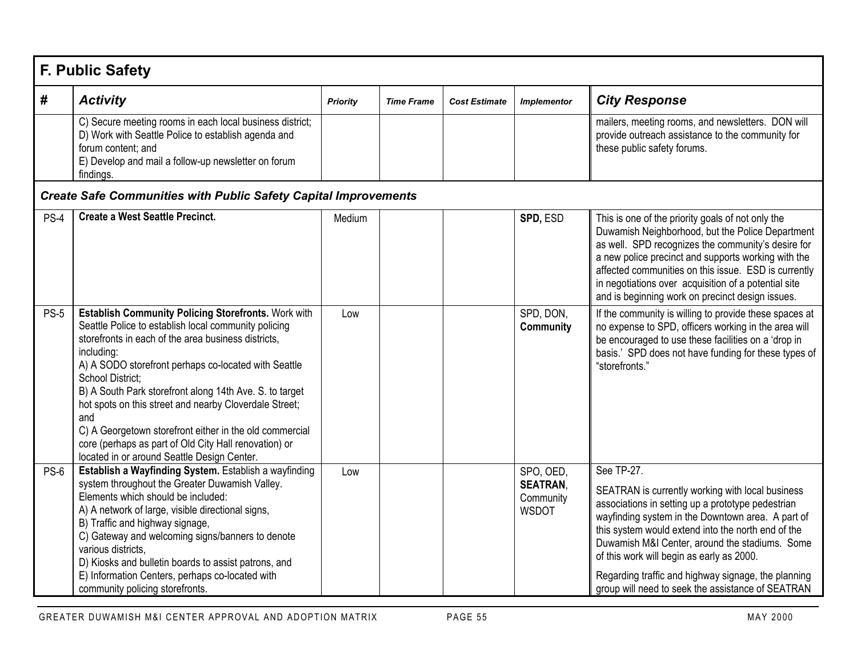| F. Public Safety |                                                                                                                                                                                                                                                                                                                                                                                                                                                                                                                                                             |                 |                   |                      |                                                           |                                                                                                                                                                                                                                                                                                                                                                                                                                           |  |  |  |  |
|------------------|-------------------------------------------------------------------------------------------------------------------------------------------------------------------------------------------------------------------------------------------------------------------------------------------------------------------------------------------------------------------------------------------------------------------------------------------------------------------------------------------------------------------------------------------------------------|-----------------|-------------------|----------------------|-----------------------------------------------------------|-------------------------------------------------------------------------------------------------------------------------------------------------------------------------------------------------------------------------------------------------------------------------------------------------------------------------------------------------------------------------------------------------------------------------------------------|--|--|--|--|
| #                | <b>Activity</b>                                                                                                                                                                                                                                                                                                                                                                                                                                                                                                                                             | <b>Priority</b> | <b>Time Frame</b> | <b>Cost Estimate</b> | <b>Implementor</b>                                        | <b>City Response</b>                                                                                                                                                                                                                                                                                                                                                                                                                      |  |  |  |  |
|                  | C) Secure meeting rooms in each local business district;<br>D) Work with Seattle Police to establish agenda and<br>forum content; and<br>E) Develop and mail a follow-up newsletter on forum<br>findings.                                                                                                                                                                                                                                                                                                                                                   |                 |                   |                      |                                                           | mailers, meeting rooms, and newsletters. DON will<br>provide outreach assistance to the community for<br>these public safety forums.                                                                                                                                                                                                                                                                                                      |  |  |  |  |
|                  | <b>Create Safe Communities with Public Safety Capital Improvements</b>                                                                                                                                                                                                                                                                                                                                                                                                                                                                                      |                 |                   |                      |                                                           |                                                                                                                                                                                                                                                                                                                                                                                                                                           |  |  |  |  |
| $PS-4$           | <b>Create a West Seattle Precinct.</b>                                                                                                                                                                                                                                                                                                                                                                                                                                                                                                                      | Medium          |                   |                      | SPD, ESD                                                  | This is one of the priority goals of not only the<br>Duwamish Neighborhood, but the Police Department<br>as well. SPD recognizes the community's desire for<br>a new police precinct and supports working with the<br>affected communities on this issue. ESD is currently<br>in negotiations over acquisition of a potential site<br>and is beginning work on precinct design issues.                                                    |  |  |  |  |
| <b>PS-5</b>      | Establish Community Policing Storefronts. Work with<br>Seattle Police to establish local community policing<br>storefronts in each of the area business districts,<br>including:<br>A) A SODO storefront perhaps co-located with Seattle<br>School District:<br>B) A South Park storefront along 14th Ave. S. to target<br>hot spots on this street and nearby Cloverdale Street;<br>and<br>C) A Georgetown storefront either in the old commercial<br>core (perhaps as part of Old City Hall renovation) or<br>located in or around Seattle Design Center. | Low             |                   |                      | SPD, DON,<br>Community                                    | If the community is willing to provide these spaces at<br>no expense to SPD, officers working in the area will<br>be encouraged to use these facilities on a 'drop in<br>basis.' SPD does not have funding for these types of<br>"storefronts."                                                                                                                                                                                           |  |  |  |  |
| $PS-6$           | Establish a Wayfinding System. Establish a wayfinding<br>system throughout the Greater Duwamish Valley.<br>Elements which should be included:<br>A) A network of large, visible directional signs,<br>B) Traffic and highway signage,<br>C) Gateway and welcoming signs/banners to denote<br>various districts,<br>D) Kiosks and bulletin boards to assist patrons, and<br>E) Information Centers, perhaps co-located with<br>community policing storefronts.                                                                                               | Low             |                   |                      | SPO, OED,<br><b>SEATRAN,</b><br>Community<br><b>WSDOT</b> | See TP-27.<br>SEATRAN is currently working with local business<br>associations in setting up a prototype pedestrian<br>wayfinding system in the Downtown area. A part of<br>this system would extend into the north end of the<br>Duwamish M&I Center, around the stadiums. Some<br>of this work will begin as early as 2000.<br>Regarding traffic and highway signage, the planning<br>group will need to seek the assistance of SEATRAN |  |  |  |  |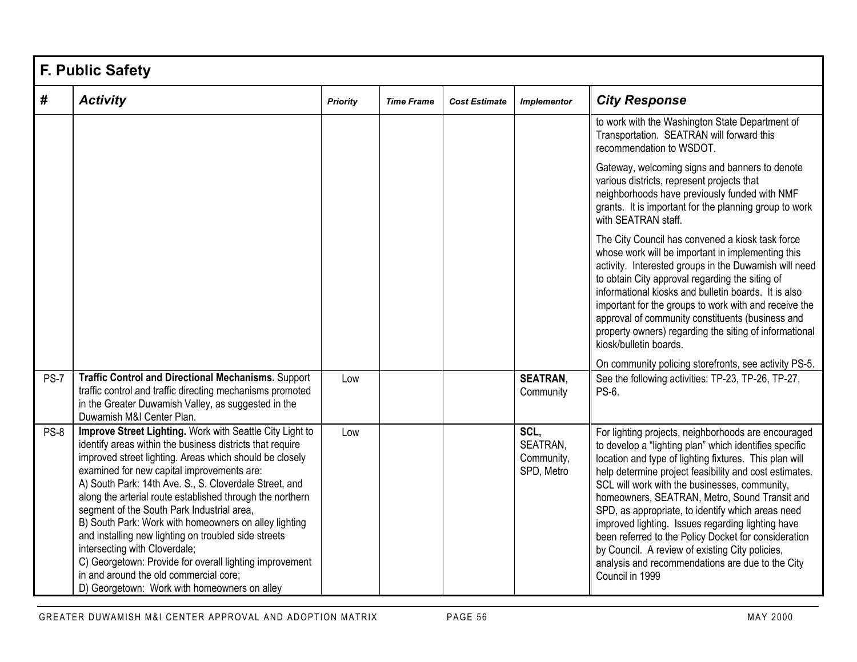| F. Public Safety |                                                                                                                                                                                                                                                                                                                                                                                                                                                                                                                                                                                                                                                                                                            |                 |                   |                      |                                              |                                                                                                                                                                                                                                                                                                                                                                                                                                                                                                                                                                                                                                 |  |
|------------------|------------------------------------------------------------------------------------------------------------------------------------------------------------------------------------------------------------------------------------------------------------------------------------------------------------------------------------------------------------------------------------------------------------------------------------------------------------------------------------------------------------------------------------------------------------------------------------------------------------------------------------------------------------------------------------------------------------|-----------------|-------------------|----------------------|----------------------------------------------|---------------------------------------------------------------------------------------------------------------------------------------------------------------------------------------------------------------------------------------------------------------------------------------------------------------------------------------------------------------------------------------------------------------------------------------------------------------------------------------------------------------------------------------------------------------------------------------------------------------------------------|--|
| #                | <b>Activity</b>                                                                                                                                                                                                                                                                                                                                                                                                                                                                                                                                                                                                                                                                                            | <b>Priority</b> | <b>Time Frame</b> | <b>Cost Estimate</b> | <b>Implementor</b>                           | <b>City Response</b>                                                                                                                                                                                                                                                                                                                                                                                                                                                                                                                                                                                                            |  |
|                  |                                                                                                                                                                                                                                                                                                                                                                                                                                                                                                                                                                                                                                                                                                            |                 |                   |                      |                                              | to work with the Washington State Department of<br>Transportation. SEATRAN will forward this<br>recommendation to WSDOT.                                                                                                                                                                                                                                                                                                                                                                                                                                                                                                        |  |
|                  |                                                                                                                                                                                                                                                                                                                                                                                                                                                                                                                                                                                                                                                                                                            |                 |                   |                      |                                              | Gateway, welcoming signs and banners to denote<br>various districts, represent projects that<br>neighborhoods have previously funded with NMF<br>grants. It is important for the planning group to work<br>with SEATRAN staff.                                                                                                                                                                                                                                                                                                                                                                                                  |  |
|                  |                                                                                                                                                                                                                                                                                                                                                                                                                                                                                                                                                                                                                                                                                                            |                 |                   |                      |                                              | The City Council has convened a kiosk task force<br>whose work will be important in implementing this<br>activity. Interested groups in the Duwamish will need<br>to obtain City approval regarding the siting of<br>informational kiosks and bulletin boards. It is also<br>important for the groups to work with and receive the<br>approval of community constituents (business and<br>property owners) regarding the siting of informational<br>kiosk/bulletin boards.                                                                                                                                                      |  |
| <b>PS-7</b>      | <b>Traffic Control and Directional Mechanisms. Support</b>                                                                                                                                                                                                                                                                                                                                                                                                                                                                                                                                                                                                                                                 | Low             |                   |                      | <b>SEATRAN,</b>                              | On community policing storefronts, see activity PS-5.<br>See the following activities: TP-23, TP-26, TP-27,                                                                                                                                                                                                                                                                                                                                                                                                                                                                                                                     |  |
|                  | traffic control and traffic directing mechanisms promoted<br>in the Greater Duwamish Valley, as suggested in the<br>Duwamish M&I Center Plan.                                                                                                                                                                                                                                                                                                                                                                                                                                                                                                                                                              |                 |                   |                      | Community                                    | PS-6.                                                                                                                                                                                                                                                                                                                                                                                                                                                                                                                                                                                                                           |  |
| PS-8             | Improve Street Lighting. Work with Seattle City Light to<br>identify areas within the business districts that require<br>improved street lighting. Areas which should be closely<br>examined for new capital improvements are:<br>A) South Park: 14th Ave. S., S. Cloverdale Street, and<br>along the arterial route established through the northern<br>segment of the South Park Industrial area,<br>B) South Park: Work with homeowners on alley lighting<br>and installing new lighting on troubled side streets<br>intersecting with Cloverdale;<br>C) Georgetown: Provide for overall lighting improvement<br>in and around the old commercial core;<br>D) Georgetown: Work with homeowners on alley | Low             |                   |                      | SCL,<br>SEATRAN,<br>Community,<br>SPD, Metro | For lighting projects, neighborhoods are encouraged<br>to develop a "lighting plan" which identifies specific<br>location and type of lighting fixtures. This plan will<br>help determine project feasibility and cost estimates.<br>SCL will work with the businesses, community,<br>homeowners, SEATRAN, Metro, Sound Transit and<br>SPD, as appropriate, to identify which areas need<br>improved lighting. Issues regarding lighting have<br>been referred to the Policy Docket for consideration<br>by Council. A review of existing City policies,<br>analysis and recommendations are due to the City<br>Council in 1999 |  |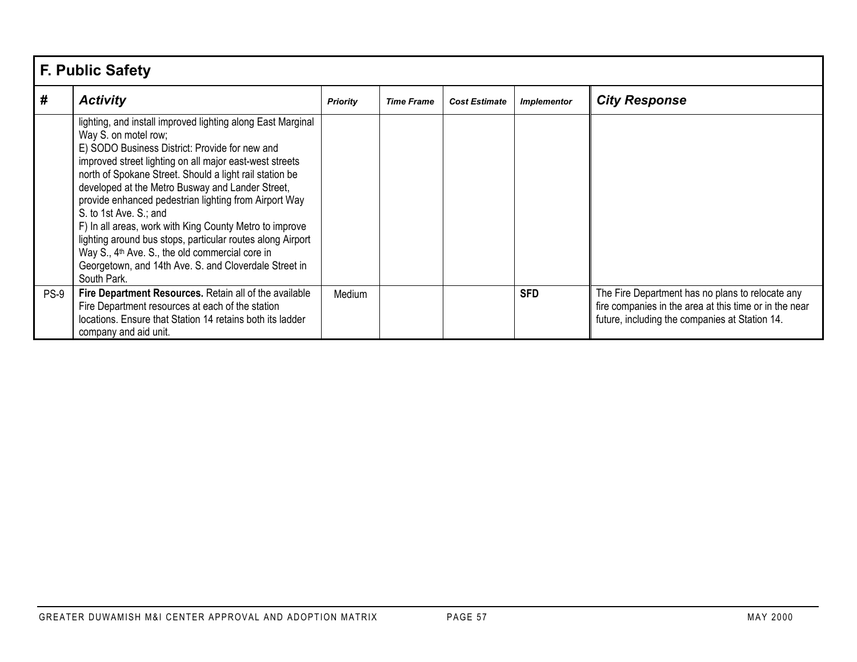| <b>F. Public Safety</b> |                                                                                                                                                                                                                                                                                                                                                                                                                                                                                                                                                                                                                                                                    |                 |                   |                      |                    |                                                                                                                                                              |  |  |  |
|-------------------------|--------------------------------------------------------------------------------------------------------------------------------------------------------------------------------------------------------------------------------------------------------------------------------------------------------------------------------------------------------------------------------------------------------------------------------------------------------------------------------------------------------------------------------------------------------------------------------------------------------------------------------------------------------------------|-----------------|-------------------|----------------------|--------------------|--------------------------------------------------------------------------------------------------------------------------------------------------------------|--|--|--|
| #                       | <b>Activity</b>                                                                                                                                                                                                                                                                                                                                                                                                                                                                                                                                                                                                                                                    | <b>Priority</b> | <b>Time Frame</b> | <b>Cost Estimate</b> | <b>Implementor</b> | <b>City Response</b>                                                                                                                                         |  |  |  |
|                         | lighting, and install improved lighting along East Marginal<br>Way S. on motel row;<br>E) SODO Business District: Provide for new and<br>improved street lighting on all major east-west streets<br>north of Spokane Street. Should a light rail station be<br>developed at the Metro Busway and Lander Street,<br>provide enhanced pedestrian lighting from Airport Way<br>S. to 1st Ave. S.; and<br>F) In all areas, work with King County Metro to improve<br>lighting around bus stops, particular routes along Airport<br>Way S., 4 <sup>th</sup> Ave. S., the old commercial core in<br>Georgetown, and 14th Ave. S. and Cloverdale Street in<br>South Park. |                 |                   |                      |                    |                                                                                                                                                              |  |  |  |
| PS-9                    | Fire Department Resources. Retain all of the available<br>Fire Department resources at each of the station<br>locations. Ensure that Station 14 retains both its ladder<br>company and aid unit.                                                                                                                                                                                                                                                                                                                                                                                                                                                                   | Medium          |                   |                      | <b>SFD</b>         | The Fire Department has no plans to relocate any<br>fire companies in the area at this time or in the near<br>future, including the companies at Station 14. |  |  |  |